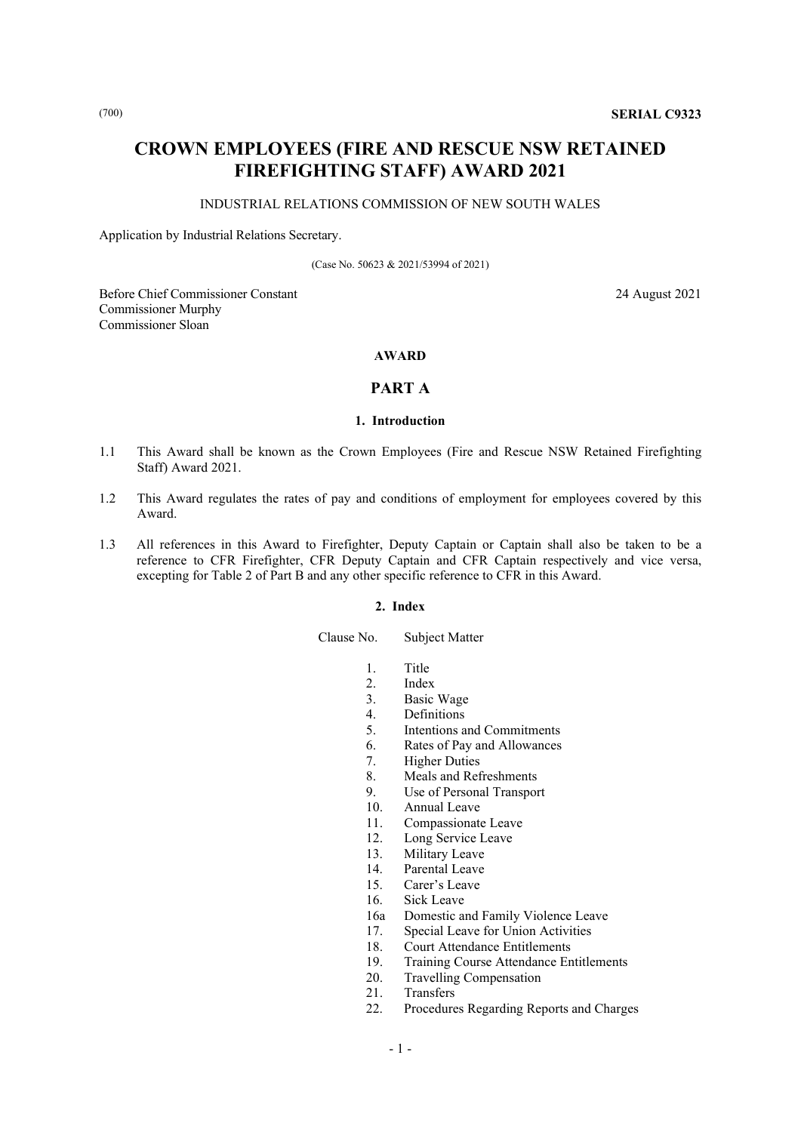# **CROWN EMPLOYEES (FIRE AND RESCUE NSW RETAINED FIREFIGHTING STAFF) AWARD 2021**

# INDUSTRIAL RELATIONS COMMISSION OF NEW SOUTH WALES

Application by Industrial Relations Secretary.

(Case No. 50623 & 2021/53994 of 2021)

Before Chief Commissioner Constant 24 August 2021 Commissioner Murphy Commissioner Sloan

# **AWARD**

# **PART A**

# **1. Introduction**

- 1.1 This Award shall be known as the Crown Employees (Fire and Rescue NSW Retained Firefighting Staff) Award 2021.
- 1.2 This Award regulates the rates of pay and conditions of employment for employees covered by this Award.
- 1.3 All references in this Award to Firefighter, Deputy Captain or Captain shall also be taken to be a reference to CFR Firefighter, CFR Deputy Captain and CFR Captain respectively and vice versa, excepting for Table 2 of Part B and any other specific reference to CFR in this Award.

## **2. Index**

Clause No. Subject Matter

- 1. Title
- 2. Index<br>3. Basic
- 3. Basic Wage<br>4. Definitions
- 4. Definitions<br>5. Intentions a
- 5. Intentions and Commitments<br>6. Rates of Pay and Allowances
- Rates of Pay and Allowances
- 7. Higher Duties
- 8. Meals and Refreshments
- 9. Use of Personal Transport
- 10. Annual Leave
- 
- 11. Compassionate Leave<br>12. Long Service Leave Long Service Leave
- 13. Military Leave
- 
- 14. Parental Leave<br>15. Carer's Leave Carer's Leave
- 16. Sick Leave
- 
- 16a Domestic and Family Violence Leave 17. Special Leave for Union Activities
- 18. Court Attendance Entitlements
- 19. Training Course Attendance Entitlements<br>20. Travelling Compensation
- Travelling Compensation
- 21. Transfers
- 22. Procedures Regarding Reports and Charges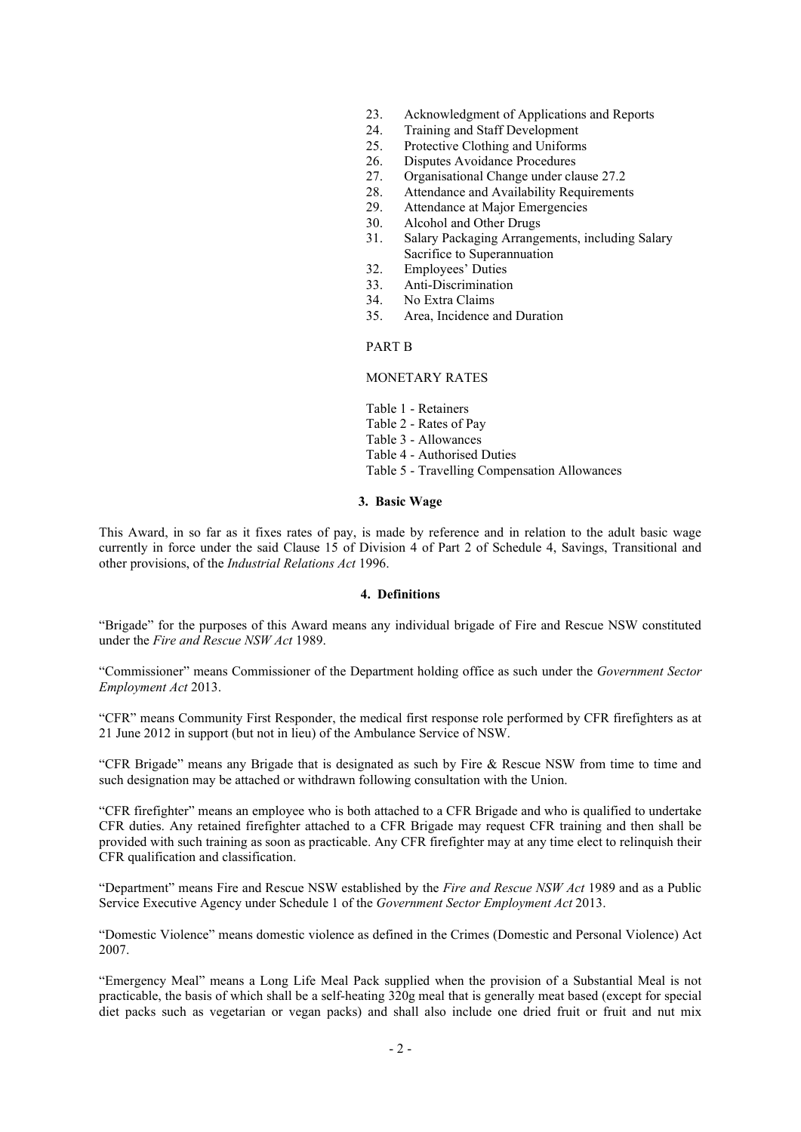- 23. Acknowledgment of Applications and Reports<br>24. Training and Staff Development
- Training and Staff Development
- 25. Protective Clothing and Uniforms<br>26. Disputes Avoidance Procedures
- Disputes Avoidance Procedures
- 27. Organisational Change under clause 27.2
- 28. Attendance and Availability Requirements<br>29. Attendance at Maior Emergencies
- Attendance at Major Emergencies
- 30. Alcohol and Other Drugs
- 31. Salary Packaging Arrangements, including Salary Sacrifice to Superannuation
- 32. Employees' Duties
- 33. Anti-Discrimination<br>34. No Extra Claims
- 34. No Extra Claims<br>35. Area, Incidence a
- Area, Incidence and Duration

# PART B

## MONETARY RATES

- Table 1 Retainers
- Table 2 Rates of Pay
- Table 3 Allowances
- Table 4 Authorised Duties
- Table 5 Travelling Compensation Allowances

#### **3. Basic Wage**

This Award, in so far as it fixes rates of pay, is made by reference and in relation to the adult basic wage currently in force under the said Clause 15 of Division 4 of Part 2 of Schedule 4, Savings, Transitional and other provisions, of the *Industrial Relations Act* 1996.

## **4. Definitions**

"Brigade" for the purposes of this Award means any individual brigade of Fire and Rescue NSW constituted under the *Fire and Rescue NSW Act* 1989.

"Commissioner" means Commissioner of the Department holding office as such under the *Government Sector Employment Act* 2013.

"CFR" means Community First Responder, the medical first response role performed by CFR firefighters as at 21 June 2012 in support (but not in lieu) of the Ambulance Service of NSW.

"CFR Brigade" means any Brigade that is designated as such by Fire & Rescue NSW from time to time and such designation may be attached or withdrawn following consultation with the Union.

"CFR firefighter" means an employee who is both attached to a CFR Brigade and who is qualified to undertake CFR duties. Any retained firefighter attached to a CFR Brigade may request CFR training and then shall be provided with such training as soon as practicable. Any CFR firefighter may at any time elect to relinquish their CFR qualification and classification.

"Department" means Fire and Rescue NSW established by the *Fire and Rescue NSW Act* 1989 and as a Public Service Executive Agency under Schedule 1 of the *Government Sector Employment Act* 2013.

"Domestic Violence" means domestic violence as defined in the Crimes (Domestic and Personal Violence) Act 2007.

"Emergency Meal" means a Long Life Meal Pack supplied when the provision of a Substantial Meal is not practicable, the basis of which shall be a self-heating 320g meal that is generally meat based (except for special diet packs such as vegetarian or vegan packs) and shall also include one dried fruit or fruit and nut mix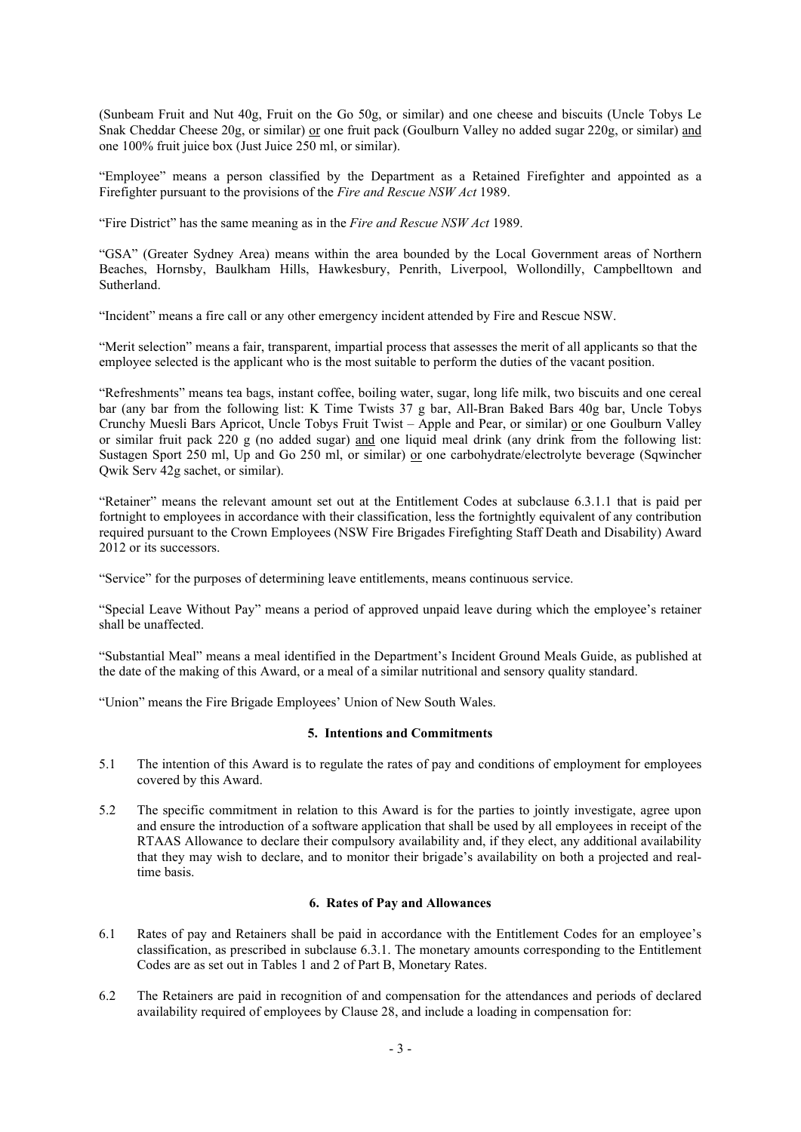(Sunbeam Fruit and Nut 40g, Fruit on the Go 50g, or similar) and one cheese and biscuits (Uncle Tobys Le Snak Cheddar Cheese 20g, or similar) or one fruit pack (Goulburn Valley no added sugar 220g, or similar) and one 100% fruit juice box (Just Juice 250 ml, or similar).

"Employee" means a person classified by the Department as a Retained Firefighter and appointed as a Firefighter pursuant to the provisions of the *Fire and Rescue NSW Act* 1989.

"Fire District" has the same meaning as in the *Fire and Rescue NSW Act* 1989.

"GSA" (Greater Sydney Area) means within the area bounded by the Local Government areas of Northern Beaches, Hornsby, Baulkham Hills, Hawkesbury, Penrith, Liverpool, Wollondilly, Campbelltown and Sutherland.

"Incident" means a fire call or any other emergency incident attended by Fire and Rescue NSW.

"Merit selection" means a fair, transparent, impartial process that assesses the merit of all applicants so that the employee selected is the applicant who is the most suitable to perform the duties of the vacant position.

"Refreshments" means tea bags, instant coffee, boiling water, sugar, long life milk, two biscuits and one cereal bar (any bar from the following list: K Time Twists 37 g bar, All-Bran Baked Bars 40g bar, Uncle Tobys Crunchy Muesli Bars Apricot, Uncle Tobys Fruit Twist – Apple and Pear, or similar) or one Goulburn Valley or similar fruit pack 220 g (no added sugar) and one liquid meal drink (any drink from the following list: Sustagen Sport 250 ml, Up and Go 250 ml, or similar) or one carbohydrate/electrolyte beverage (Sqwincher Qwik Serv 42g sachet, or similar).

"Retainer" means the relevant amount set out at the Entitlement Codes at subclause 6.3.1.1 that is paid per fortnight to employees in accordance with their classification, less the fortnightly equivalent of any contribution required pursuant to the Crown Employees (NSW Fire Brigades Firefighting Staff Death and Disability) Award 2012 or its successors.

"Service" for the purposes of determining leave entitlements, means continuous service.

"Special Leave Without Pay" means a period of approved unpaid leave during which the employee's retainer shall be unaffected.

"Substantial Meal" means a meal identified in the Department's Incident Ground Meals Guide, as published at the date of the making of this Award, or a meal of a similar nutritional and sensory quality standard.

"Union" means the Fire Brigade Employees' Union of New South Wales.

# **5. Intentions and Commitments**

- 5.1 The intention of this Award is to regulate the rates of pay and conditions of employment for employees covered by this Award.
- 5.2 The specific commitment in relation to this Award is for the parties to jointly investigate, agree upon and ensure the introduction of a software application that shall be used by all employees in receipt of the RTAAS Allowance to declare their compulsory availability and, if they elect, any additional availability that they may wish to declare, and to monitor their brigade's availability on both a projected and realtime basis.

# **6. Rates of Pay and Allowances**

- 6.1 Rates of pay and Retainers shall be paid in accordance with the Entitlement Codes for an employee's classification, as prescribed in subclause 6.3.1. The monetary amounts corresponding to the Entitlement Codes are as set out in Tables 1 and 2 of Part B, Monetary Rates.
- 6.2 The Retainers are paid in recognition of and compensation for the attendances and periods of declared availability required of employees by Clause 28, and include a loading in compensation for: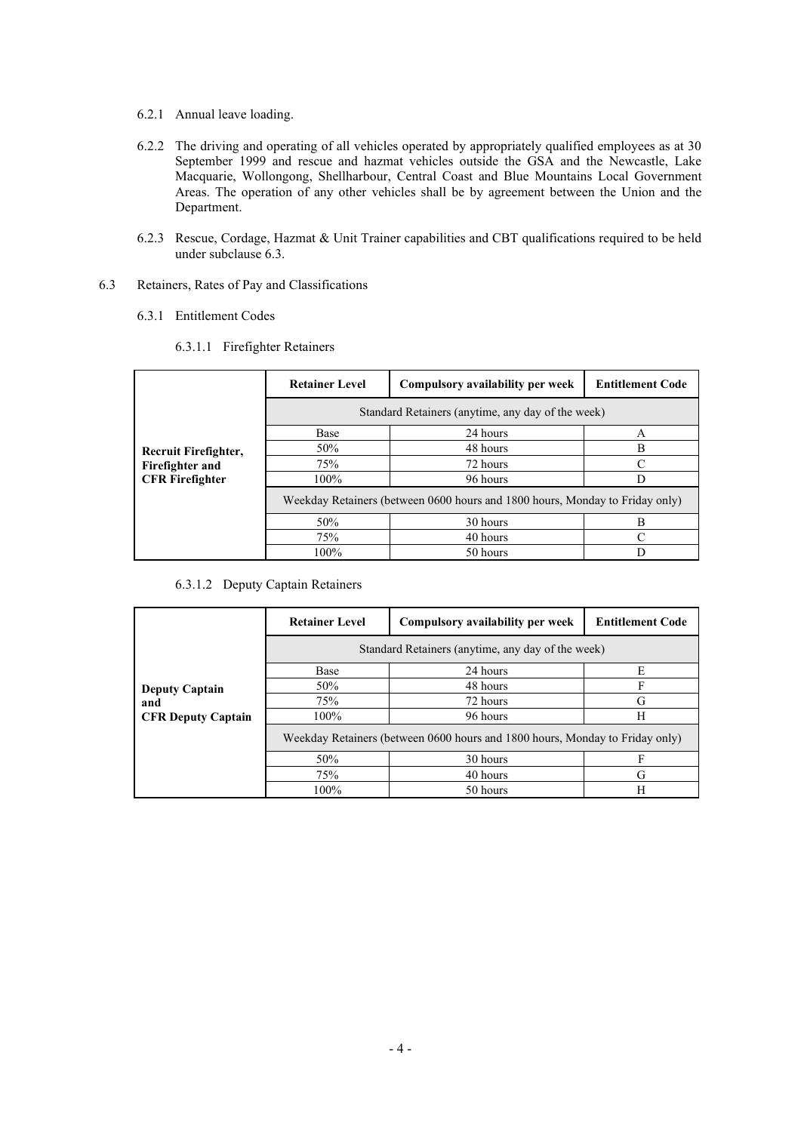- 6.2.1 Annual leave loading.
- 6.2.2 The driving and operating of all vehicles operated by appropriately qualified employees as at 30 September 1999 and rescue and hazmat vehicles outside the GSA and the Newcastle, Lake Macquarie, Wollongong, Shellharbour, Central Coast and Blue Mountains Local Government Areas. The operation of any other vehicles shall be by agreement between the Union and the Department.
- 6.2.3 Rescue, Cordage, Hazmat & Unit Trainer capabilities and CBT qualifications required to be held under subclause 6.3.
- 6.3 Retainers, Rates of Pay and Classifications
	- 6.3.1 Entitlement Codes

|  | 6.3.1.1 Firefighter Retainers |  |
|--|-------------------------------|--|
|--|-------------------------------|--|

|                        | <b>Retainer Level</b>                                                        | Compulsory availability per week | <b>Entitlement Code</b> |  |
|------------------------|------------------------------------------------------------------------------|----------------------------------|-------------------------|--|
|                        | Standard Retainers (anytime, any day of the week)                            |                                  |                         |  |
|                        | <b>Base</b>                                                                  | 24 hours                         | A                       |  |
| Recruit Firefighter,   | 50%                                                                          | 48 hours                         | в                       |  |
| Firefighter and        | 75%                                                                          | 72 hours                         |                         |  |
| <b>CFR</b> Firefighter | 100%                                                                         | 96 hours                         |                         |  |
|                        | Weekday Retainers (between 0600 hours and 1800 hours, Monday to Friday only) |                                  |                         |  |
|                        | 50%                                                                          | 30 hours                         | в                       |  |
|                        | 75%                                                                          | 40 hours                         |                         |  |
|                        | 100%                                                                         | 50 hours                         |                         |  |

#### 6.3.1.2 Deputy Captain Retainers

|                                  | <b>Retainer Level</b>                                                        | Compulsory availability per week | <b>Entitlement Code</b> |  |
|----------------------------------|------------------------------------------------------------------------------|----------------------------------|-------------------------|--|
|                                  | Standard Retainers (anytime, any day of the week)                            |                                  |                         |  |
|                                  | <b>Base</b>                                                                  | 24 hours                         | E                       |  |
| <b>Deputy Captain</b>            | 50%                                                                          | 48 hours                         | F                       |  |
| and<br><b>CFR Deputy Captain</b> | 75%                                                                          | 72 hours                         | G                       |  |
|                                  | 100%                                                                         | 96 hours                         | Н                       |  |
|                                  | Weekday Retainers (between 0600 hours and 1800 hours, Monday to Friday only) |                                  |                         |  |
|                                  | 50%                                                                          | 30 hours                         |                         |  |
|                                  | 75%                                                                          | 40 hours                         | G                       |  |
|                                  | 100%                                                                         | 50 hours                         | H                       |  |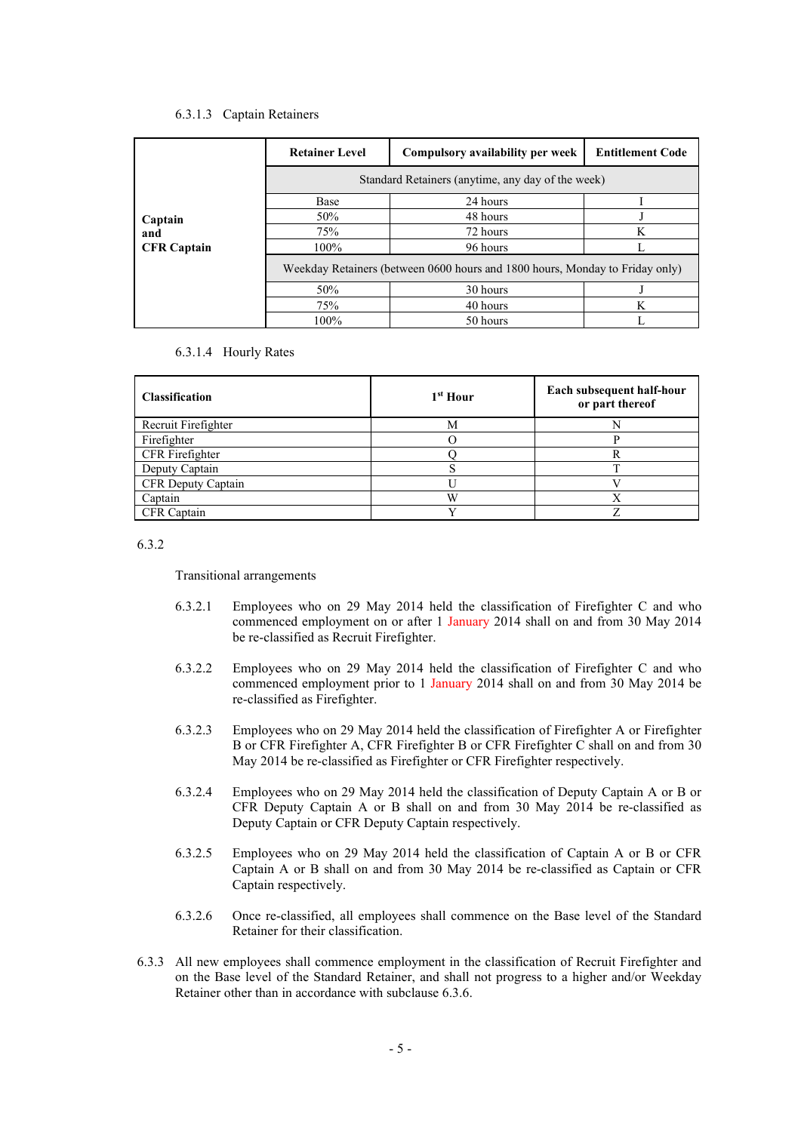## 6.3.1.3 Captain Retainers

|                    | <b>Retainer Level</b>                             | Compulsory availability per week                                             | <b>Entitlement Code</b> |
|--------------------|---------------------------------------------------|------------------------------------------------------------------------------|-------------------------|
|                    | Standard Retainers (anytime, any day of the week) |                                                                              |                         |
|                    | Base                                              | 24 hours                                                                     |                         |
| Captain            | 50%                                               | 48 hours                                                                     |                         |
| and                | 75%                                               | 72 hours                                                                     | K                       |
| <b>CFR Captain</b> | 100%                                              | 96 hours                                                                     |                         |
|                    |                                                   | Weekday Retainers (between 0600 hours and 1800 hours, Monday to Friday only) |                         |
|                    | 50%                                               | 30 hours                                                                     |                         |
|                    | 75%                                               | 40 hours                                                                     | K                       |
|                    | 100%                                              | 50 hours                                                                     |                         |

6.3.1.4 Hourly Rates

| <b>Classification</b> | 1 <sup>st</sup> Hour | Each subsequent half-hour<br>or part thereof |
|-----------------------|----------------------|----------------------------------------------|
| Recruit Firefighter   | М                    |                                              |
| Firefighter           |                      |                                              |
| CFR Firefighter       |                      |                                              |
| Deputy Captain        |                      | ᠇᠇                                           |
| CFR Deputy Captain    |                      |                                              |
| Captain               | W                    |                                              |
| CFR Captain           |                      |                                              |

6.3.2

Transitional arrangements

- 6.3.2.1 Employees who on 29 May 2014 held the classification of Firefighter C and who commenced employment on or after 1 January 2014 shall on and from 30 May 2014 be re-classified as Recruit Firefighter.
- 6.3.2.2 Employees who on 29 May 2014 held the classification of Firefighter C and who commenced employment prior to 1 January 2014 shall on and from 30 May 2014 be re-classified as Firefighter.
- 6.3.2.3 Employees who on 29 May 2014 held the classification of Firefighter A or Firefighter B or CFR Firefighter A, CFR Firefighter B or CFR Firefighter C shall on and from 30 May 2014 be re-classified as Firefighter or CFR Firefighter respectively.
- 6.3.2.4 Employees who on 29 May 2014 held the classification of Deputy Captain A or B or CFR Deputy Captain A or B shall on and from 30 May 2014 be re-classified as Deputy Captain or CFR Deputy Captain respectively.
- 6.3.2.5 Employees who on 29 May 2014 held the classification of Captain A or B or CFR Captain A or B shall on and from 30 May 2014 be re-classified as Captain or CFR Captain respectively.
- 6.3.2.6 Once re-classified, all employees shall commence on the Base level of the Standard Retainer for their classification.
- 6.3.3 All new employees shall commence employment in the classification of Recruit Firefighter and on the Base level of the Standard Retainer, and shall not progress to a higher and/or Weekday Retainer other than in accordance with subclause 6.3.6.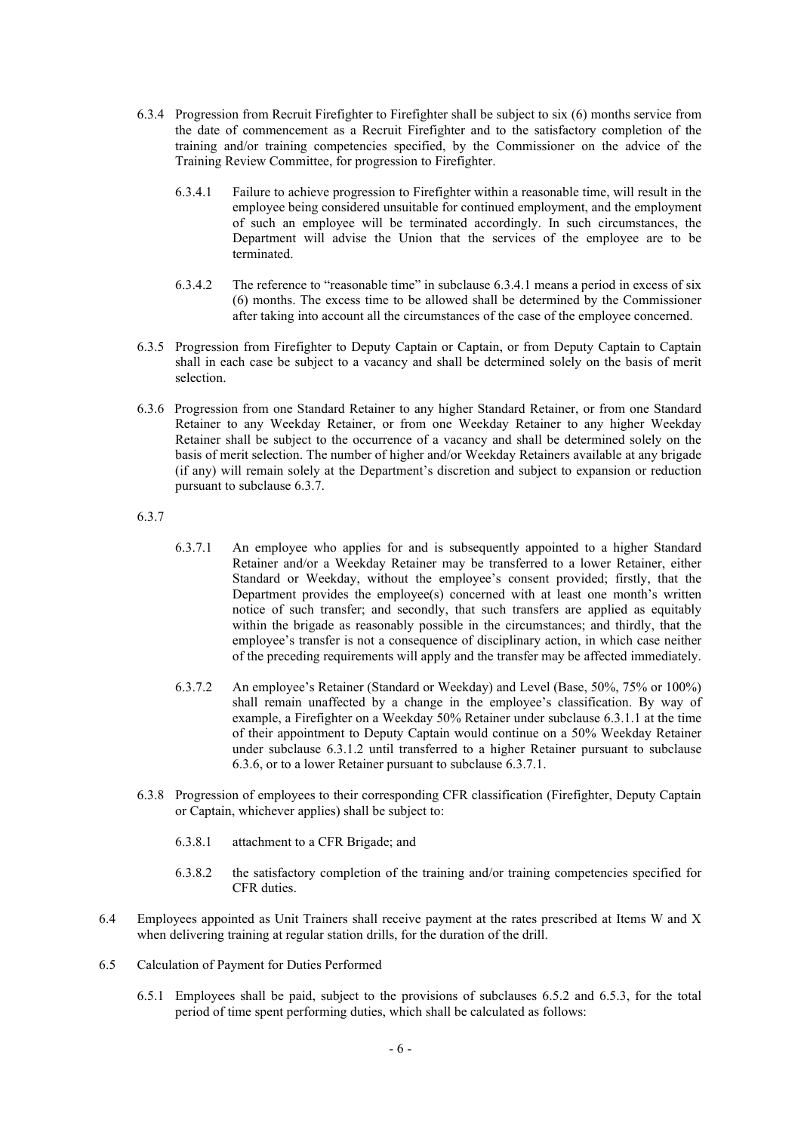- 6.3.4 Progression from Recruit Firefighter to Firefighter shall be subject to six (6) months service from the date of commencement as a Recruit Firefighter and to the satisfactory completion of the training and/or training competencies specified, by the Commissioner on the advice of the Training Review Committee, for progression to Firefighter.
	- 6.3.4.1 Failure to achieve progression to Firefighter within a reasonable time, will result in the employee being considered unsuitable for continued employment, and the employment of such an employee will be terminated accordingly. In such circumstances, the Department will advise the Union that the services of the employee are to be terminated.
	- 6.3.4.2 The reference to "reasonable time" in subclause 6.3.4.1 means a period in excess of six (6) months. The excess time to be allowed shall be determined by the Commissioner after taking into account all the circumstances of the case of the employee concerned.
- 6.3.5 Progression from Firefighter to Deputy Captain or Captain, or from Deputy Captain to Captain shall in each case be subject to a vacancy and shall be determined solely on the basis of merit selection.
- 6.3.6 Progression from one Standard Retainer to any higher Standard Retainer, or from one Standard Retainer to any Weekday Retainer, or from one Weekday Retainer to any higher Weekday Retainer shall be subject to the occurrence of a vacancy and shall be determined solely on the basis of merit selection. The number of higher and/or Weekday Retainers available at any brigade (if any) will remain solely at the Department's discretion and subject to expansion or reduction pursuant to subclause 6.3.7.

6.3.7

- 6.3.7.1 An employee who applies for and is subsequently appointed to a higher Standard Retainer and/or a Weekday Retainer may be transferred to a lower Retainer, either Standard or Weekday, without the employee's consent provided; firstly, that the Department provides the employee(s) concerned with at least one month's written notice of such transfer; and secondly, that such transfers are applied as equitably within the brigade as reasonably possible in the circumstances; and thirdly, that the employee's transfer is not a consequence of disciplinary action, in which case neither of the preceding requirements will apply and the transfer may be affected immediately.
- 6.3.7.2 An employee's Retainer (Standard or Weekday) and Level (Base, 50%, 75% or 100%) shall remain unaffected by a change in the employee's classification. By way of example, a Firefighter on a Weekday 50% Retainer under subclause 6.3.1.1 at the time of their appointment to Deputy Captain would continue on a 50% Weekday Retainer under subclause 6.3.1.2 until transferred to a higher Retainer pursuant to subclause 6.3.6, or to a lower Retainer pursuant to subclause 6.3.7.1.
- 6.3.8 Progression of employees to their corresponding CFR classification (Firefighter, Deputy Captain or Captain, whichever applies) shall be subject to:
	- 6.3.8.1 attachment to a CFR Brigade; and
	- 6.3.8.2 the satisfactory completion of the training and/or training competencies specified for CFR duties.
- 6.4 Employees appointed as Unit Trainers shall receive payment at the rates prescribed at Items W and X when delivering training at regular station drills, for the duration of the drill.
- 6.5 Calculation of Payment for Duties Performed
	- 6.5.1 Employees shall be paid, subject to the provisions of subclauses 6.5.2 and 6.5.3, for the total period of time spent performing duties, which shall be calculated as follows: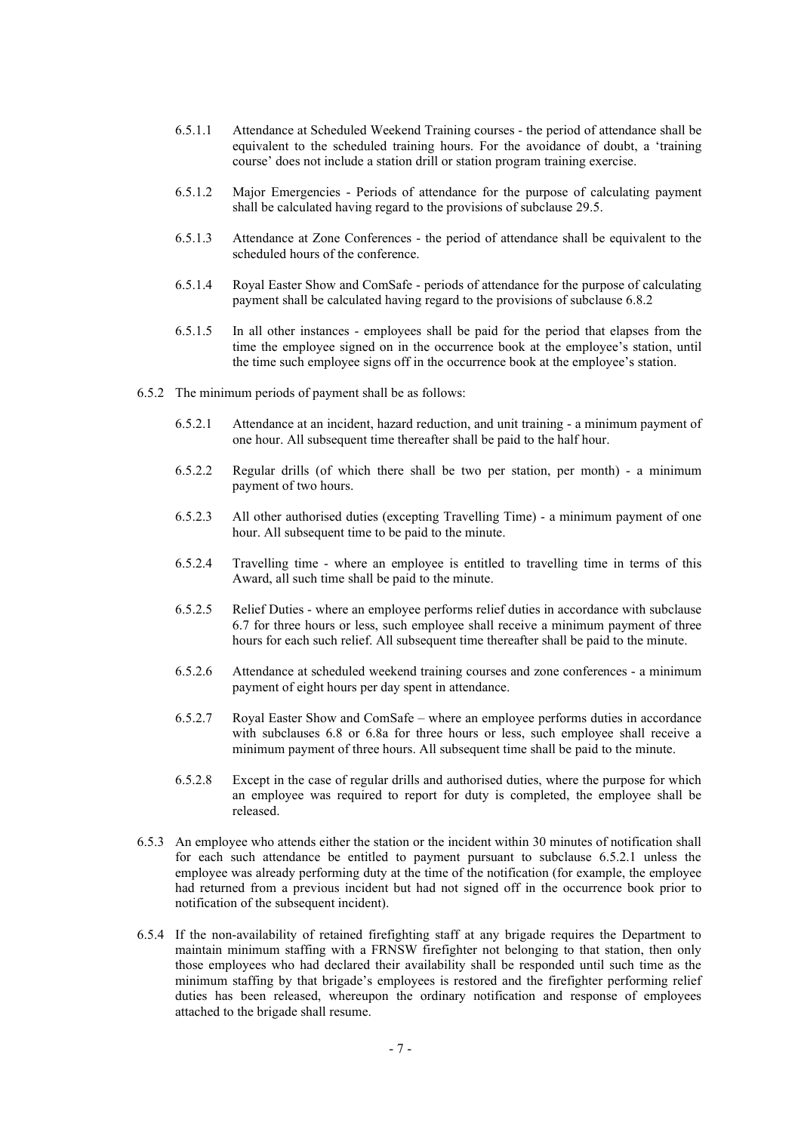- 6.5.1.1 Attendance at Scheduled Weekend Training courses the period of attendance shall be equivalent to the scheduled training hours. For the avoidance of doubt, a 'training course' does not include a station drill or station program training exercise.
- 6.5.1.2 Major Emergencies Periods of attendance for the purpose of calculating payment shall be calculated having regard to the provisions of subclause 29.5.
- 6.5.1.3 Attendance at Zone Conferences the period of attendance shall be equivalent to the scheduled hours of the conference.
- 6.5.1.4 Royal Easter Show and ComSafe periods of attendance for the purpose of calculating payment shall be calculated having regard to the provisions of subclause 6.8.2
- 6.5.1.5 In all other instances employees shall be paid for the period that elapses from the time the employee signed on in the occurrence book at the employee's station, until the time such employee signs off in the occurrence book at the employee's station.
- 6.5.2 The minimum periods of payment shall be as follows:
	- 6.5.2.1 Attendance at an incident, hazard reduction, and unit training a minimum payment of one hour. All subsequent time thereafter shall be paid to the half hour.
	- 6.5.2.2 Regular drills (of which there shall be two per station, per month) a minimum payment of two hours.
	- 6.5.2.3 All other authorised duties (excepting Travelling Time) a minimum payment of one hour. All subsequent time to be paid to the minute.
	- 6.5.2.4 Travelling time where an employee is entitled to travelling time in terms of this Award, all such time shall be paid to the minute.
	- 6.5.2.5 Relief Duties where an employee performs relief duties in accordance with subclause 6.7 for three hours or less, such employee shall receive a minimum payment of three hours for each such relief. All subsequent time thereafter shall be paid to the minute.
	- 6.5.2.6 Attendance at scheduled weekend training courses and zone conferences a minimum payment of eight hours per day spent in attendance.
	- 6.5.2.7 Royal Easter Show and ComSafe where an employee performs duties in accordance with subclauses 6.8 or 6.8a for three hours or less, such employee shall receive a minimum payment of three hours. All subsequent time shall be paid to the minute.
	- 6.5.2.8 Except in the case of regular drills and authorised duties, where the purpose for which an employee was required to report for duty is completed, the employee shall be released.
- 6.5.3 An employee who attends either the station or the incident within 30 minutes of notification shall for each such attendance be entitled to payment pursuant to subclause 6.5.2.1 unless the employee was already performing duty at the time of the notification (for example, the employee had returned from a previous incident but had not signed off in the occurrence book prior to notification of the subsequent incident).
- 6.5.4 If the non-availability of retained firefighting staff at any brigade requires the Department to maintain minimum staffing with a FRNSW firefighter not belonging to that station, then only those employees who had declared their availability shall be responded until such time as the minimum staffing by that brigade's employees is restored and the firefighter performing relief duties has been released, whereupon the ordinary notification and response of employees attached to the brigade shall resume.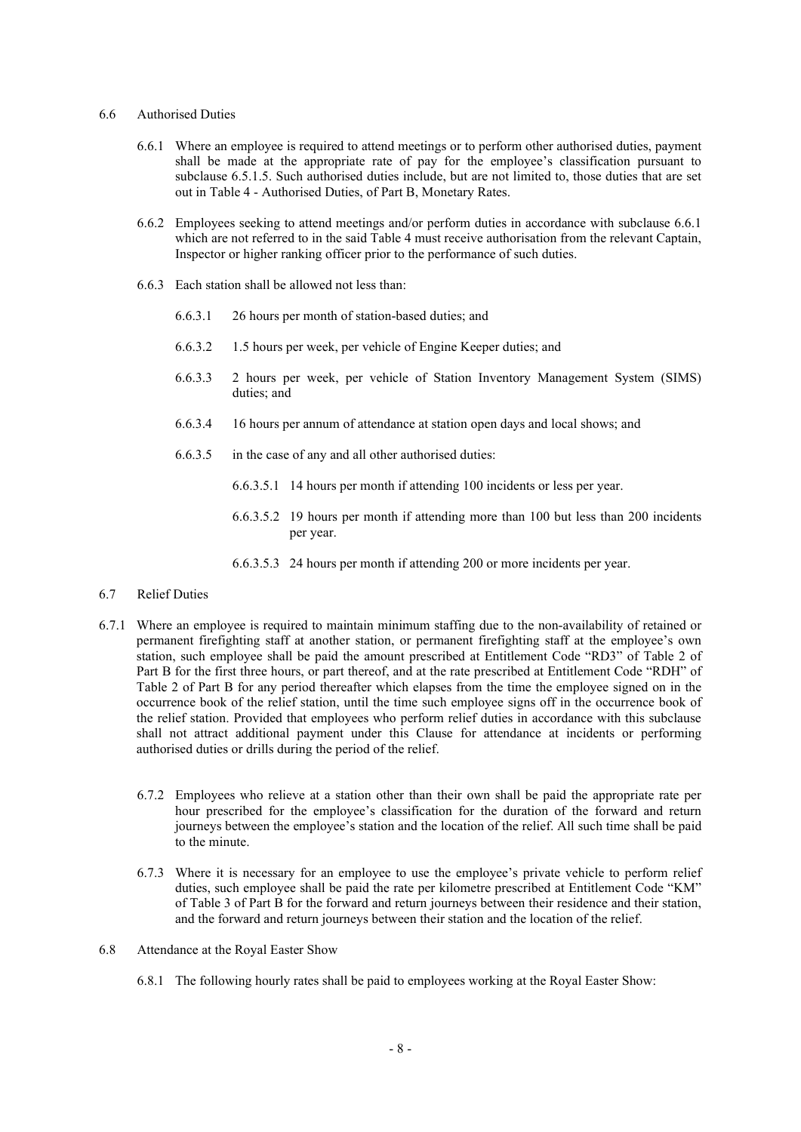# 6.6 Authorised Duties

- 6.6.1 Where an employee is required to attend meetings or to perform other authorised duties, payment shall be made at the appropriate rate of pay for the employee's classification pursuant to subclause 6.5.1.5. Such authorised duties include, but are not limited to, those duties that are set out in Table 4 - Authorised Duties, of Part B, Monetary Rates.
- 6.6.2 Employees seeking to attend meetings and/or perform duties in accordance with subclause 6.6.1 which are not referred to in the said Table 4 must receive authorisation from the relevant Captain, Inspector or higher ranking officer prior to the performance of such duties.
- 6.6.3 Each station shall be allowed not less than:
	- 6.6.3.1 26 hours per month of station-based duties; and
	- 6.6.3.2 1.5 hours per week, per vehicle of Engine Keeper duties; and
	- 6.6.3.3 2 hours per week, per vehicle of Station Inventory Management System (SIMS) duties; and
	- 6.6.3.4 16 hours per annum of attendance at station open days and local shows; and
	- 6.6.3.5 in the case of any and all other authorised duties:
		- 6.6.3.5.1 14 hours per month if attending 100 incidents or less per year.
		- 6.6.3.5.2 19 hours per month if attending more than 100 but less than 200 incidents per year.
		- 6.6.3.5.3 24 hours per month if attending 200 or more incidents per year.
- 6.7 Relief Duties
- 6.7.1 Where an employee is required to maintain minimum staffing due to the non-availability of retained or permanent firefighting staff at another station, or permanent firefighting staff at the employee's own station, such employee shall be paid the amount prescribed at Entitlement Code "RD3" of Table 2 of Part B for the first three hours, or part thereof, and at the rate prescribed at Entitlement Code "RDH" of Table 2 of Part B for any period thereafter which elapses from the time the employee signed on in the occurrence book of the relief station, until the time such employee signs off in the occurrence book of the relief station. Provided that employees who perform relief duties in accordance with this subclause shall not attract additional payment under this Clause for attendance at incidents or performing authorised duties or drills during the period of the relief.
	- 6.7.2 Employees who relieve at a station other than their own shall be paid the appropriate rate per hour prescribed for the employee's classification for the duration of the forward and return journeys between the employee's station and the location of the relief. All such time shall be paid to the minute.
	- 6.7.3 Where it is necessary for an employee to use the employee's private vehicle to perform relief duties, such employee shall be paid the rate per kilometre prescribed at Entitlement Code "KM" of Table 3 of Part B for the forward and return journeys between their residence and their station, and the forward and return journeys between their station and the location of the relief.
- 6.8 Attendance at the Royal Easter Show
	- 6.8.1 The following hourly rates shall be paid to employees working at the Royal Easter Show: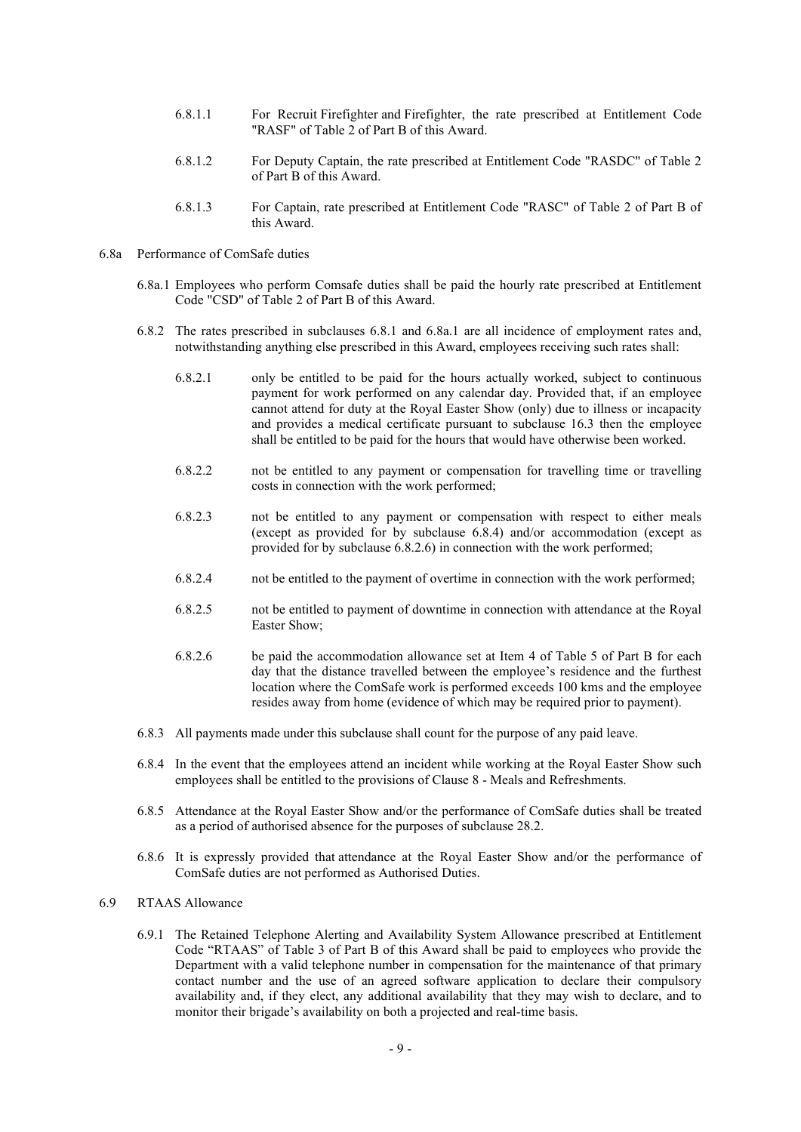- 6.8.1.1 For Recruit Firefighter and Firefighter, the rate prescribed at Entitlement Code "RASF" of Table 2 of Part B of this Award.
- 6.8.1.2 For Deputy Captain, the rate prescribed at Entitlement Code "RASDC" of Table 2 of Part B of this Award.
- 6.8.1.3 For Captain, rate prescribed at Entitlement Code "RASC" of Table 2 of Part B of this Award.
- 6.8a Performance of ComSafe duties
	- 6.8a.1 Employees who perform Comsafe duties shall be paid the hourly rate prescribed at Entitlement Code "CSD" of Table 2 of Part B of this Award.
	- 6.8.2 The rates prescribed in subclauses 6.8.1 and 6.8a.1 are all incidence of employment rates and, notwithstanding anything else prescribed in this Award, employees receiving such rates shall:
		- 6.8.2.1 only be entitled to be paid for the hours actually worked, subject to continuous payment for work performed on any calendar day. Provided that, if an employee cannot attend for duty at the Royal Easter Show (only) due to illness or incapacity and provides a medical certificate pursuant to subclause 16.3 then the employee shall be entitled to be paid for the hours that would have otherwise been worked.
		- 6.8.2.2 not be entitled to any payment or compensation for travelling time or travelling costs in connection with the work performed;
		- 6.8.2.3 not be entitled to any payment or compensation with respect to either meals (except as provided for by subclause 6.8.4) and/or accommodation (except as provided for by subclause 6.8.2.6) in connection with the work performed;
		- 6.8.2.4 not be entitled to the payment of overtime in connection with the work performed;
		- 6.8.2.5 not be entitled to payment of downtime in connection with attendance at the Royal Easter Show;
		- 6.8.2.6 be paid the accommodation allowance set at Item 4 of Table 5 of Part B for each day that the distance travelled between the employee's residence and the furthest location where the ComSafe work is performed exceeds 100 kms and the employee resides away from home (evidence of which may be required prior to payment).
	- 6.8.3 All payments made under this subclause shall count for the purpose of any paid leave.
	- 6.8.4 In the event that the employees attend an incident while working at the Royal Easter Show such employees shall be entitled to the provisions of Clause 8 - Meals and Refreshments.
	- 6.8.5 Attendance at the Royal Easter Show and/or the performance of ComSafe duties shall be treated as a period of authorised absence for the purposes of subclause 28.2.
	- 6.8.6 It is expressly provided that attendance at the Royal Easter Show and/or the performance of ComSafe duties are not performed as Authorised Duties.

# 6.9 RTAAS Allowance

6.9.1 The Retained Telephone Alerting and Availability System Allowance prescribed at Entitlement Code "RTAAS" of Table 3 of Part B of this Award shall be paid to employees who provide the Department with a valid telephone number in compensation for the maintenance of that primary contact number and the use of an agreed software application to declare their compulsory availability and, if they elect, any additional availability that they may wish to declare, and to monitor their brigade's availability on both a projected and real-time basis.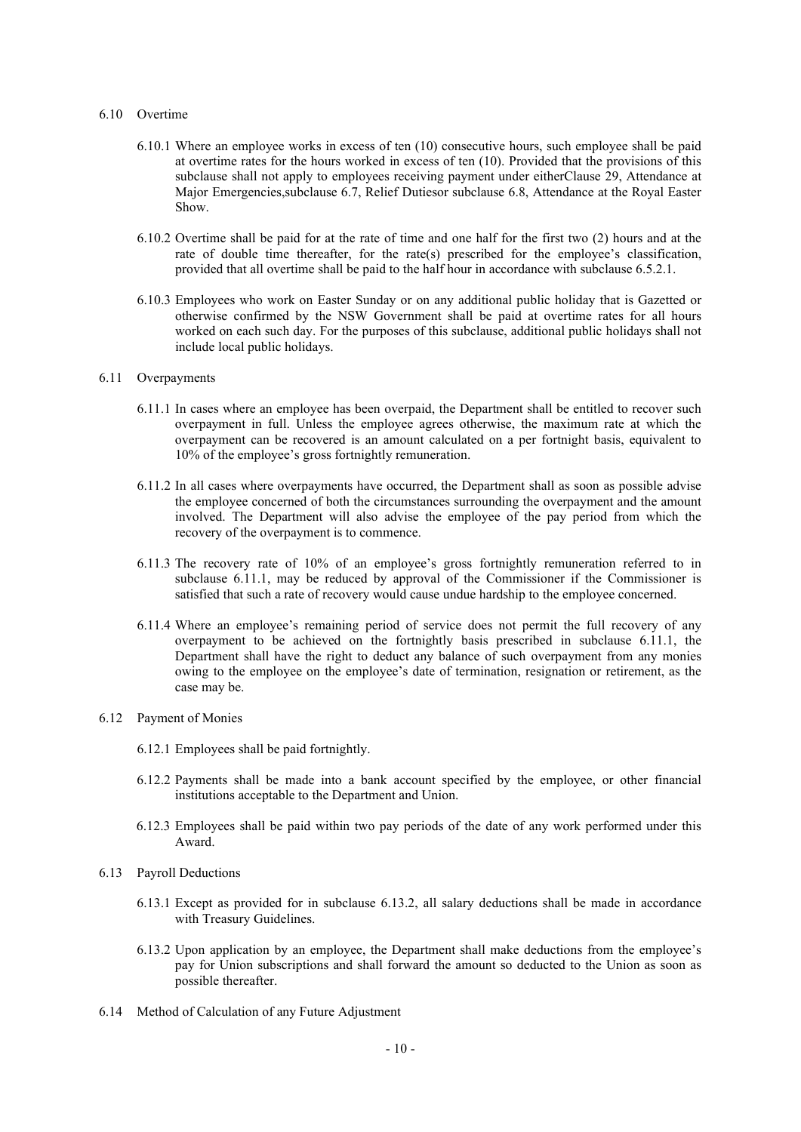#### 6.10 Overtime

- 6.10.1 Where an employee works in excess of ten (10) consecutive hours, such employee shall be paid at overtime rates for the hours worked in excess of ten (10). Provided that the provisions of this subclause shall not apply to employees receiving payment under eitherClause 29, Attendance at Major Emergencies,subclause 6.7, Relief Dutiesor subclause 6.8, Attendance at the Royal Easter Show.
- 6.10.2 Overtime shall be paid for at the rate of time and one half for the first two (2) hours and at the rate of double time thereafter, for the rate(s) prescribed for the employee's classification, provided that all overtime shall be paid to the half hour in accordance with subclause 6.5.2.1.
- 6.10.3 Employees who work on Easter Sunday or on any additional public holiday that is Gazetted or otherwise confirmed by the NSW Government shall be paid at overtime rates for all hours worked on each such day. For the purposes of this subclause, additional public holidays shall not include local public holidays.

#### 6.11 Overpayments

- 6.11.1 In cases where an employee has been overpaid, the Department shall be entitled to recover such overpayment in full. Unless the employee agrees otherwise, the maximum rate at which the overpayment can be recovered is an amount calculated on a per fortnight basis, equivalent to 10% of the employee's gross fortnightly remuneration.
- 6.11.2 In all cases where overpayments have occurred, the Department shall as soon as possible advise the employee concerned of both the circumstances surrounding the overpayment and the amount involved. The Department will also advise the employee of the pay period from which the recovery of the overpayment is to commence.
- 6.11.3 The recovery rate of 10% of an employee's gross fortnightly remuneration referred to in subclause 6.11.1, may be reduced by approval of the Commissioner if the Commissioner is satisfied that such a rate of recovery would cause undue hardship to the employee concerned.
- 6.11.4 Where an employee's remaining period of service does not permit the full recovery of any overpayment to be achieved on the fortnightly basis prescribed in subclause 6.11.1, the Department shall have the right to deduct any balance of such overpayment from any monies owing to the employee on the employee's date of termination, resignation or retirement, as the case may be.

#### 6.12 Payment of Monies

- 6.12.1 Employees shall be paid fortnightly.
- 6.12.2 Payments shall be made into a bank account specified by the employee, or other financial institutions acceptable to the Department and Union.
- 6.12.3 Employees shall be paid within two pay periods of the date of any work performed under this Award.
- 6.13 Payroll Deductions
	- 6.13.1 Except as provided for in subclause 6.13.2, all salary deductions shall be made in accordance with Treasury Guidelines.
	- 6.13.2 Upon application by an employee, the Department shall make deductions from the employee's pay for Union subscriptions and shall forward the amount so deducted to the Union as soon as possible thereafter.
- 6.14 Method of Calculation of any Future Adjustment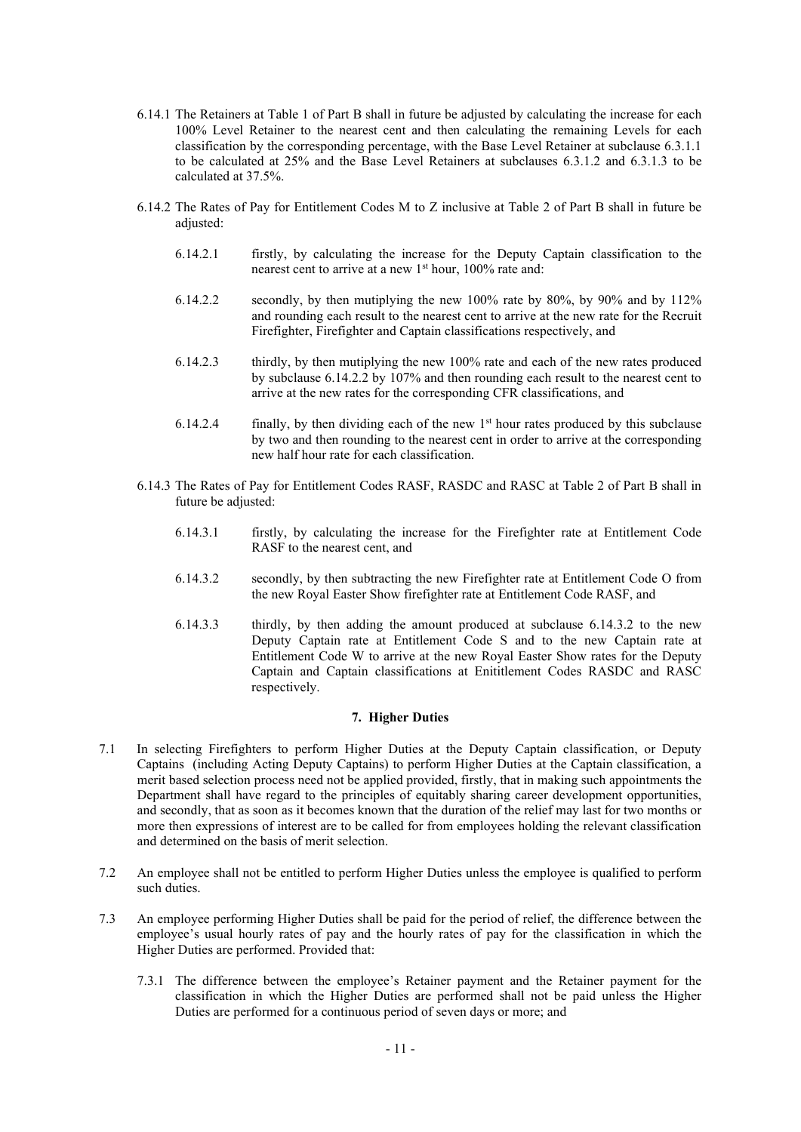- 6.14.1 The Retainers at Table 1 of Part B shall in future be adjusted by calculating the increase for each 100% Level Retainer to the nearest cent and then calculating the remaining Levels for each classification by the corresponding percentage, with the Base Level Retainer at subclause 6.3.1.1 to be calculated at 25% and the Base Level Retainers at subclauses 6.3.1.2 and 6.3.1.3 to be calculated at 37.5%.
- 6.14.2 The Rates of Pay for Entitlement Codes M to Z inclusive at Table 2 of Part B shall in future be adjusted:
	- 6.14.2.1 firstly, by calculating the increase for the Deputy Captain classification to the nearest cent to arrive at a new 1<sup>st</sup> hour, 100% rate and:
	- 6.14.2.2 secondly, by then mutiplying the new 100% rate by 80%, by 90% and by 112% and rounding each result to the nearest cent to arrive at the new rate for the Recruit Firefighter, Firefighter and Captain classifications respectively, and
	- 6.14.2.3 thirdly, by then mutiplying the new 100% rate and each of the new rates produced by subclause 6.14.2.2 by 107% and then rounding each result to the nearest cent to arrive at the new rates for the corresponding CFR classifications, and
	- 6.14.2.4 finally, by then dividing each of the new  $1<sup>st</sup>$  hour rates produced by this subclause by two and then rounding to the nearest cent in order to arrive at the corresponding new half hour rate for each classification.
- 6.14.3 The Rates of Pay for Entitlement Codes RASF, RASDC and RASC at Table 2 of Part B shall in future be adjusted:
	- 6.14.3.1 firstly, by calculating the increase for the Firefighter rate at Entitlement Code RASF to the nearest cent, and
	- 6.14.3.2 secondly, by then subtracting the new Firefighter rate at Entitlement Code O from the new Royal Easter Show firefighter rate at Entitlement Code RASF, and
	- 6.14.3.3 thirdly, by then adding the amount produced at subclause 6.14.3.2 to the new Deputy Captain rate at Entitlement Code S and to the new Captain rate at Entitlement Code W to arrive at the new Royal Easter Show rates for the Deputy Captain and Captain classifications at Enititlement Codes RASDC and RASC respectively.

# **7. Higher Duties**

- 7.1 In selecting Firefighters to perform Higher Duties at the Deputy Captain classification, or Deputy Captains (including Acting Deputy Captains) to perform Higher Duties at the Captain classification, a merit based selection process need not be applied provided, firstly, that in making such appointments the Department shall have regard to the principles of equitably sharing career development opportunities, and secondly, that as soon as it becomes known that the duration of the relief may last for two months or more then expressions of interest are to be called for from employees holding the relevant classification and determined on the basis of merit selection.
- 7.2 An employee shall not be entitled to perform Higher Duties unless the employee is qualified to perform such duties.
- 7.3 An employee performing Higher Duties shall be paid for the period of relief, the difference between the employee's usual hourly rates of pay and the hourly rates of pay for the classification in which the Higher Duties are performed. Provided that:
	- 7.3.1 The difference between the employee's Retainer payment and the Retainer payment for the classification in which the Higher Duties are performed shall not be paid unless the Higher Duties are performed for a continuous period of seven days or more; and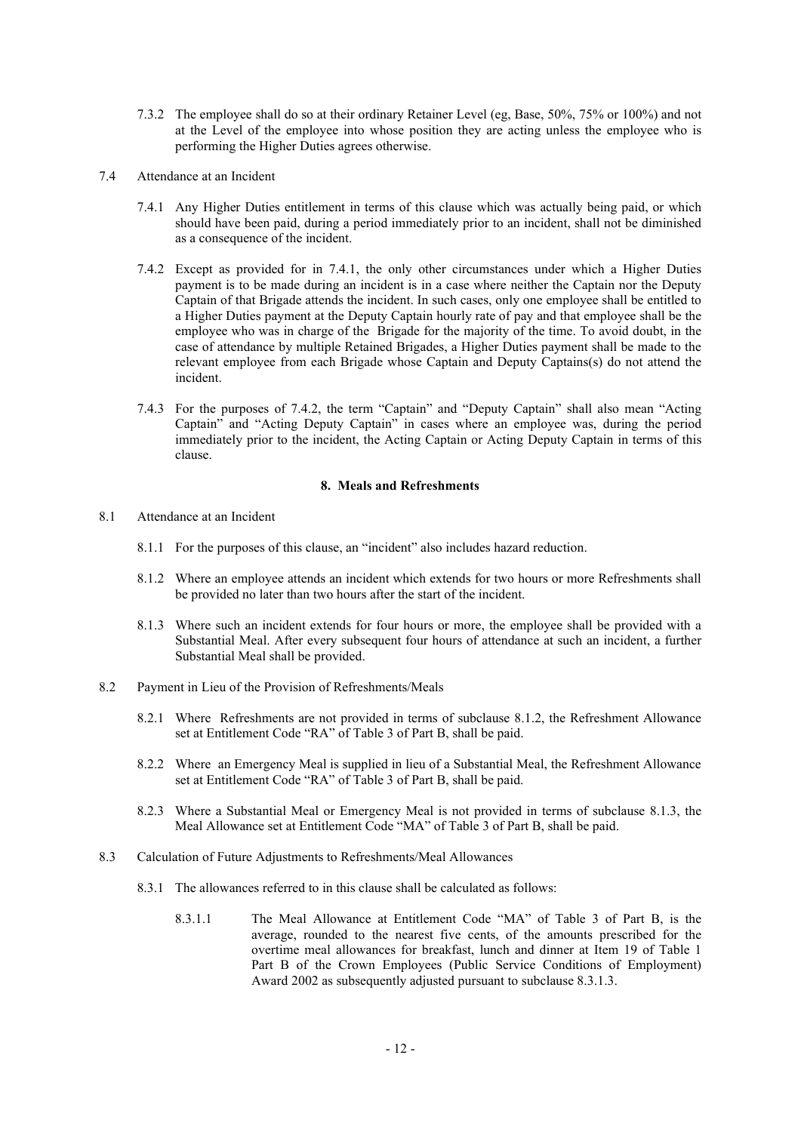- 7.3.2 The employee shall do so at their ordinary Retainer Level (eg, Base, 50%, 75% or 100%) and not at the Level of the employee into whose position they are acting unless the employee who is performing the Higher Duties agrees otherwise.
- 7.4 Attendance at an Incident
	- 7.4.1 Any Higher Duties entitlement in terms of this clause which was actually being paid, or which should have been paid, during a period immediately prior to an incident, shall not be diminished as a consequence of the incident.
	- 7.4.2 Except as provided for in 7.4.1, the only other circumstances under which a Higher Duties payment is to be made during an incident is in a case where neither the Captain nor the Deputy Captain of that Brigade attends the incident. In such cases, only one employee shall be entitled to a Higher Duties payment at the Deputy Captain hourly rate of pay and that employee shall be the employee who was in charge of the Brigade for the majority of the time. To avoid doubt, in the case of attendance by multiple Retained Brigades, a Higher Duties payment shall be made to the relevant employee from each Brigade whose Captain and Deputy Captains(s) do not attend the incident.
	- 7.4.3 For the purposes of 7.4.2, the term "Captain" and "Deputy Captain" shall also mean "Acting Captain" and "Acting Deputy Captain" in cases where an employee was, during the period immediately prior to the incident, the Acting Captain or Acting Deputy Captain in terms of this clause.

# **8. Meals and Refreshments**

- 8.1 Attendance at an Incident
	- 8.1.1 For the purposes of this clause, an "incident" also includes hazard reduction.
	- 8.1.2 Where an employee attends an incident which extends for two hours or more Refreshments shall be provided no later than two hours after the start of the incident.
	- 8.1.3 Where such an incident extends for four hours or more, the employee shall be provided with a Substantial Meal. After every subsequent four hours of attendance at such an incident, a further Substantial Meal shall be provided.
- 8.2 Payment in Lieu of the Provision of Refreshments/Meals
	- 8.2.1 Where Refreshments are not provided in terms of subclause 8.1.2, the Refreshment Allowance set at Entitlement Code "RA" of Table 3 of Part B, shall be paid.
	- 8.2.2 Where an Emergency Meal is supplied in lieu of a Substantial Meal, the Refreshment Allowance set at Entitlement Code "RA" of Table 3 of Part B, shall be paid.
	- 8.2.3 Where a Substantial Meal or Emergency Meal is not provided in terms of subclause 8.1.3, the Meal Allowance set at Entitlement Code "MA" of Table 3 of Part B, shall be paid.
- 8.3 Calculation of Future Adjustments to Refreshments/Meal Allowances
	- 8.3.1 The allowances referred to in this clause shall be calculated as follows:
		- 8.3.1.1 The Meal Allowance at Entitlement Code "MA" of Table 3 of Part B, is the average, rounded to the nearest five cents, of the amounts prescribed for the overtime meal allowances for breakfast, lunch and dinner at Item 19 of Table 1 Part B of the Crown Employees (Public Service Conditions of Employment) Award 2002 as subsequently adjusted pursuant to subclause 8.3.1.3.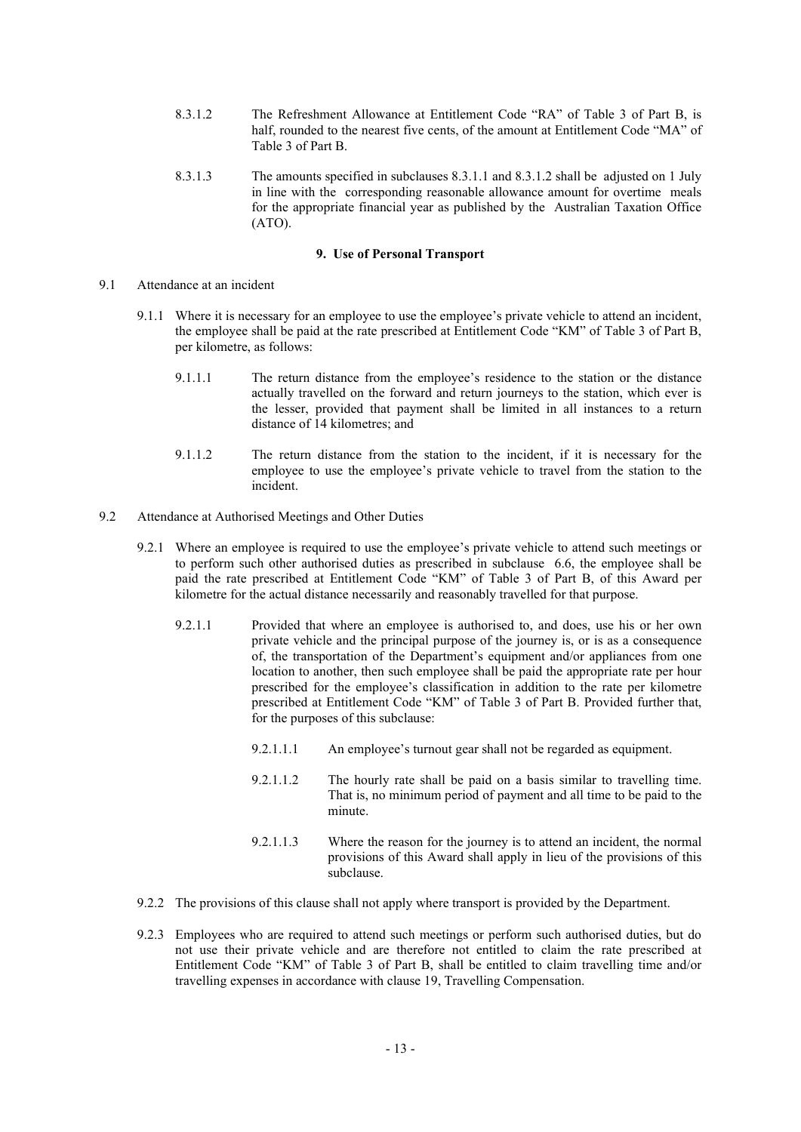- 8.3.1.2 The Refreshment Allowance at Entitlement Code "RA" of Table 3 of Part B, is half, rounded to the nearest five cents, of the amount at Entitlement Code "MA" of Table 3 of Part B.
- 8.3.1.3 The amounts specified in subclauses 8.3.1.1 and 8.3.1.2 shall be adjusted on 1 July in line with the corresponding reasonable allowance amount for overtime meals for the appropriate financial year as published by the Australian Taxation Office (ATO).

#### **9. Use of Personal Transport**

- 9.1 Attendance at an incident
	- 9.1.1 Where it is necessary for an employee to use the employee's private vehicle to attend an incident, the employee shall be paid at the rate prescribed at Entitlement Code "KM" of Table 3 of Part B, per kilometre, as follows:
		- 9.1.1.1 The return distance from the employee's residence to the station or the distance actually travelled on the forward and return journeys to the station, which ever is the lesser, provided that payment shall be limited in all instances to a return distance of 14 kilometres; and
		- 9.1.1.2 The return distance from the station to the incident, if it is necessary for the employee to use the employee's private vehicle to travel from the station to the incident.
- 9.2 Attendance at Authorised Meetings and Other Duties
	- 9.2.1 Where an employee is required to use the employee's private vehicle to attend such meetings or to perform such other authorised duties as prescribed in subclause 6.6, the employee shall be paid the rate prescribed at Entitlement Code "KM" of Table 3 of Part B, of this Award per kilometre for the actual distance necessarily and reasonably travelled for that purpose.
		- 9.2.1.1 Provided that where an employee is authorised to, and does, use his or her own private vehicle and the principal purpose of the journey is, or is as a consequence of, the transportation of the Department's equipment and/or appliances from one location to another, then such employee shall be paid the appropriate rate per hour prescribed for the employee's classification in addition to the rate per kilometre prescribed at Entitlement Code "KM" of Table 3 of Part B. Provided further that, for the purposes of this subclause:
			- 9.2.1.1.1 An employee's turnout gear shall not be regarded as equipment.
			- 9.2.1.1.2 The hourly rate shall be paid on a basis similar to travelling time. That is, no minimum period of payment and all time to be paid to the minute.
			- 9.2.1.1.3 Where the reason for the journey is to attend an incident, the normal provisions of this Award shall apply in lieu of the provisions of this subclause.
	- 9.2.2 The provisions of this clause shall not apply where transport is provided by the Department.
	- 9.2.3 Employees who are required to attend such meetings or perform such authorised duties, but do not use their private vehicle and are therefore not entitled to claim the rate prescribed at Entitlement Code "KM" of Table 3 of Part B, shall be entitled to claim travelling time and/or travelling expenses in accordance with clause 19, Travelling Compensation.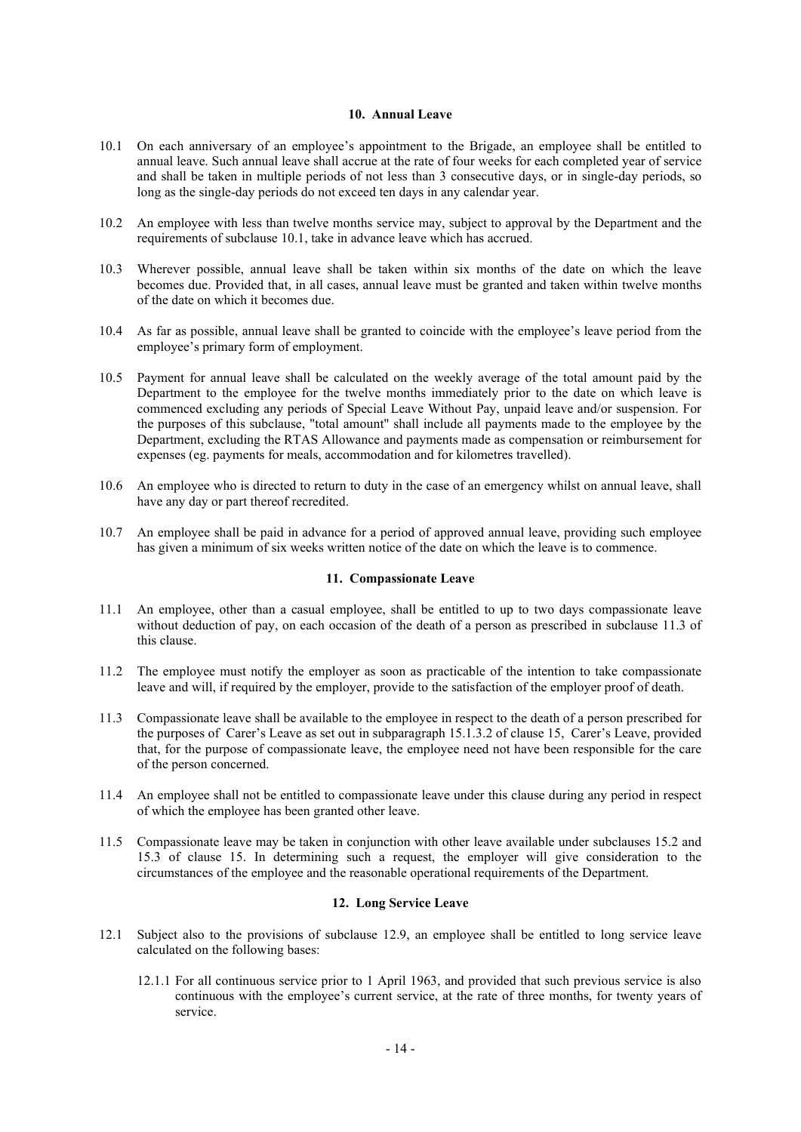# **10. Annual Leave**

- 10.1 On each anniversary of an employee's appointment to the Brigade, an employee shall be entitled to annual leave. Such annual leave shall accrue at the rate of four weeks for each completed year of service and shall be taken in multiple periods of not less than 3 consecutive days, or in single-day periods, so long as the single-day periods do not exceed ten days in any calendar year.
- 10.2 An employee with less than twelve months service may, subject to approval by the Department and the requirements of subclause 10.1, take in advance leave which has accrued.
- 10.3 Wherever possible, annual leave shall be taken within six months of the date on which the leave becomes due. Provided that, in all cases, annual leave must be granted and taken within twelve months of the date on which it becomes due.
- 10.4 As far as possible, annual leave shall be granted to coincide with the employee's leave period from the employee's primary form of employment.
- 10.5 Payment for annual leave shall be calculated on the weekly average of the total amount paid by the Department to the employee for the twelve months immediately prior to the date on which leave is commenced excluding any periods of Special Leave Without Pay, unpaid leave and/or suspension. For the purposes of this subclause, "total amount" shall include all payments made to the employee by the Department, excluding the RTAS Allowance and payments made as compensation or reimbursement for expenses (eg. payments for meals, accommodation and for kilometres travelled).
- 10.6 An employee who is directed to return to duty in the case of an emergency whilst on annual leave, shall have any day or part thereof recredited.
- 10.7 An employee shall be paid in advance for a period of approved annual leave, providing such employee has given a minimum of six weeks written notice of the date on which the leave is to commence.

# **11. Compassionate Leave**

- 11.1 An employee, other than a casual employee, shall be entitled to up to two days compassionate leave without deduction of pay, on each occasion of the death of a person as prescribed in subclause 11.3 of this clause.
- 11.2 The employee must notify the employer as soon as practicable of the intention to take compassionate leave and will, if required by the employer, provide to the satisfaction of the employer proof of death.
- 11.3 Compassionate leave shall be available to the employee in respect to the death of a person prescribed for the purposes of Carer's Leave as set out in subparagraph 15.1.3.2 of clause 15, Carer's Leave, provided that, for the purpose of compassionate leave, the employee need not have been responsible for the care of the person concerned.
- 11.4 An employee shall not be entitled to compassionate leave under this clause during any period in respect of which the employee has been granted other leave.
- 11.5 Compassionate leave may be taken in conjunction with other leave available under subclauses 15.2 and 15.3 of clause 15. In determining such a request, the employer will give consideration to the circumstances of the employee and the reasonable operational requirements of the Department.

## **12. Long Service Leave**

- 12.1 Subject also to the provisions of subclause 12.9, an employee shall be entitled to long service leave calculated on the following bases:
	- 12.1.1 For all continuous service prior to 1 April 1963, and provided that such previous service is also continuous with the employee's current service, at the rate of three months, for twenty years of service.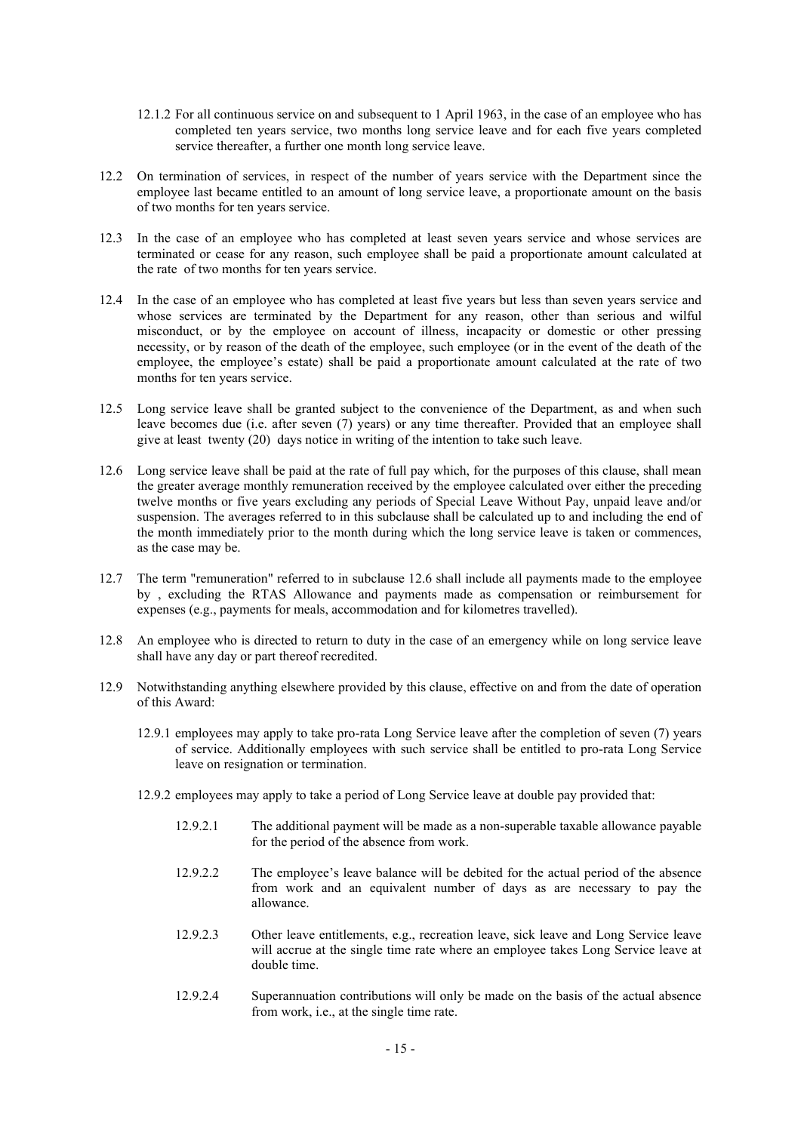- 12.1.2 For all continuous service on and subsequent to 1 April 1963, in the case of an employee who has completed ten years service, two months long service leave and for each five years completed service thereafter, a further one month long service leave.
- 12.2 On termination of services, in respect of the number of years service with the Department since the employee last became entitled to an amount of long service leave, a proportionate amount on the basis of two months for ten years service.
- 12.3 In the case of an employee who has completed at least seven years service and whose services are terminated or cease for any reason, such employee shall be paid a proportionate amount calculated at the rate of two months for ten years service.
- 12.4 In the case of an employee who has completed at least five years but less than seven years service and whose services are terminated by the Department for any reason, other than serious and wilful misconduct, or by the employee on account of illness, incapacity or domestic or other pressing necessity, or by reason of the death of the employee, such employee (or in the event of the death of the employee, the employee's estate) shall be paid a proportionate amount calculated at the rate of two months for ten years service.
- 12.5 Long service leave shall be granted subject to the convenience of the Department, as and when such leave becomes due (i.e. after seven (7) years) or any time thereafter. Provided that an employee shall give at least twenty (20) days notice in writing of the intention to take such leave.
- 12.6 Long service leave shall be paid at the rate of full pay which, for the purposes of this clause, shall mean the greater average monthly remuneration received by the employee calculated over either the preceding twelve months or five years excluding any periods of Special Leave Without Pay, unpaid leave and/or suspension. The averages referred to in this subclause shall be calculated up to and including the end of the month immediately prior to the month during which the long service leave is taken or commences, as the case may be.
- 12.7 The term "remuneration" referred to in subclause 12.6 shall include all payments made to the employee by , excluding the RTAS Allowance and payments made as compensation or reimbursement for expenses (e.g., payments for meals, accommodation and for kilometres travelled).
- 12.8 An employee who is directed to return to duty in the case of an emergency while on long service leave shall have any day or part thereof recredited.
- 12.9 Notwithstanding anything elsewhere provided by this clause, effective on and from the date of operation of this Award:
	- 12.9.1 employees may apply to take pro-rata Long Service leave after the completion of seven (7) years of service. Additionally employees with such service shall be entitled to pro-rata Long Service leave on resignation or termination.
	- 12.9.2 employees may apply to take a period of Long Service leave at double pay provided that:
		- 12.9.2.1 The additional payment will be made as a non-superable taxable allowance payable for the period of the absence from work.
		- 12.9.2.2 The employee's leave balance will be debited for the actual period of the absence from work and an equivalent number of days as are necessary to pay the allowance.
		- 12.9.2.3 Other leave entitlements, e.g., recreation leave, sick leave and Long Service leave will accrue at the single time rate where an employee takes Long Service leave at double time.
		- 12.9.2.4 Superannuation contributions will only be made on the basis of the actual absence from work, i.e., at the single time rate.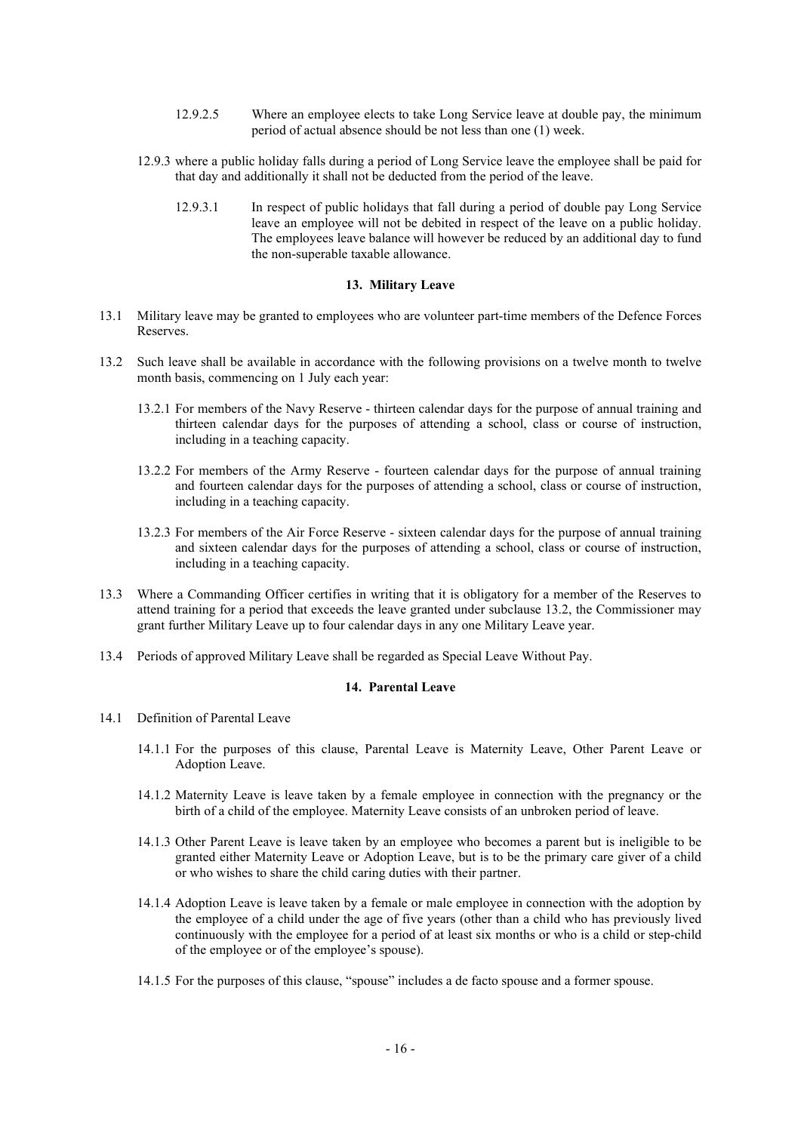- 12.9.2.5 Where an employee elects to take Long Service leave at double pay, the minimum period of actual absence should be not less than one (1) week.
- 12.9.3 where a public holiday falls during a period of Long Service leave the employee shall be paid for that day and additionally it shall not be deducted from the period of the leave.
	- 12.9.3.1 In respect of public holidays that fall during a period of double pay Long Service leave an employee will not be debited in respect of the leave on a public holiday. The employees leave balance will however be reduced by an additional day to fund the non-superable taxable allowance.

#### **13. Military Leave**

- 13.1 Military leave may be granted to employees who are volunteer part-time members of the Defence Forces Reserves.
- 13.2 Such leave shall be available in accordance with the following provisions on a twelve month to twelve month basis, commencing on 1 July each year:
	- 13.2.1 For members of the Navy Reserve thirteen calendar days for the purpose of annual training and thirteen calendar days for the purposes of attending a school, class or course of instruction, including in a teaching capacity.
	- 13.2.2 For members of the Army Reserve fourteen calendar days for the purpose of annual training and fourteen calendar days for the purposes of attending a school, class or course of instruction, including in a teaching capacity.
	- 13.2.3 For members of the Air Force Reserve sixteen calendar days for the purpose of annual training and sixteen calendar days for the purposes of attending a school, class or course of instruction, including in a teaching capacity.
- 13.3 Where a Commanding Officer certifies in writing that it is obligatory for a member of the Reserves to attend training for a period that exceeds the leave granted under subclause 13.2, the Commissioner may grant further Military Leave up to four calendar days in any one Military Leave year.
- 13.4 Periods of approved Military Leave shall be regarded as Special Leave Without Pay.

# **14. Parental Leave**

- 14.1 Definition of Parental Leave
	- 14.1.1 For the purposes of this clause, Parental Leave is Maternity Leave, Other Parent Leave or Adoption Leave.
	- 14.1.2 Maternity Leave is leave taken by a female employee in connection with the pregnancy or the birth of a child of the employee. Maternity Leave consists of an unbroken period of leave.
	- 14.1.3 Other Parent Leave is leave taken by an employee who becomes a parent but is ineligible to be granted either Maternity Leave or Adoption Leave, but is to be the primary care giver of a child or who wishes to share the child caring duties with their partner.
	- 14.1.4 Adoption Leave is leave taken by a female or male employee in connection with the adoption by the employee of a child under the age of five years (other than a child who has previously lived continuously with the employee for a period of at least six months or who is a child or step-child of the employee or of the employee's spouse).
	- 14.1.5 For the purposes of this clause, "spouse" includes a de facto spouse and a former spouse.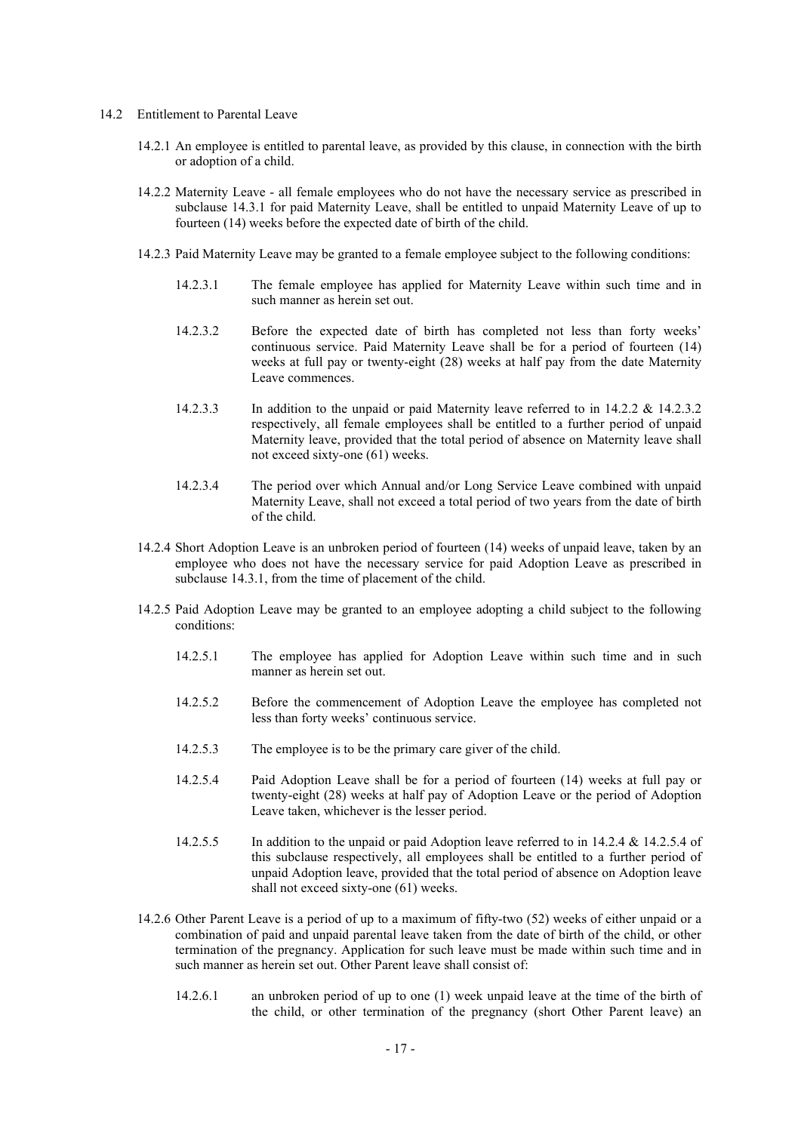- 14.2 Entitlement to Parental Leave
	- 14.2.1 An employee is entitled to parental leave, as provided by this clause, in connection with the birth or adoption of a child.
	- 14.2.2 Maternity Leave all female employees who do not have the necessary service as prescribed in subclause 14.3.1 for paid Maternity Leave, shall be entitled to unpaid Maternity Leave of up to fourteen (14) weeks before the expected date of birth of the child.
	- 14.2.3 Paid Maternity Leave may be granted to a female employee subject to the following conditions:
		- 14.2.3.1 The female employee has applied for Maternity Leave within such time and in such manner as herein set out.
		- 14.2.3.2 Before the expected date of birth has completed not less than forty weeks' continuous service. Paid Maternity Leave shall be for a period of fourteen (14) weeks at full pay or twenty-eight (28) weeks at half pay from the date Maternity Leave commences.
		- 14.2.3.3 In addition to the unpaid or paid Maternity leave referred to in 14.2.2 & 14.2.3.2 respectively, all female employees shall be entitled to a further period of unpaid Maternity leave, provided that the total period of absence on Maternity leave shall not exceed sixty-one (61) weeks.
		- 14.2.3.4 The period over which Annual and/or Long Service Leave combined with unpaid Maternity Leave, shall not exceed a total period of two years from the date of birth of the child.
	- 14.2.4 Short Adoption Leave is an unbroken period of fourteen (14) weeks of unpaid leave, taken by an employee who does not have the necessary service for paid Adoption Leave as prescribed in subclause 14.3.1, from the time of placement of the child.
	- 14.2.5 Paid Adoption Leave may be granted to an employee adopting a child subject to the following conditions:
		- 14.2.5.1 The employee has applied for Adoption Leave within such time and in such manner as herein set out.
		- 14.2.5.2 Before the commencement of Adoption Leave the employee has completed not less than forty weeks' continuous service.
		- 14.2.5.3 The employee is to be the primary care giver of the child.
		- 14.2.5.4 Paid Adoption Leave shall be for a period of fourteen (14) weeks at full pay or twenty-eight (28) weeks at half pay of Adoption Leave or the period of Adoption Leave taken, whichever is the lesser period.
		- 14.2.5.5 In addition to the unpaid or paid Adoption leave referred to in 14.2.4 & 14.2.5.4 of this subclause respectively, all employees shall be entitled to a further period of unpaid Adoption leave, provided that the total period of absence on Adoption leave shall not exceed sixty-one (61) weeks.
	- 14.2.6 Other Parent Leave is a period of up to a maximum of fifty-two (52) weeks of either unpaid or a combination of paid and unpaid parental leave taken from the date of birth of the child, or other termination of the pregnancy. Application for such leave must be made within such time and in such manner as herein set out. Other Parent leave shall consist of:
		- 14.2.6.1 an unbroken period of up to one (1) week unpaid leave at the time of the birth of the child, or other termination of the pregnancy (short Other Parent leave) an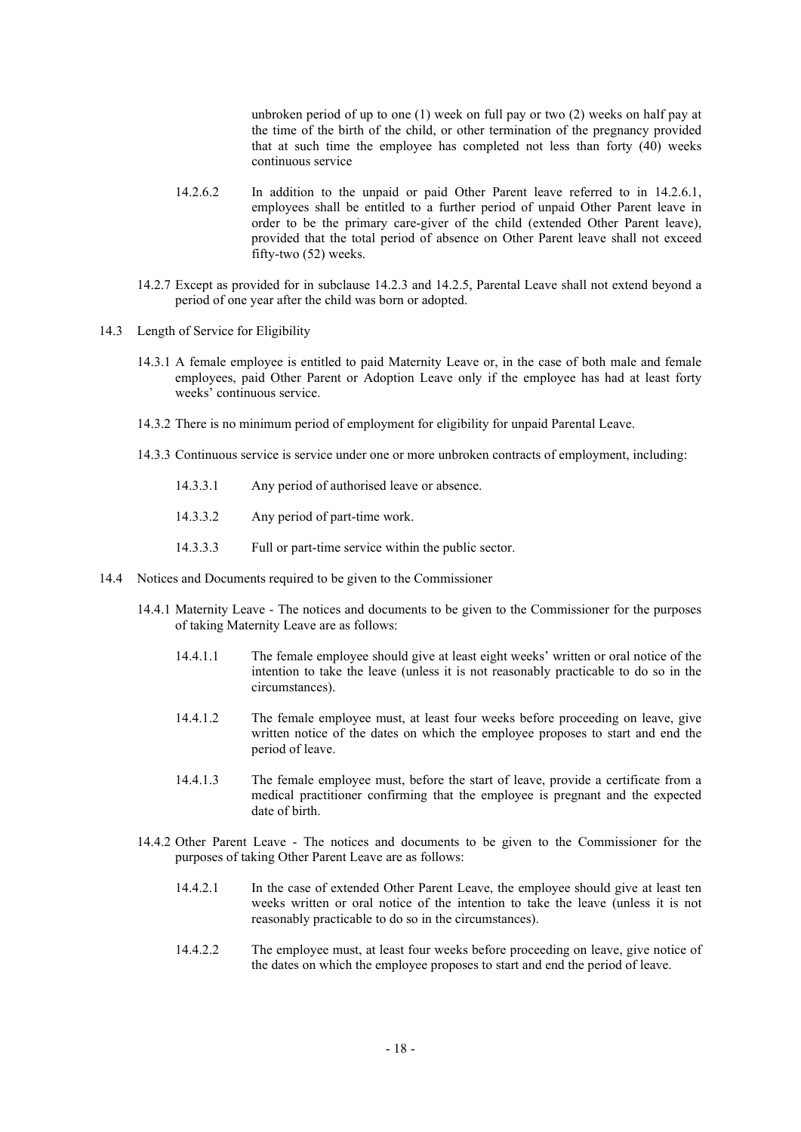unbroken period of up to one (1) week on full pay or two (2) weeks on half pay at the time of the birth of the child, or other termination of the pregnancy provided that at such time the employee has completed not less than forty (40) weeks continuous service

- 14.2.6.2 In addition to the unpaid or paid Other Parent leave referred to in 14.2.6.1, employees shall be entitled to a further period of unpaid Other Parent leave in order to be the primary care-giver of the child (extended Other Parent leave), provided that the total period of absence on Other Parent leave shall not exceed fifty-two (52) weeks.
- 14.2.7 Except as provided for in subclause 14.2.3 and 14.2.5, Parental Leave shall not extend beyond a period of one year after the child was born or adopted.
- 14.3 Length of Service for Eligibility
	- 14.3.1 A female employee is entitled to paid Maternity Leave or, in the case of both male and female employees, paid Other Parent or Adoption Leave only if the employee has had at least forty weeks' continuous service.
	- 14.3.2 There is no minimum period of employment for eligibility for unpaid Parental Leave.
	- 14.3.3 Continuous service is service under one or more unbroken contracts of employment, including:
		- 14.3.3.1 Any period of authorised leave or absence.
		- 14.3.3.2 Any period of part-time work.
		- 14.3.3.3 Full or part-time service within the public sector.
- 14.4 Notices and Documents required to be given to the Commissioner
	- 14.4.1 Maternity Leave The notices and documents to be given to the Commissioner for the purposes of taking Maternity Leave are as follows:
		- 14.4.1.1 The female employee should give at least eight weeks' written or oral notice of the intention to take the leave (unless it is not reasonably practicable to do so in the circumstances).
		- 14.4.1.2 The female employee must, at least four weeks before proceeding on leave, give written notice of the dates on which the employee proposes to start and end the period of leave.
		- 14.4.1.3 The female employee must, before the start of leave, provide a certificate from a medical practitioner confirming that the employee is pregnant and the expected date of birth.
	- 14.4.2 Other Parent Leave The notices and documents to be given to the Commissioner for the purposes of taking Other Parent Leave are as follows:
		- 14.4.2.1 In the case of extended Other Parent Leave, the employee should give at least ten weeks written or oral notice of the intention to take the leave (unless it is not reasonably practicable to do so in the circumstances).
		- 14.4.2.2 The employee must, at least four weeks before proceeding on leave, give notice of the dates on which the employee proposes to start and end the period of leave.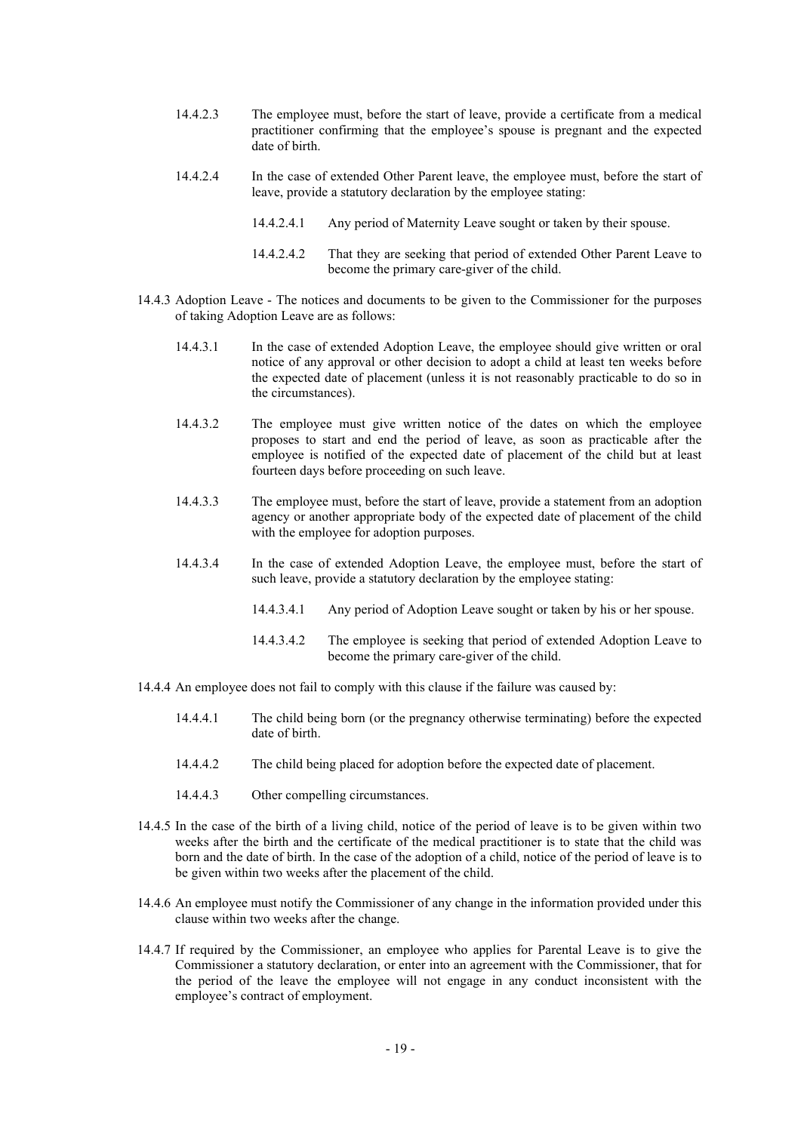- 14.4.2.3 The employee must, before the start of leave, provide a certificate from a medical practitioner confirming that the employee's spouse is pregnant and the expected date of birth.
- 14.4.2.4 In the case of extended Other Parent leave, the employee must, before the start of leave, provide a statutory declaration by the employee stating:
	- 14.4.2.4.1 Any period of Maternity Leave sought or taken by their spouse.
	- 14.4.2.4.2 That they are seeking that period of extended Other Parent Leave to become the primary care-giver of the child.
- 14.4.3 Adoption Leave The notices and documents to be given to the Commissioner for the purposes of taking Adoption Leave are as follows:
	- 14.4.3.1 In the case of extended Adoption Leave, the employee should give written or oral notice of any approval or other decision to adopt a child at least ten weeks before the expected date of placement (unless it is not reasonably practicable to do so in the circumstances).
	- 14.4.3.2 The employee must give written notice of the dates on which the employee proposes to start and end the period of leave, as soon as practicable after the employee is notified of the expected date of placement of the child but at least fourteen days before proceeding on such leave.
	- 14.4.3.3 The employee must, before the start of leave, provide a statement from an adoption agency or another appropriate body of the expected date of placement of the child with the employee for adoption purposes.
	- 14.4.3.4 In the case of extended Adoption Leave, the employee must, before the start of such leave, provide a statutory declaration by the employee stating:
		- 14.4.3.4.1 Any period of Adoption Leave sought or taken by his or her spouse.
		- 14.4.3.4.2 The employee is seeking that period of extended Adoption Leave to become the primary care-giver of the child.
- 14.4.4 An employee does not fail to comply with this clause if the failure was caused by:
	- 14.4.4.1 The child being born (or the pregnancy otherwise terminating) before the expected date of birth.
	- 14.4.4.2 The child being placed for adoption before the expected date of placement.
	- 14.4.4.3 Other compelling circumstances.
- 14.4.5 In the case of the birth of a living child, notice of the period of leave is to be given within two weeks after the birth and the certificate of the medical practitioner is to state that the child was born and the date of birth. In the case of the adoption of a child, notice of the period of leave is to be given within two weeks after the placement of the child.
- 14.4.6 An employee must notify the Commissioner of any change in the information provided under this clause within two weeks after the change.
- 14.4.7 If required by the Commissioner, an employee who applies for Parental Leave is to give the Commissioner a statutory declaration, or enter into an agreement with the Commissioner, that for the period of the leave the employee will not engage in any conduct inconsistent with the employee's contract of employment.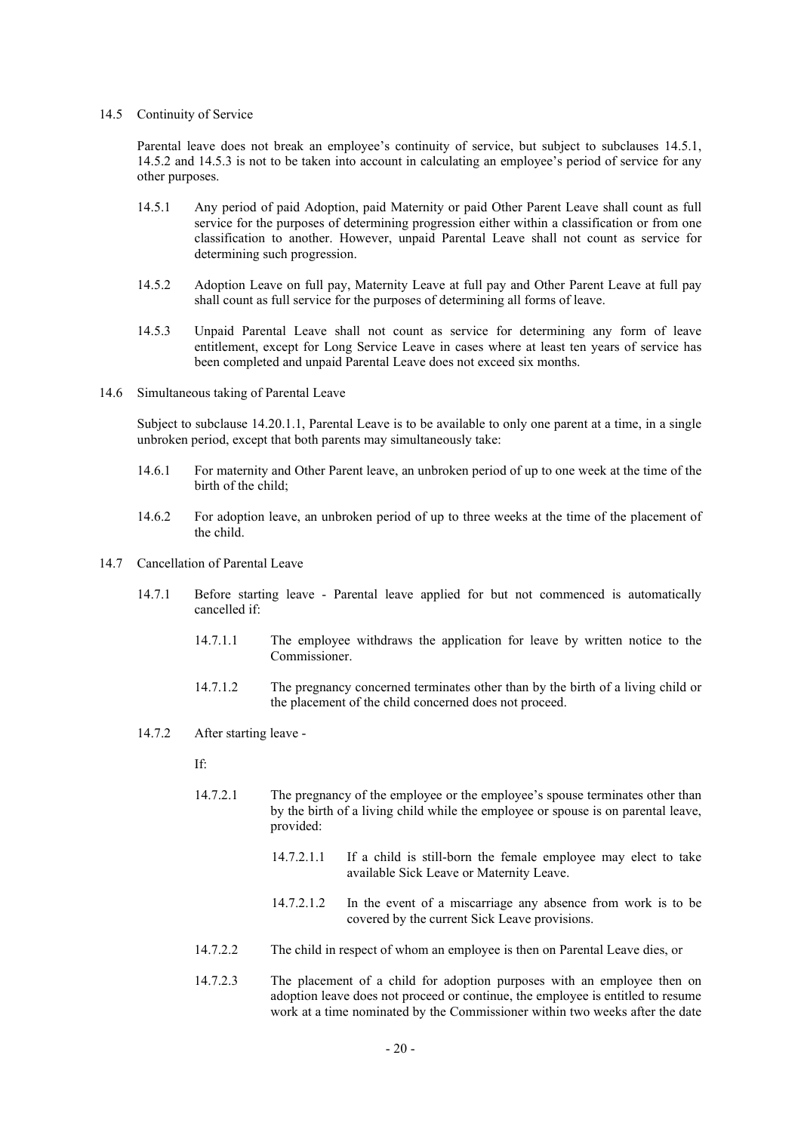# 14.5 Continuity of Service

Parental leave does not break an employee's continuity of service, but subject to subclauses 14.5.1, 14.5.2 and 14.5.3 is not to be taken into account in calculating an employee's period of service for any other purposes.

- 14.5.1 Any period of paid Adoption, paid Maternity or paid Other Parent Leave shall count as full service for the purposes of determining progression either within a classification or from one classification to another. However, unpaid Parental Leave shall not count as service for determining such progression.
- 14.5.2 Adoption Leave on full pay, Maternity Leave at full pay and Other Parent Leave at full pay shall count as full service for the purposes of determining all forms of leave.
- 14.5.3 Unpaid Parental Leave shall not count as service for determining any form of leave entitlement, except for Long Service Leave in cases where at least ten years of service has been completed and unpaid Parental Leave does not exceed six months.
- 14.6 Simultaneous taking of Parental Leave

Subject to subclause 14.20.1.1, Parental Leave is to be available to only one parent at a time, in a single unbroken period, except that both parents may simultaneously take:

- 14.6.1 For maternity and Other Parent leave, an unbroken period of up to one week at the time of the birth of the child;
- 14.6.2 For adoption leave, an unbroken period of up to three weeks at the time of the placement of the child.
- 14.7 Cancellation of Parental Leave
	- 14.7.1 Before starting leave Parental leave applied for but not commenced is automatically cancelled if:
		- 14.7.1.1 The employee withdraws the application for leave by written notice to the Commissioner.
		- 14.7.1.2 The pregnancy concerned terminates other than by the birth of a living child or the placement of the child concerned does not proceed.
	- 14.7.2 After starting leave
		- If:
		- 14.7.2.1 The pregnancy of the employee or the employee's spouse terminates other than by the birth of a living child while the employee or spouse is on parental leave, provided:
			- 14.7.2.1.1 If a child is still-born the female employee may elect to take available Sick Leave or Maternity Leave.
			- 14.7.2.1.2 In the event of a miscarriage any absence from work is to be covered by the current Sick Leave provisions.
		- 14.7.2.2 The child in respect of whom an employee is then on Parental Leave dies, or
		- 14.7.2.3 The placement of a child for adoption purposes with an employee then on adoption leave does not proceed or continue, the employee is entitled to resume work at a time nominated by the Commissioner within two weeks after the date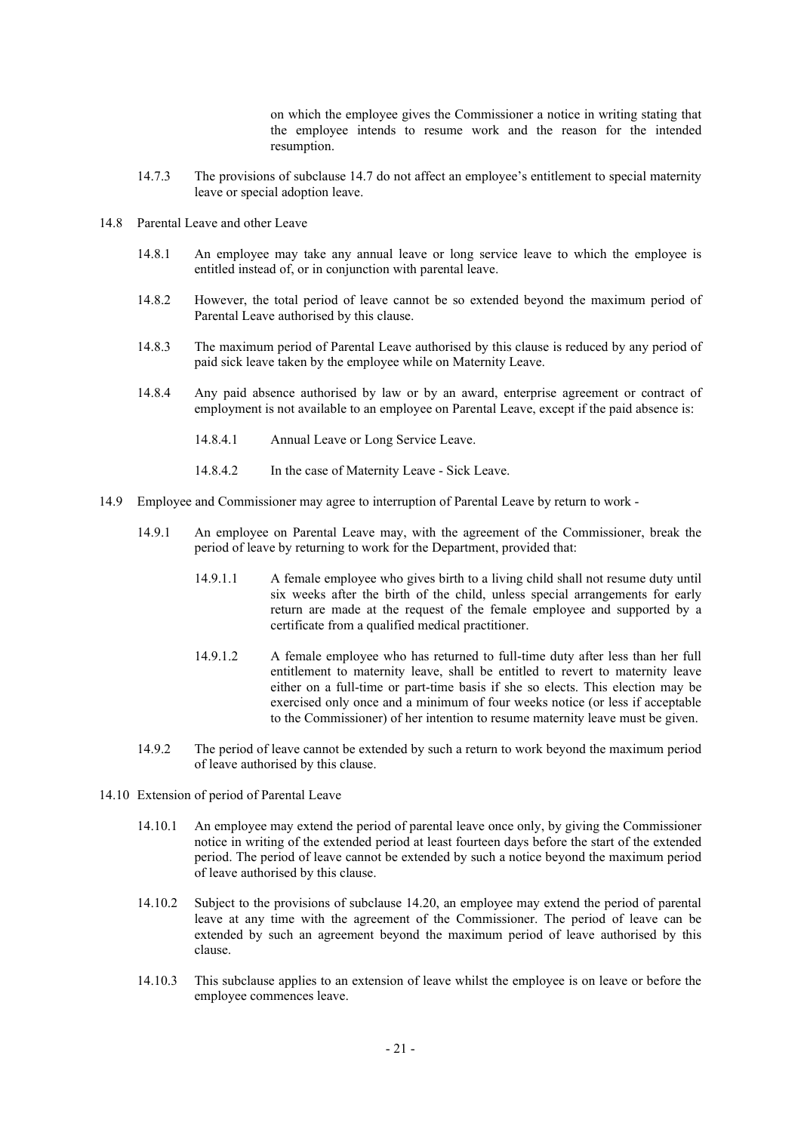on which the employee gives the Commissioner a notice in writing stating that the employee intends to resume work and the reason for the intended resumption.

- 14.7.3 The provisions of subclause 14.7 do not affect an employee's entitlement to special maternity leave or special adoption leave.
- 14.8 Parental Leave and other Leave
	- 14.8.1 An employee may take any annual leave or long service leave to which the employee is entitled instead of, or in conjunction with parental leave.
	- 14.8.2 However, the total period of leave cannot be so extended beyond the maximum period of Parental Leave authorised by this clause.
	- 14.8.3 The maximum period of Parental Leave authorised by this clause is reduced by any period of paid sick leave taken by the employee while on Maternity Leave.
	- 14.8.4 Any paid absence authorised by law or by an award, enterprise agreement or contract of employment is not available to an employee on Parental Leave, except if the paid absence is:
		- 14.8.4.1 Annual Leave or Long Service Leave.
		- 14.8.4.2 In the case of Maternity Leave Sick Leave.
- 14.9 Employee and Commissioner may agree to interruption of Parental Leave by return to work
	- 14.9.1 An employee on Parental Leave may, with the agreement of the Commissioner, break the period of leave by returning to work for the Department, provided that:
		- 14.9.1.1 A female employee who gives birth to a living child shall not resume duty until six weeks after the birth of the child, unless special arrangements for early return are made at the request of the female employee and supported by a certificate from a qualified medical practitioner.
		- 14.9.1.2 A female employee who has returned to full-time duty after less than her full entitlement to maternity leave, shall be entitled to revert to maternity leave either on a full-time or part-time basis if she so elects. This election may be exercised only once and a minimum of four weeks notice (or less if acceptable to the Commissioner) of her intention to resume maternity leave must be given.
	- 14.9.2 The period of leave cannot be extended by such a return to work beyond the maximum period of leave authorised by this clause.
- 14.10 Extension of period of Parental Leave
	- 14.10.1 An employee may extend the period of parental leave once only, by giving the Commissioner notice in writing of the extended period at least fourteen days before the start of the extended period. The period of leave cannot be extended by such a notice beyond the maximum period of leave authorised by this clause.
	- 14.10.2 Subject to the provisions of subclause 14.20, an employee may extend the period of parental leave at any time with the agreement of the Commissioner. The period of leave can be extended by such an agreement beyond the maximum period of leave authorised by this clause.
	- 14.10.3 This subclause applies to an extension of leave whilst the employee is on leave or before the employee commences leave.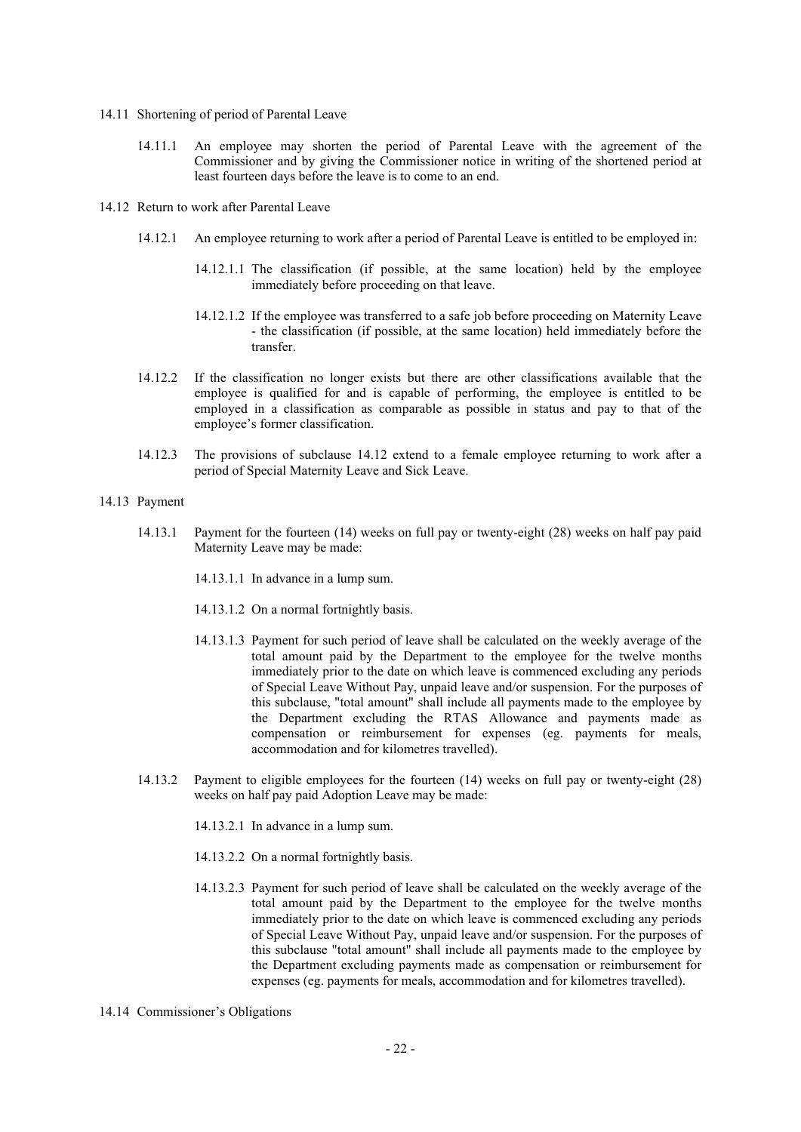- 14.11 Shortening of period of Parental Leave
	- 14.11.1 An employee may shorten the period of Parental Leave with the agreement of the Commissioner and by giving the Commissioner notice in writing of the shortened period at least fourteen days before the leave is to come to an end.
- 14.12 Return to work after Parental Leave
	- 14.12.1 An employee returning to work after a period of Parental Leave is entitled to be employed in:
		- 14.12.1.1 The classification (if possible, at the same location) held by the employee immediately before proceeding on that leave.
		- 14.12.1.2 If the employee was transferred to a safe job before proceeding on Maternity Leave - the classification (if possible, at the same location) held immediately before the transfer.
	- 14.12.2 If the classification no longer exists but there are other classifications available that the employee is qualified for and is capable of performing, the employee is entitled to be employed in a classification as comparable as possible in status and pay to that of the employee's former classification.
	- 14.12.3 The provisions of subclause 14.12 extend to a female employee returning to work after a period of Special Maternity Leave and Sick Leave.
- 14.13 Payment
	- 14.13.1 Payment for the fourteen (14) weeks on full pay or twenty-eight (28) weeks on half pay paid Maternity Leave may be made:
		- 14.13.1.1 In advance in a lump sum.
		- 14.13.1.2 On a normal fortnightly basis.
		- 14.13.1.3 Payment for such period of leave shall be calculated on the weekly average of the total amount paid by the Department to the employee for the twelve months immediately prior to the date on which leave is commenced excluding any periods of Special Leave Without Pay, unpaid leave and/or suspension. For the purposes of this subclause, "total amount" shall include all payments made to the employee by the Department excluding the RTAS Allowance and payments made as compensation or reimbursement for expenses (eg. payments for meals, accommodation and for kilometres travelled).
	- 14.13.2 Payment to eligible employees for the fourteen (14) weeks on full pay or twenty-eight (28) weeks on half pay paid Adoption Leave may be made:
		- 14.13.2.1 In advance in a lump sum.
		- 14.13.2.2 On a normal fortnightly basis.
		- 14.13.2.3 Payment for such period of leave shall be calculated on the weekly average of the total amount paid by the Department to the employee for the twelve months immediately prior to the date on which leave is commenced excluding any periods of Special Leave Without Pay, unpaid leave and/or suspension. For the purposes of this subclause "total amount" shall include all payments made to the employee by the Department excluding payments made as compensation or reimbursement for expenses (eg. payments for meals, accommodation and for kilometres travelled).
- 14.14 Commissioner's Obligations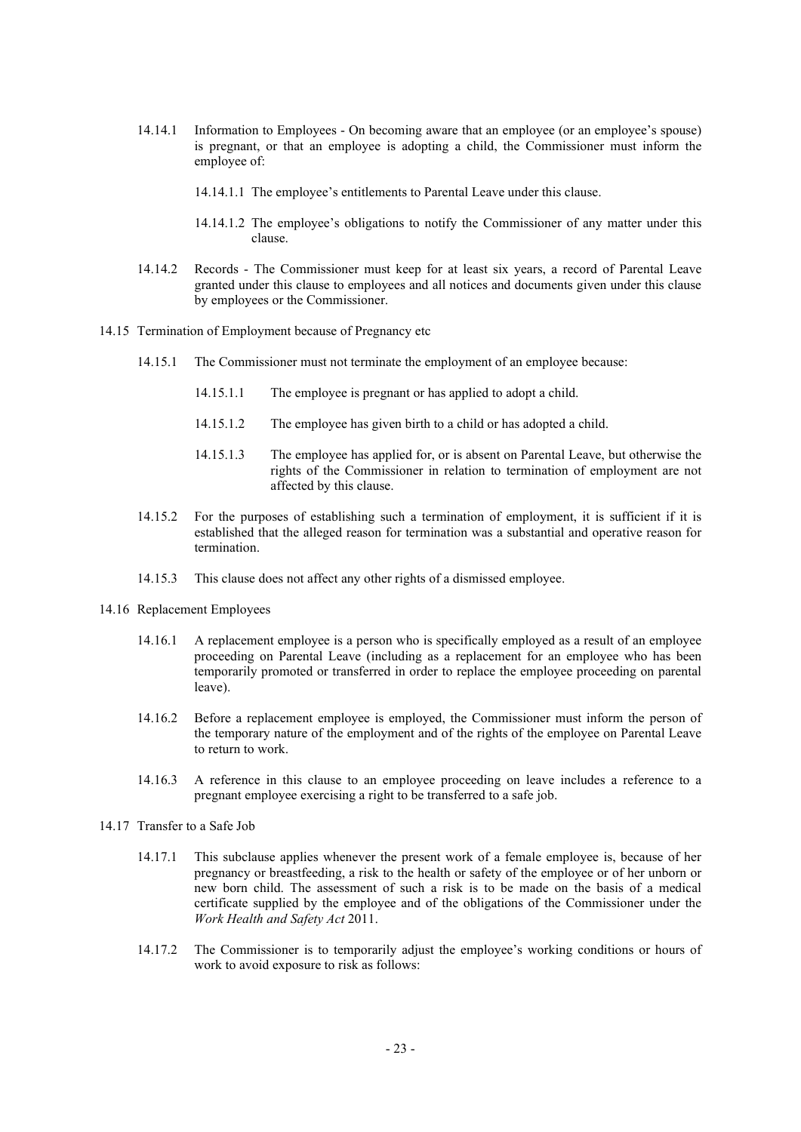- 14.14.1 Information to Employees On becoming aware that an employee (or an employee's spouse) is pregnant, or that an employee is adopting a child, the Commissioner must inform the employee of:
	- 14.14.1.1 The employee's entitlements to Parental Leave under this clause.
	- 14.14.1.2 The employee's obligations to notify the Commissioner of any matter under this clause.
- 14.14.2 Records The Commissioner must keep for at least six years, a record of Parental Leave granted under this clause to employees and all notices and documents given under this clause by employees or the Commissioner.
- 14.15 Termination of Employment because of Pregnancy etc
	- 14.15.1 The Commissioner must not terminate the employment of an employee because:
		- 14.15.1.1 The employee is pregnant or has applied to adopt a child.
		- 14.15.1.2 The employee has given birth to a child or has adopted a child.
		- 14.15.1.3 The employee has applied for, or is absent on Parental Leave, but otherwise the rights of the Commissioner in relation to termination of employment are not affected by this clause.
	- 14.15.2 For the purposes of establishing such a termination of employment, it is sufficient if it is established that the alleged reason for termination was a substantial and operative reason for termination.
	- 14.15.3 This clause does not affect any other rights of a dismissed employee.
- 14.16 Replacement Employees
	- 14.16.1 A replacement employee is a person who is specifically employed as a result of an employee proceeding on Parental Leave (including as a replacement for an employee who has been temporarily promoted or transferred in order to replace the employee proceeding on parental leave).
	- 14.16.2 Before a replacement employee is employed, the Commissioner must inform the person of the temporary nature of the employment and of the rights of the employee on Parental Leave to return to work.
	- 14.16.3 A reference in this clause to an employee proceeding on leave includes a reference to a pregnant employee exercising a right to be transferred to a safe job.
- 14.17 Transfer to a Safe Job
	- 14.17.1 This subclause applies whenever the present work of a female employee is, because of her pregnancy or breastfeeding, a risk to the health or safety of the employee or of her unborn or new born child. The assessment of such a risk is to be made on the basis of a medical certificate supplied by the employee and of the obligations of the Commissioner under the *Work Health and Safety Act* 2011.
	- 14.17.2 The Commissioner is to temporarily adjust the employee's working conditions or hours of work to avoid exposure to risk as follows: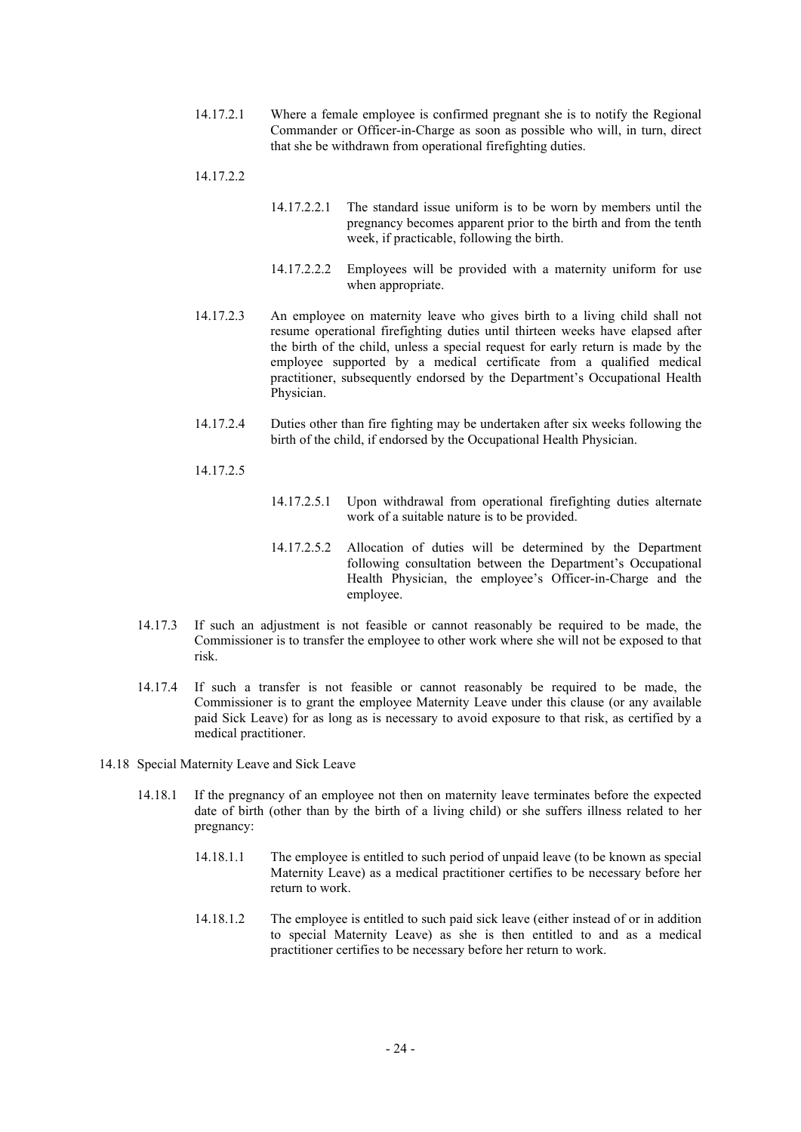- 14.17.2.1 Where a female employee is confirmed pregnant she is to notify the Regional Commander or Officer-in-Charge as soon as possible who will, in turn, direct that she be withdrawn from operational firefighting duties.
- 14.17.2.2
- 14.17.2.2.1 The standard issue uniform is to be worn by members until the pregnancy becomes apparent prior to the birth and from the tenth week, if practicable, following the birth.
- 14.17.2.2.2 Employees will be provided with a maternity uniform for use when appropriate.
- 14.17.2.3 An employee on maternity leave who gives birth to a living child shall not resume operational firefighting duties until thirteen weeks have elapsed after the birth of the child, unless a special request for early return is made by the employee supported by a medical certificate from a qualified medical practitioner, subsequently endorsed by the Department's Occupational Health Physician.
- 14.17.2.4 Duties other than fire fighting may be undertaken after six weeks following the birth of the child, if endorsed by the Occupational Health Physician.
- 14.17.2.5
- 14.17.2.5.1 Upon withdrawal from operational firefighting duties alternate work of a suitable nature is to be provided.
- 14.17.2.5.2 Allocation of duties will be determined by the Department following consultation between the Department's Occupational Health Physician, the employee's Officer-in-Charge and the employee.
- 14.17.3 If such an adjustment is not feasible or cannot reasonably be required to be made, the Commissioner is to transfer the employee to other work where she will not be exposed to that risk.
- 14.17.4 If such a transfer is not feasible or cannot reasonably be required to be made, the Commissioner is to grant the employee Maternity Leave under this clause (or any available paid Sick Leave) for as long as is necessary to avoid exposure to that risk, as certified by a medical practitioner.
- 14.18 Special Maternity Leave and Sick Leave
	- 14.18.1 If the pregnancy of an employee not then on maternity leave terminates before the expected date of birth (other than by the birth of a living child) or she suffers illness related to her pregnancy:
		- 14.18.1.1 The employee is entitled to such period of unpaid leave (to be known as special Maternity Leave) as a medical practitioner certifies to be necessary before her return to work.
		- 14.18.1.2 The employee is entitled to such paid sick leave (either instead of or in addition to special Maternity Leave) as she is then entitled to and as a medical practitioner certifies to be necessary before her return to work.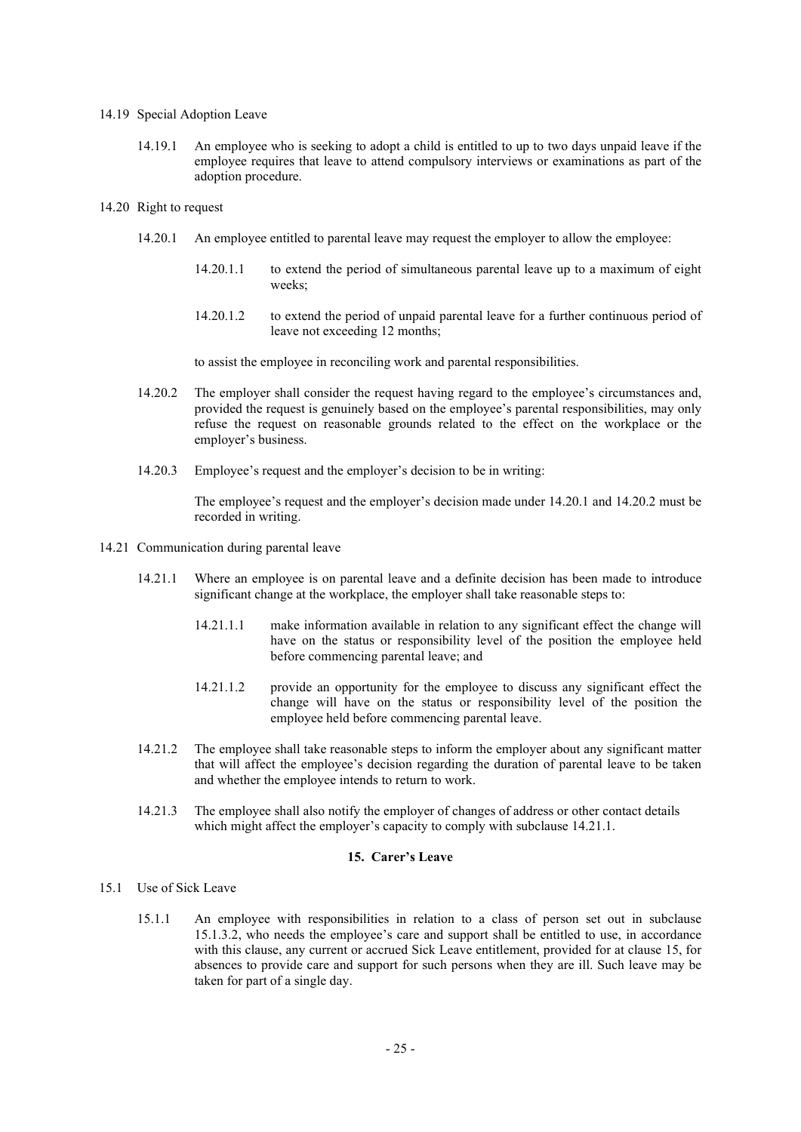# 14.19 Special Adoption Leave

14.19.1 An employee who is seeking to adopt a child is entitled to up to two days unpaid leave if the employee requires that leave to attend compulsory interviews or examinations as part of the adoption procedure.

#### 14.20 Right to request

- 14.20.1 An employee entitled to parental leave may request the employer to allow the employee:
	- 14.20.1.1 to extend the period of simultaneous parental leave up to a maximum of eight weeks;
	- 14.20.1.2 to extend the period of unpaid parental leave for a further continuous period of leave not exceeding 12 months;

to assist the employee in reconciling work and parental responsibilities.

- 14.20.2 The employer shall consider the request having regard to the employee's circumstances and, provided the request is genuinely based on the employee's parental responsibilities, may only refuse the request on reasonable grounds related to the effect on the workplace or the employer's business.
- 14.20.3 Employee's request and the employer's decision to be in writing:

The employee's request and the employer's decision made under 14.20.1 and 14.20.2 must be recorded in writing.

- 14.21 Communication during parental leave
	- 14.21.1 Where an employee is on parental leave and a definite decision has been made to introduce significant change at the workplace, the employer shall take reasonable steps to:
		- 14.21.1.1 make information available in relation to any significant effect the change will have on the status or responsibility level of the position the employee held before commencing parental leave; and
		- 14.21.1.2 provide an opportunity for the employee to discuss any significant effect the change will have on the status or responsibility level of the position the employee held before commencing parental leave.
	- 14.21.2 The employee shall take reasonable steps to inform the employer about any significant matter that will affect the employee's decision regarding the duration of parental leave to be taken and whether the employee intends to return to work.
	- 14.21.3 The employee shall also notify the employer of changes of address or other contact details which might affect the employer's capacity to comply with subclause 14.21.1.

#### **15. Carer's Leave**

#### 15.1 Use of Sick Leave

15.1.1 An employee with responsibilities in relation to a class of person set out in subclause 15.1.3.2, who needs the employee's care and support shall be entitled to use, in accordance with this clause, any current or accrued Sick Leave entitlement, provided for at clause 15, for absences to provide care and support for such persons when they are ill. Such leave may be taken for part of a single day.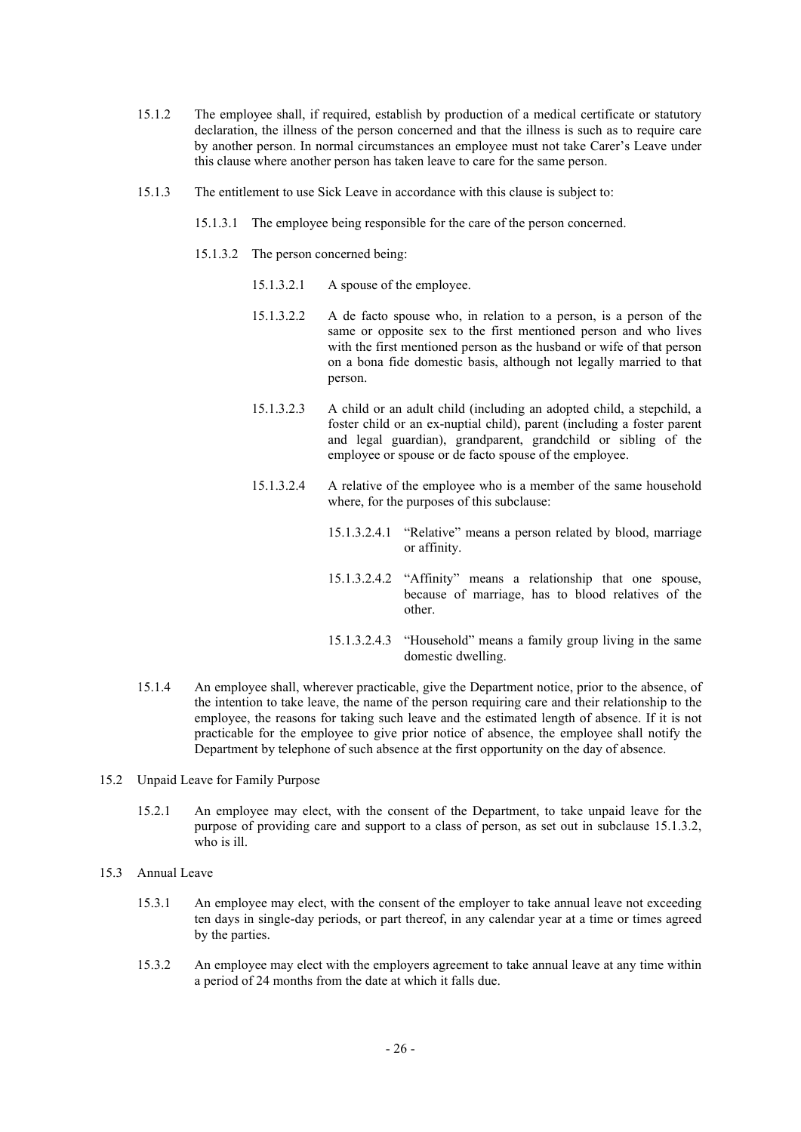- 15.1.2 The employee shall, if required, establish by production of a medical certificate or statutory declaration, the illness of the person concerned and that the illness is such as to require care by another person. In normal circumstances an employee must not take Carer's Leave under this clause where another person has taken leave to care for the same person.
- 15.1.3 The entitlement to use Sick Leave in accordance with this clause is subject to:
	- 15.1.3.1 The employee being responsible for the care of the person concerned.
	- 15.1.3.2 The person concerned being:
		- 15.1.3.2.1 A spouse of the employee.
		- 15.1.3.2.2 A de facto spouse who, in relation to a person, is a person of the same or opposite sex to the first mentioned person and who lives with the first mentioned person as the husband or wife of that person on a bona fide domestic basis, although not legally married to that person.
		- 15.1.3.2.3 A child or an adult child (including an adopted child, a stepchild, a foster child or an ex-nuptial child), parent (including a foster parent and legal guardian), grandparent, grandchild or sibling of the employee or spouse or de facto spouse of the employee.
		- 15.1.3.2.4 A relative of the employee who is a member of the same household where, for the purposes of this subclause:
			- 15.1.3.2.4.1 "Relative" means a person related by blood, marriage or affinity.
			- 15.1.3.2.4.2 "Affinity" means a relationship that one spouse, because of marriage, has to blood relatives of the other.
			- 15.1.3.2.4.3 "Household" means a family group living in the same domestic dwelling.
- 15.1.4 An employee shall, wherever practicable, give the Department notice, prior to the absence, of the intention to take leave, the name of the person requiring care and their relationship to the employee, the reasons for taking such leave and the estimated length of absence. If it is not practicable for the employee to give prior notice of absence, the employee shall notify the Department by telephone of such absence at the first opportunity on the day of absence.
- 15.2 Unpaid Leave for Family Purpose
	- 15.2.1 An employee may elect, with the consent of the Department, to take unpaid leave for the purpose of providing care and support to a class of person, as set out in subclause 15.1.3.2, who is ill.
- 15.3 Annual Leave
	- 15.3.1 An employee may elect, with the consent of the employer to take annual leave not exceeding ten days in single-day periods, or part thereof, in any calendar year at a time or times agreed by the parties.
	- 15.3.2 An employee may elect with the employers agreement to take annual leave at any time within a period of 24 months from the date at which it falls due.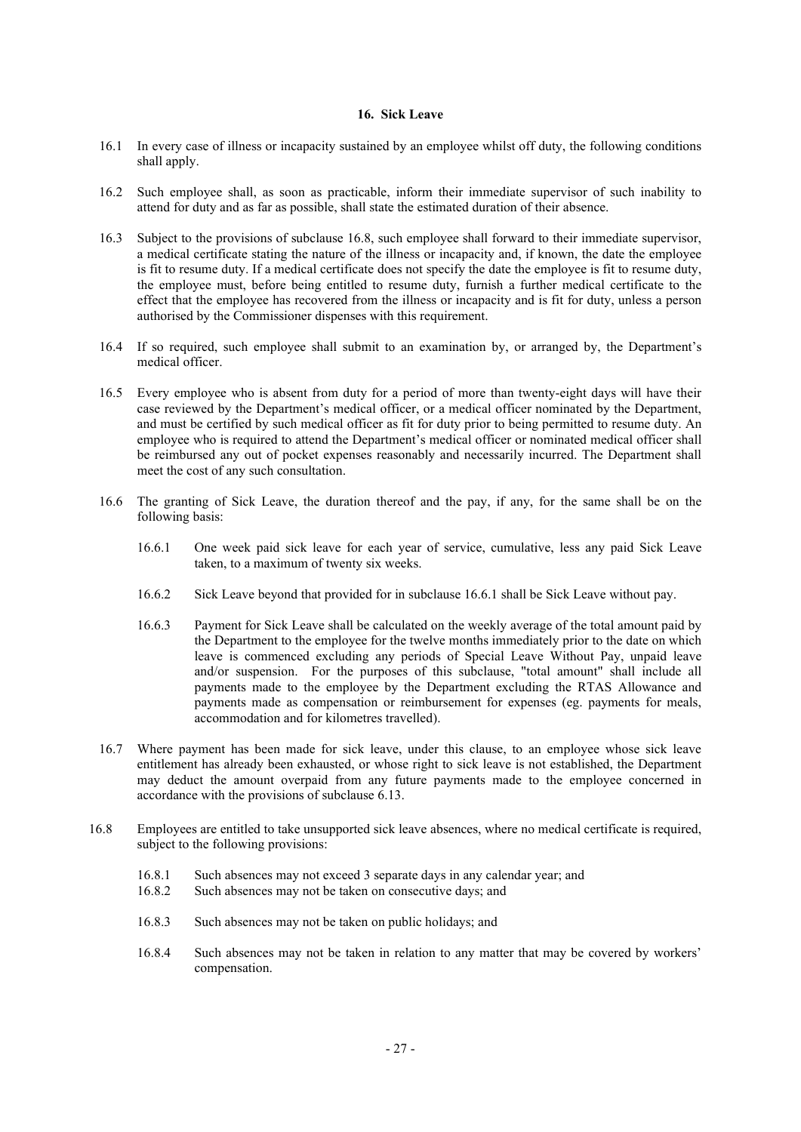# **16. Sick Leave**

- 16.1 In every case of illness or incapacity sustained by an employee whilst off duty, the following conditions shall apply.
- 16.2 Such employee shall, as soon as practicable, inform their immediate supervisor of such inability to attend for duty and as far as possible, shall state the estimated duration of their absence.
- 16.3 Subject to the provisions of subclause 16.8, such employee shall forward to their immediate supervisor, a medical certificate stating the nature of the illness or incapacity and, if known, the date the employee is fit to resume duty. If a medical certificate does not specify the date the employee is fit to resume duty, the employee must, before being entitled to resume duty, furnish a further medical certificate to the effect that the employee has recovered from the illness or incapacity and is fit for duty, unless a person authorised by the Commissioner dispenses with this requirement.
- 16.4 If so required, such employee shall submit to an examination by, or arranged by, the Department's medical officer.
- 16.5 Every employee who is absent from duty for a period of more than twenty-eight days will have their case reviewed by the Department's medical officer, or a medical officer nominated by the Department, and must be certified by such medical officer as fit for duty prior to being permitted to resume duty. An employee who is required to attend the Department's medical officer or nominated medical officer shall be reimbursed any out of pocket expenses reasonably and necessarily incurred. The Department shall meet the cost of any such consultation.
- 16.6 The granting of Sick Leave, the duration thereof and the pay, if any, for the same shall be on the following basis:
	- 16.6.1 One week paid sick leave for each year of service, cumulative, less any paid Sick Leave taken, to a maximum of twenty six weeks.
	- 16.6.2 Sick Leave beyond that provided for in subclause 16.6.1 shall be Sick Leave without pay.
	- 16.6.3 Payment for Sick Leave shall be calculated on the weekly average of the total amount paid by the Department to the employee for the twelve months immediately prior to the date on which leave is commenced excluding any periods of Special Leave Without Pay, unpaid leave and/or suspension. For the purposes of this subclause, "total amount" shall include all payments made to the employee by the Department excluding the RTAS Allowance and payments made as compensation or reimbursement for expenses (eg. payments for meals, accommodation and for kilometres travelled).
- 16.7 Where payment has been made for sick leave, under this clause, to an employee whose sick leave entitlement has already been exhausted, or whose right to sick leave is not established, the Department may deduct the amount overpaid from any future payments made to the employee concerned in accordance with the provisions of subclause 6.13.
- 16.8 Employees are entitled to take unsupported sick leave absences, where no medical certificate is required, subject to the following provisions:
	- 16.8.1 Such absences may not exceed 3 separate days in any calendar year; and 16.8.2 Such absences may not be taken on consecutive days; and
	- Such absences may not be taken on consecutive days; and
	- 16.8.3 Such absences may not be taken on public holidays; and
	- 16.8.4 Such absences may not be taken in relation to any matter that may be covered by workers' compensation.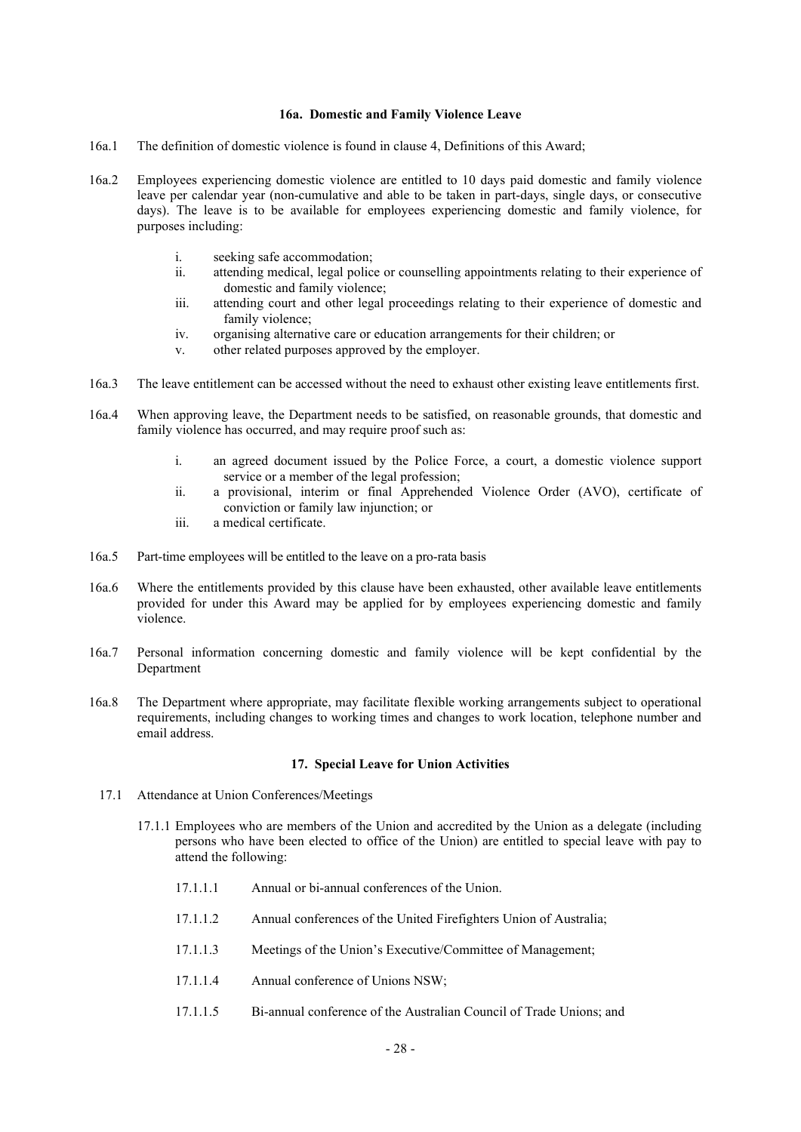# **16a. Domestic and Family Violence Leave**

- 16a.1 The definition of domestic violence is found in clause 4, Definitions of this Award;
- 16a.2 Employees experiencing domestic violence are entitled to 10 days paid domestic and family violence leave per calendar year (non-cumulative and able to be taken in part-days, single days, or consecutive days). The leave is to be available for employees experiencing domestic and family violence, for purposes including:
	- i. seeking safe accommodation;<br>ii. attending medical, legal police
		- attending medical, legal police or counselling appointments relating to their experience of domestic and family violence;
	- iii. attending court and other legal proceedings relating to their experience of domestic and family violence;
	- iv. organising alternative care or education arrangements for their children; or
	- v. other related purposes approved by the employer.
- 16a.3 The leave entitlement can be accessed without the need to exhaust other existing leave entitlements first.
- 16a.4 When approving leave, the Department needs to be satisfied, on reasonable grounds, that domestic and family violence has occurred, and may require proof such as:
	- i. an agreed document issued by the Police Force, a court, a domestic violence support service or a member of the legal profession;
	- ii. a provisional, interim or final Apprehended Violence Order (AVO), certificate of conviction or family law injunction; or
	- iii. a medical certificate.
- 16a.5 Part-time employees will be entitled to the leave on a pro-rata basis
- 16a.6 Where the entitlements provided by this clause have been exhausted, other available leave entitlements provided for under this Award may be applied for by employees experiencing domestic and family violence.
- 16a.7 Personal information concerning domestic and family violence will be kept confidential by the Department
- 16a.8 The Department where appropriate, may facilitate flexible working arrangements subject to operational requirements, including changes to working times and changes to work location, telephone number and email address.

#### **17. Special Leave for Union Activities**

- 17.1 Attendance at Union Conferences/Meetings
	- 17.1.1 Employees who are members of the Union and accredited by the Union as a delegate (including persons who have been elected to office of the Union) are entitled to special leave with pay to attend the following:
		- 17.1.1.1 Annual or bi-annual conferences of the Union.
		- 17.1.1.2 Annual conferences of the United Firefighters Union of Australia;
		- 17.1.1.3 Meetings of the Union's Executive/Committee of Management;
		- 17.1.1.4 Annual conference of Unions NSW;
		- 17.1.1.5 Bi-annual conference of the Australian Council of Trade Unions; and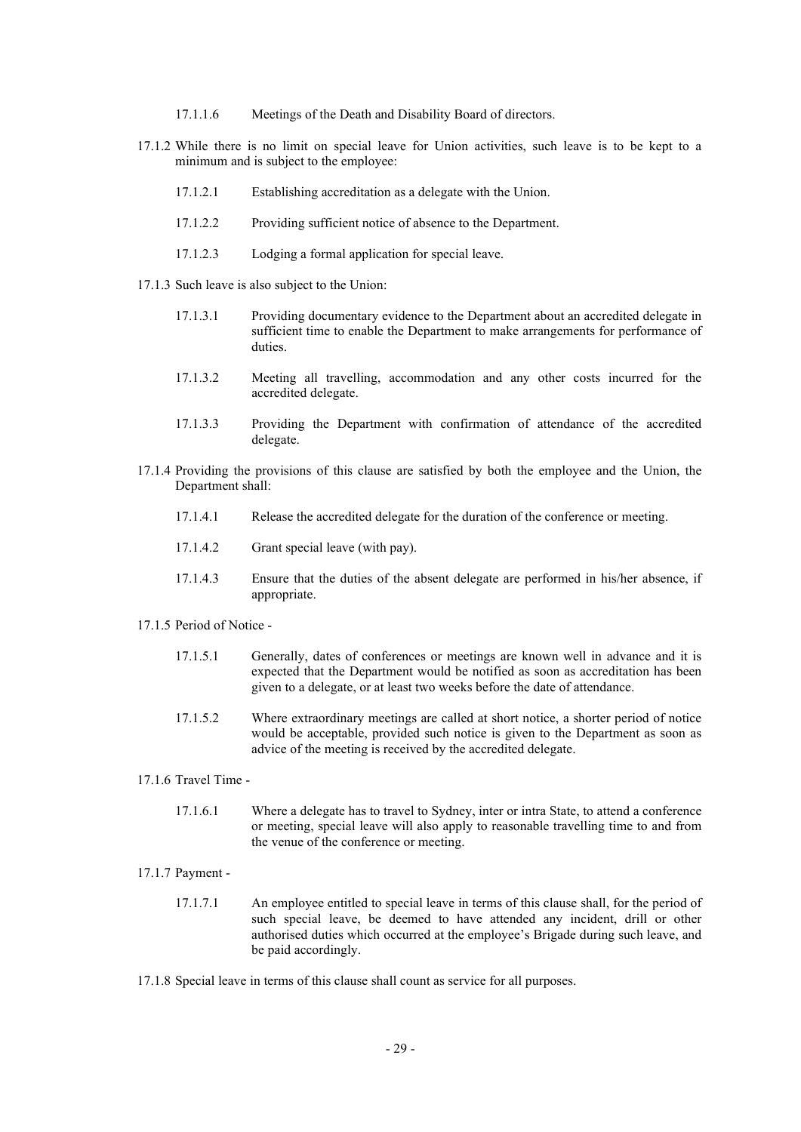- 17.1.1.6 Meetings of the Death and Disability Board of directors.
- 17.1.2 While there is no limit on special leave for Union activities, such leave is to be kept to a minimum and is subject to the employee:
	- 17.1.2.1 Establishing accreditation as a delegate with the Union.
	- 17.1.2.2 Providing sufficient notice of absence to the Department.
	- 17.1.2.3 Lodging a formal application for special leave.
- 17.1.3 Such leave is also subject to the Union:
	- 17.1.3.1 Providing documentary evidence to the Department about an accredited delegate in sufficient time to enable the Department to make arrangements for performance of duties.
	- 17.1.3.2 Meeting all travelling, accommodation and any other costs incurred for the accredited delegate.
	- 17.1.3.3 Providing the Department with confirmation of attendance of the accredited delegate.
- 17.1.4 Providing the provisions of this clause are satisfied by both the employee and the Union, the Department shall:
	- 17.1.4.1 Release the accredited delegate for the duration of the conference or meeting.
	- 17.1.4.2 Grant special leave (with pay).
	- 17.1.4.3 Ensure that the duties of the absent delegate are performed in his/her absence, if appropriate.
- 17.1.5 Period of Notice
	- 17.1.5.1 Generally, dates of conferences or meetings are known well in advance and it is expected that the Department would be notified as soon as accreditation has been given to a delegate, or at least two weeks before the date of attendance.
	- 17.1.5.2 Where extraordinary meetings are called at short notice, a shorter period of notice would be acceptable, provided such notice is given to the Department as soon as advice of the meeting is received by the accredited delegate.
- 17.1.6 Travel Time
	- 17.1.6.1 Where a delegate has to travel to Sydney, inter or intra State, to attend a conference or meeting, special leave will also apply to reasonable travelling time to and from the venue of the conference or meeting.
- 17.1.7 Payment
	- 17.1.7.1 An employee entitled to special leave in terms of this clause shall, for the period of such special leave, be deemed to have attended any incident, drill or other authorised duties which occurred at the employee's Brigade during such leave, and be paid accordingly.
- 17.1.8 Special leave in terms of this clause shall count as service for all purposes.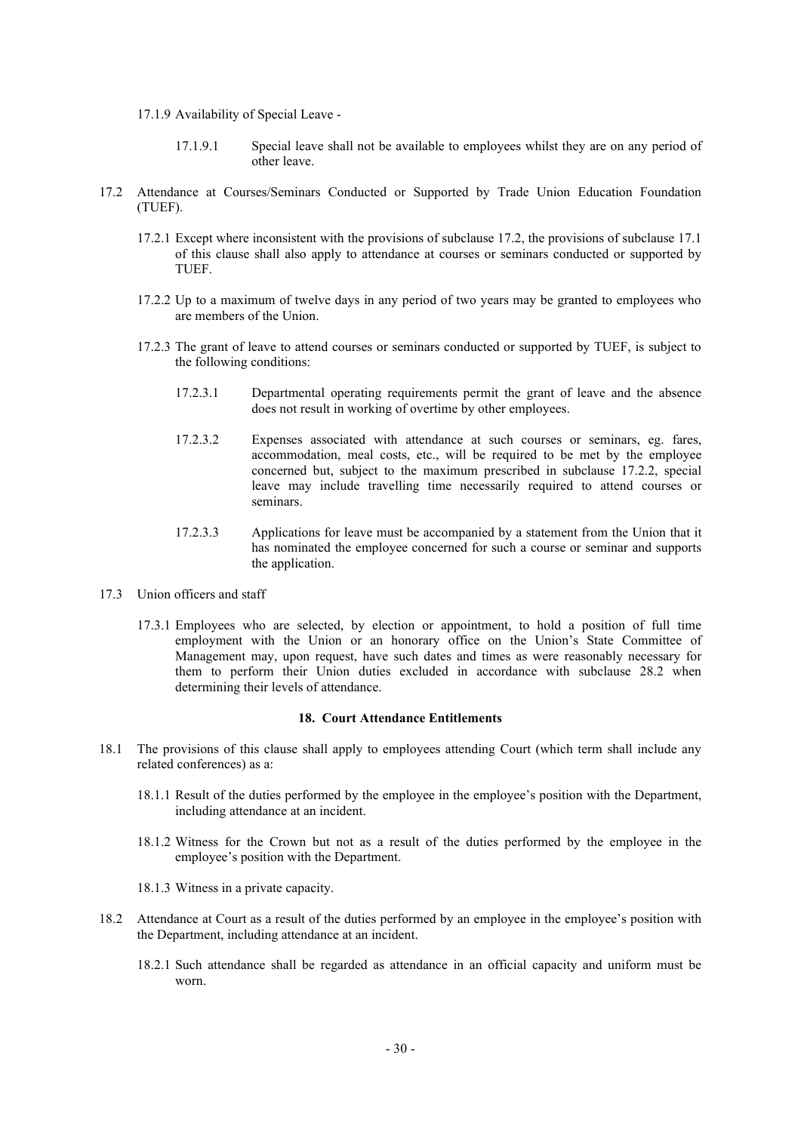- 17.1.9 Availability of Special Leave
	- 17.1.9.1 Special leave shall not be available to employees whilst they are on any period of other leave.
- 17.2 Attendance at Courses/Seminars Conducted or Supported by Trade Union Education Foundation (TUEF).
	- 17.2.1 Except where inconsistent with the provisions of subclause 17.2, the provisions of subclause 17.1 of this clause shall also apply to attendance at courses or seminars conducted or supported by TUEF.
	- 17.2.2 Up to a maximum of twelve days in any period of two years may be granted to employees who are members of the Union.
	- 17.2.3 The grant of leave to attend courses or seminars conducted or supported by TUEF, is subject to the following conditions:
		- 17.2.3.1 Departmental operating requirements permit the grant of leave and the absence does not result in working of overtime by other employees.
		- 17.2.3.2 Expenses associated with attendance at such courses or seminars, eg. fares, accommodation, meal costs, etc., will be required to be met by the employee concerned but, subject to the maximum prescribed in subclause 17.2.2, special leave may include travelling time necessarily required to attend courses or seminars.
		- 17.2.3.3 Applications for leave must be accompanied by a statement from the Union that it has nominated the employee concerned for such a course or seminar and supports the application.
- 17.3 Union officers and staff
	- 17.3.1 Employees who are selected, by election or appointment, to hold a position of full time employment with the Union or an honorary office on the Union's State Committee of Management may, upon request, have such dates and times as were reasonably necessary for them to perform their Union duties excluded in accordance with subclause 28.2 when determining their levels of attendance.

#### **18. Court Attendance Entitlements**

- 18.1 The provisions of this clause shall apply to employees attending Court (which term shall include any related conferences) as a:
	- 18.1.1 Result of the duties performed by the employee in the employee's position with the Department, including attendance at an incident.
	- 18.1.2 Witness for the Crown but not as a result of the duties performed by the employee in the employee's position with the Department.
	- 18.1.3 Witness in a private capacity.
- 18.2 Attendance at Court as a result of the duties performed by an employee in the employee's position with the Department, including attendance at an incident.
	- 18.2.1 Such attendance shall be regarded as attendance in an official capacity and uniform must be worn.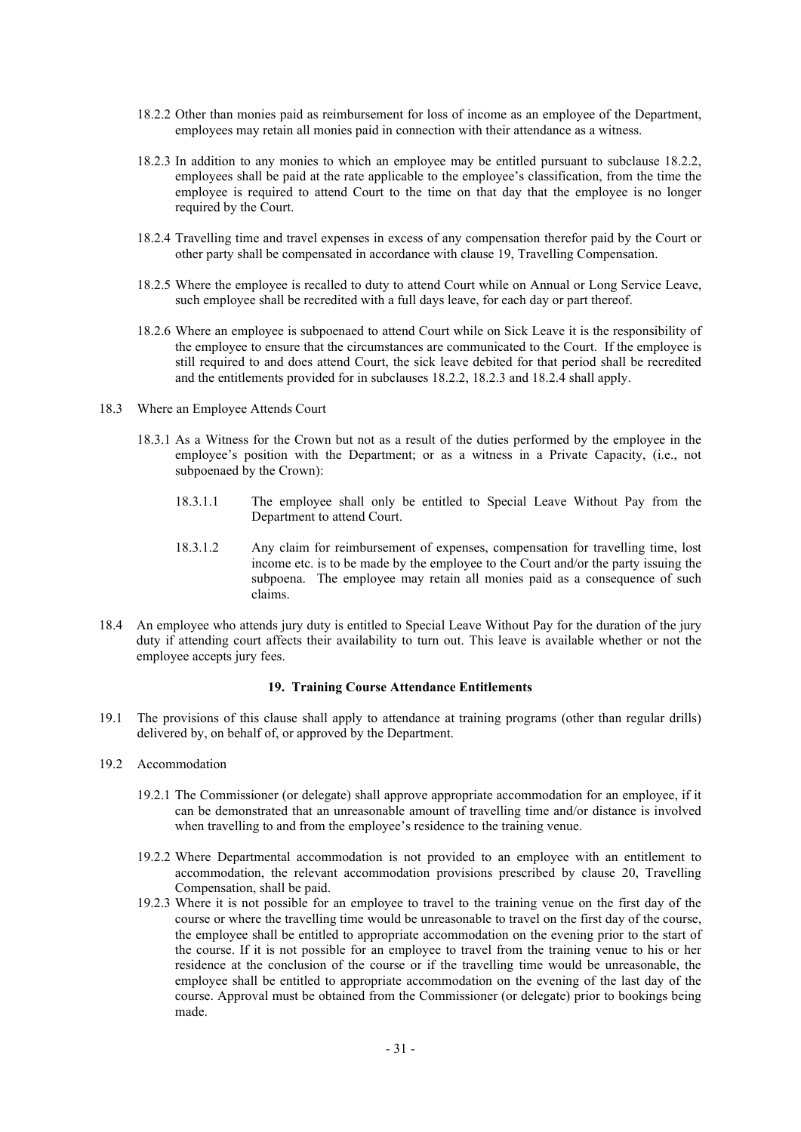- 18.2.2 Other than monies paid as reimbursement for loss of income as an employee of the Department, employees may retain all monies paid in connection with their attendance as a witness.
- 18.2.3 In addition to any monies to which an employee may be entitled pursuant to subclause 18.2.2, employees shall be paid at the rate applicable to the employee's classification, from the time the employee is required to attend Court to the time on that day that the employee is no longer required by the Court.
- 18.2.4 Travelling time and travel expenses in excess of any compensation therefor paid by the Court or other party shall be compensated in accordance with clause 19, Travelling Compensation.
- 18.2.5 Where the employee is recalled to duty to attend Court while on Annual or Long Service Leave, such employee shall be recredited with a full days leave, for each day or part thereof.
- 18.2.6 Where an employee is subpoenaed to attend Court while on Sick Leave it is the responsibility of the employee to ensure that the circumstances are communicated to the Court. If the employee is still required to and does attend Court, the sick leave debited for that period shall be recredited and the entitlements provided for in subclauses 18.2.2, 18.2.3 and 18.2.4 shall apply.
- 18.3 Where an Employee Attends Court
	- 18.3.1 As a Witness for the Crown but not as a result of the duties performed by the employee in the employee's position with the Department; or as a witness in a Private Capacity, (i.e., not subpoenaed by the Crown):
		- 18.3.1.1 The employee shall only be entitled to Special Leave Without Pay from the Department to attend Court.
		- 18.3.1.2 Any claim for reimbursement of expenses, compensation for travelling time, lost income etc. is to be made by the employee to the Court and/or the party issuing the subpoena. The employee may retain all monies paid as a consequence of such claims.
- 18.4 An employee who attends jury duty is entitled to Special Leave Without Pay for the duration of the jury duty if attending court affects their availability to turn out. This leave is available whether or not the employee accepts jury fees.

# **19. Training Course Attendance Entitlements**

- 19.1 The provisions of this clause shall apply to attendance at training programs (other than regular drills) delivered by, on behalf of, or approved by the Department.
- 19.2 Accommodation
	- 19.2.1 The Commissioner (or delegate) shall approve appropriate accommodation for an employee, if it can be demonstrated that an unreasonable amount of travelling time and/or distance is involved when travelling to and from the employee's residence to the training venue.
	- 19.2.2 Where Departmental accommodation is not provided to an employee with an entitlement to accommodation, the relevant accommodation provisions prescribed by clause 20, Travelling Compensation, shall be paid.
	- 19.2.3 Where it is not possible for an employee to travel to the training venue on the first day of the course or where the travelling time would be unreasonable to travel on the first day of the course, the employee shall be entitled to appropriate accommodation on the evening prior to the start of the course. If it is not possible for an employee to travel from the training venue to his or her residence at the conclusion of the course or if the travelling time would be unreasonable, the employee shall be entitled to appropriate accommodation on the evening of the last day of the course. Approval must be obtained from the Commissioner (or delegate) prior to bookings being made.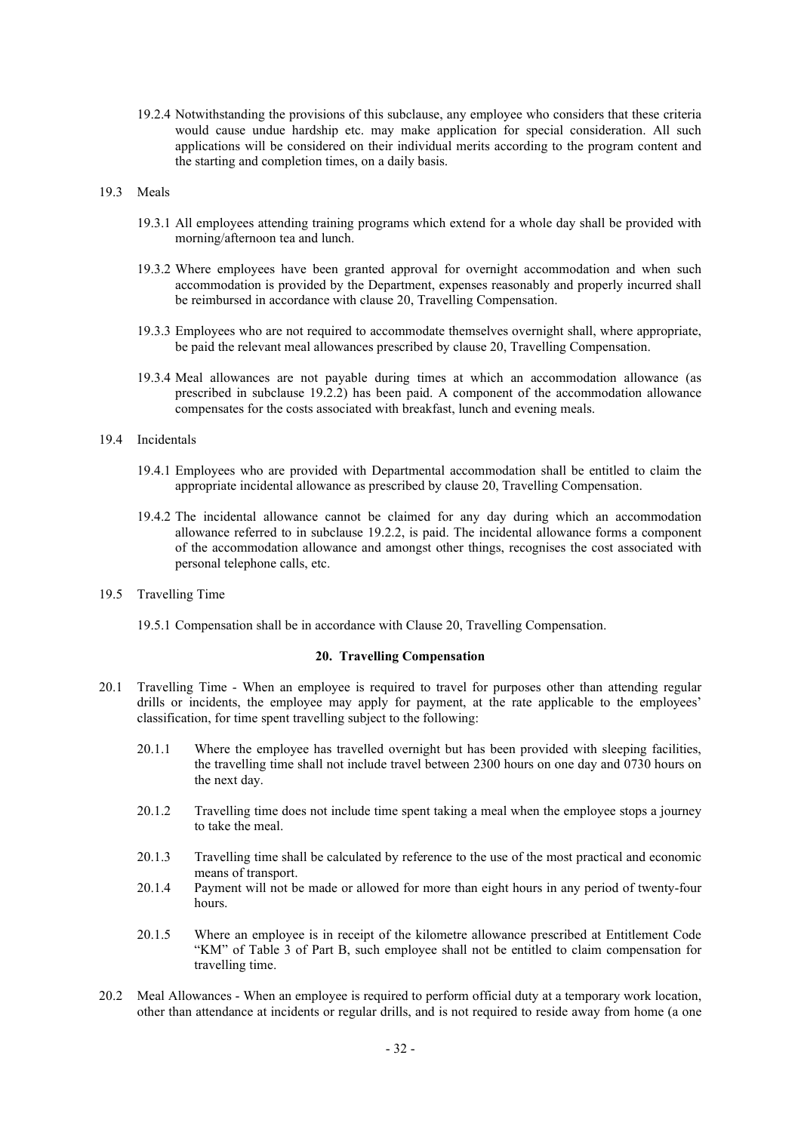19.2.4 Notwithstanding the provisions of this subclause, any employee who considers that these criteria would cause undue hardship etc. may make application for special consideration. All such applications will be considered on their individual merits according to the program content and the starting and completion times, on a daily basis.

#### 19.3 Meals

- 19.3.1 All employees attending training programs which extend for a whole day shall be provided with morning/afternoon tea and lunch.
- 19.3.2 Where employees have been granted approval for overnight accommodation and when such accommodation is provided by the Department, expenses reasonably and properly incurred shall be reimbursed in accordance with clause 20, Travelling Compensation.
- 19.3.3 Employees who are not required to accommodate themselves overnight shall, where appropriate, be paid the relevant meal allowances prescribed by clause 20, Travelling Compensation.
- 19.3.4 Meal allowances are not payable during times at which an accommodation allowance (as prescribed in subclause 19.2.2) has been paid. A component of the accommodation allowance compensates for the costs associated with breakfast, lunch and evening meals.

# 19.4 Incidentals

- 19.4.1 Employees who are provided with Departmental accommodation shall be entitled to claim the appropriate incidental allowance as prescribed by clause 20, Travelling Compensation.
- 19.4.2 The incidental allowance cannot be claimed for any day during which an accommodation allowance referred to in subclause 19.2.2, is paid. The incidental allowance forms a component of the accommodation allowance and amongst other things, recognises the cost associated with personal telephone calls, etc.
- 19.5 Travelling Time
	- 19.5.1 Compensation shall be in accordance with Clause 20, Travelling Compensation.

# **20. Travelling Compensation**

- 20.1 Travelling Time When an employee is required to travel for purposes other than attending regular drills or incidents, the employee may apply for payment, at the rate applicable to the employees' classification, for time spent travelling subject to the following:
	- 20.1.1 Where the employee has travelled overnight but has been provided with sleeping facilities, the travelling time shall not include travel between 2300 hours on one day and 0730 hours on the next day.
	- 20.1.2 Travelling time does not include time spent taking a meal when the employee stops a journey to take the meal.
	- 20.1.3 Travelling time shall be calculated by reference to the use of the most practical and economic means of transport.
	- 20.1.4 Payment will not be made or allowed for more than eight hours in any period of twenty-four hours.
	- 20.1.5 Where an employee is in receipt of the kilometre allowance prescribed at Entitlement Code "KM" of Table 3 of Part B, such employee shall not be entitled to claim compensation for travelling time.
- 20.2 Meal Allowances When an employee is required to perform official duty at a temporary work location, other than attendance at incidents or regular drills, and is not required to reside away from home (a one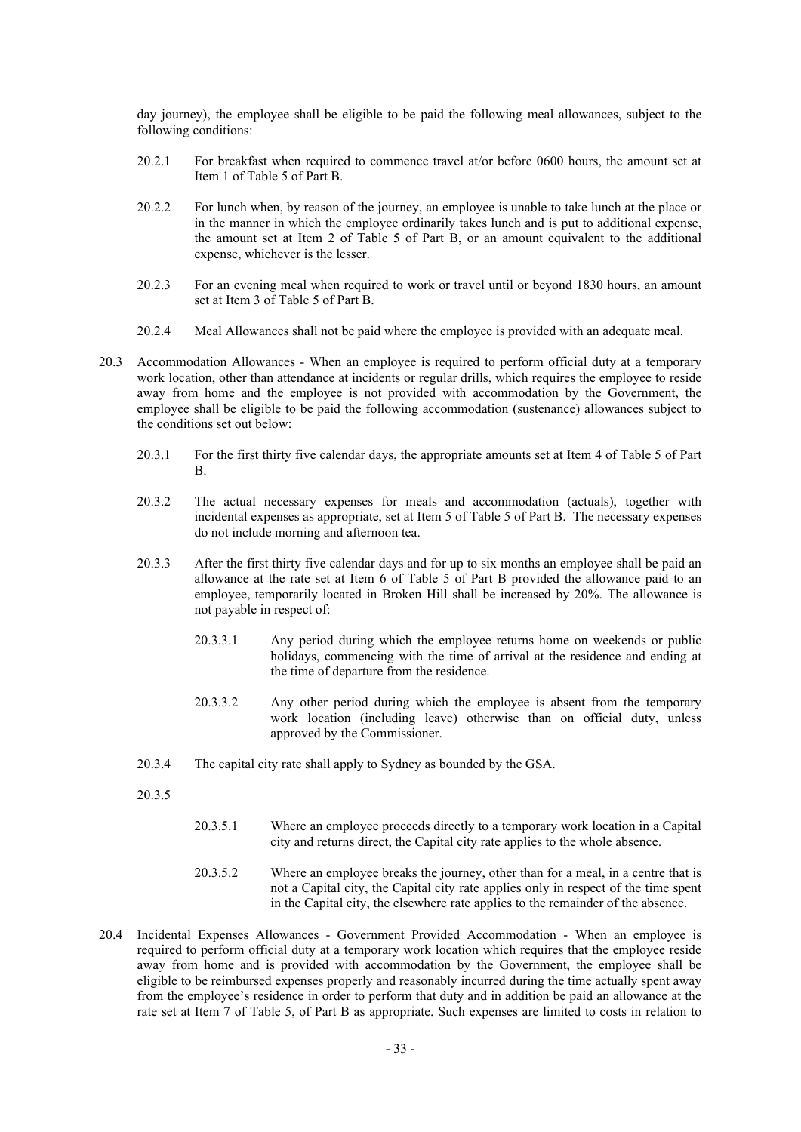day journey), the employee shall be eligible to be paid the following meal allowances, subject to the following conditions:

- 20.2.1 For breakfast when required to commence travel at/or before 0600 hours, the amount set at Item 1 of Table 5 of Part B.
- 20.2.2 For lunch when, by reason of the journey, an employee is unable to take lunch at the place or in the manner in which the employee ordinarily takes lunch and is put to additional expense, the amount set at Item 2 of Table 5 of Part B, or an amount equivalent to the additional expense, whichever is the lesser.
- 20.2.3 For an evening meal when required to work or travel until or beyond 1830 hours, an amount set at Item 3 of Table 5 of Part B.
- 20.2.4 Meal Allowances shall not be paid where the employee is provided with an adequate meal.
- 20.3 Accommodation Allowances When an employee is required to perform official duty at a temporary work location, other than attendance at incidents or regular drills, which requires the employee to reside away from home and the employee is not provided with accommodation by the Government, the employee shall be eligible to be paid the following accommodation (sustenance) allowances subject to the conditions set out below:
	- 20.3.1 For the first thirty five calendar days, the appropriate amounts set at Item 4 of Table 5 of Part B.
	- 20.3.2 The actual necessary expenses for meals and accommodation (actuals), together with incidental expenses as appropriate, set at Item 5 of Table 5 of Part B. The necessary expenses do not include morning and afternoon tea.
	- 20.3.3 After the first thirty five calendar days and for up to six months an employee shall be paid an allowance at the rate set at Item 6 of Table 5 of Part B provided the allowance paid to an employee, temporarily located in Broken Hill shall be increased by 20%. The allowance is not payable in respect of:
		- 20.3.3.1 Any period during which the employee returns home on weekends or public holidays, commencing with the time of arrival at the residence and ending at the time of departure from the residence.
		- 20.3.3.2 Any other period during which the employee is absent from the temporary work location (including leave) otherwise than on official duty, unless approved by the Commissioner.
	- 20.3.4 The capital city rate shall apply to Sydney as bounded by the GSA.
	- 20.3.5
- 20.3.5.1 Where an employee proceeds directly to a temporary work location in a Capital city and returns direct, the Capital city rate applies to the whole absence.
- 20.3.5.2 Where an employee breaks the journey, other than for a meal, in a centre that is not a Capital city, the Capital city rate applies only in respect of the time spent in the Capital city, the elsewhere rate applies to the remainder of the absence.
- 20.4 Incidental Expenses Allowances Government Provided Accommodation When an employee is required to perform official duty at a temporary work location which requires that the employee reside away from home and is provided with accommodation by the Government, the employee shall be eligible to be reimbursed expenses properly and reasonably incurred during the time actually spent away from the employee's residence in order to perform that duty and in addition be paid an allowance at the rate set at Item 7 of Table 5, of Part B as appropriate. Such expenses are limited to costs in relation to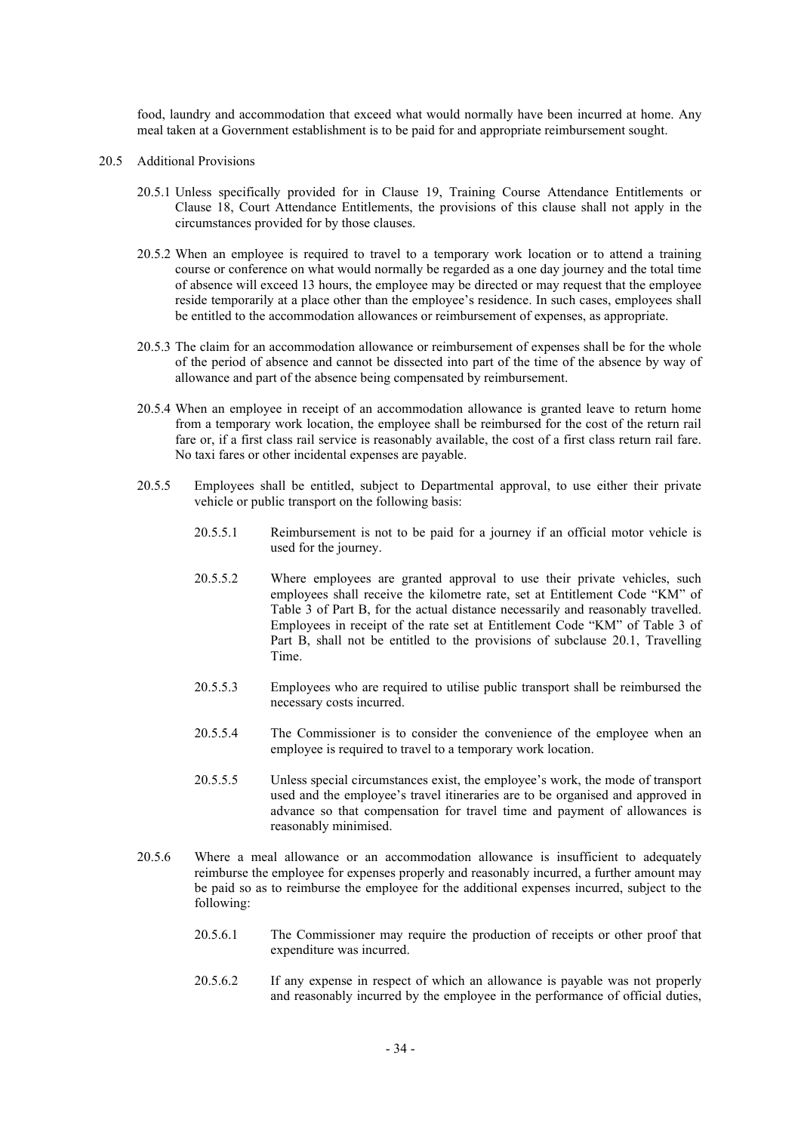food, laundry and accommodation that exceed what would normally have been incurred at home. Any meal taken at a Government establishment is to be paid for and appropriate reimbursement sought.

- 20.5 Additional Provisions
	- 20.5.1 Unless specifically provided for in Clause 19, Training Course Attendance Entitlements or Clause 18, Court Attendance Entitlements, the provisions of this clause shall not apply in the circumstances provided for by those clauses.
	- 20.5.2 When an employee is required to travel to a temporary work location or to attend a training course or conference on what would normally be regarded as a one day journey and the total time of absence will exceed 13 hours, the employee may be directed or may request that the employee reside temporarily at a place other than the employee's residence. In such cases, employees shall be entitled to the accommodation allowances or reimbursement of expenses, as appropriate.
	- 20.5.3 The claim for an accommodation allowance or reimbursement of expenses shall be for the whole of the period of absence and cannot be dissected into part of the time of the absence by way of allowance and part of the absence being compensated by reimbursement.
	- 20.5.4 When an employee in receipt of an accommodation allowance is granted leave to return home from a temporary work location, the employee shall be reimbursed for the cost of the return rail fare or, if a first class rail service is reasonably available, the cost of a first class return rail fare. No taxi fares or other incidental expenses are payable.
	- 20.5.5 Employees shall be entitled, subject to Departmental approval, to use either their private vehicle or public transport on the following basis:
		- 20.5.5.1 Reimbursement is not to be paid for a journey if an official motor vehicle is used for the journey.
		- 20.5.5.2 Where employees are granted approval to use their private vehicles, such employees shall receive the kilometre rate, set at Entitlement Code "KM" of Table 3 of Part B, for the actual distance necessarily and reasonably travelled. Employees in receipt of the rate set at Entitlement Code "KM" of Table 3 of Part B, shall not be entitled to the provisions of subclause 20.1, Travelling Time.
		- 20.5.5.3 Employees who are required to utilise public transport shall be reimbursed the necessary costs incurred.
		- 20.5.5.4 The Commissioner is to consider the convenience of the employee when an employee is required to travel to a temporary work location.
		- 20.5.5.5 Unless special circumstances exist, the employee's work, the mode of transport used and the employee's travel itineraries are to be organised and approved in advance so that compensation for travel time and payment of allowances is reasonably minimised.
	- 20.5.6 Where a meal allowance or an accommodation allowance is insufficient to adequately reimburse the employee for expenses properly and reasonably incurred, a further amount may be paid so as to reimburse the employee for the additional expenses incurred, subject to the following:
		- 20.5.6.1 The Commissioner may require the production of receipts or other proof that expenditure was incurred.
		- 20.5.6.2 If any expense in respect of which an allowance is payable was not properly and reasonably incurred by the employee in the performance of official duties,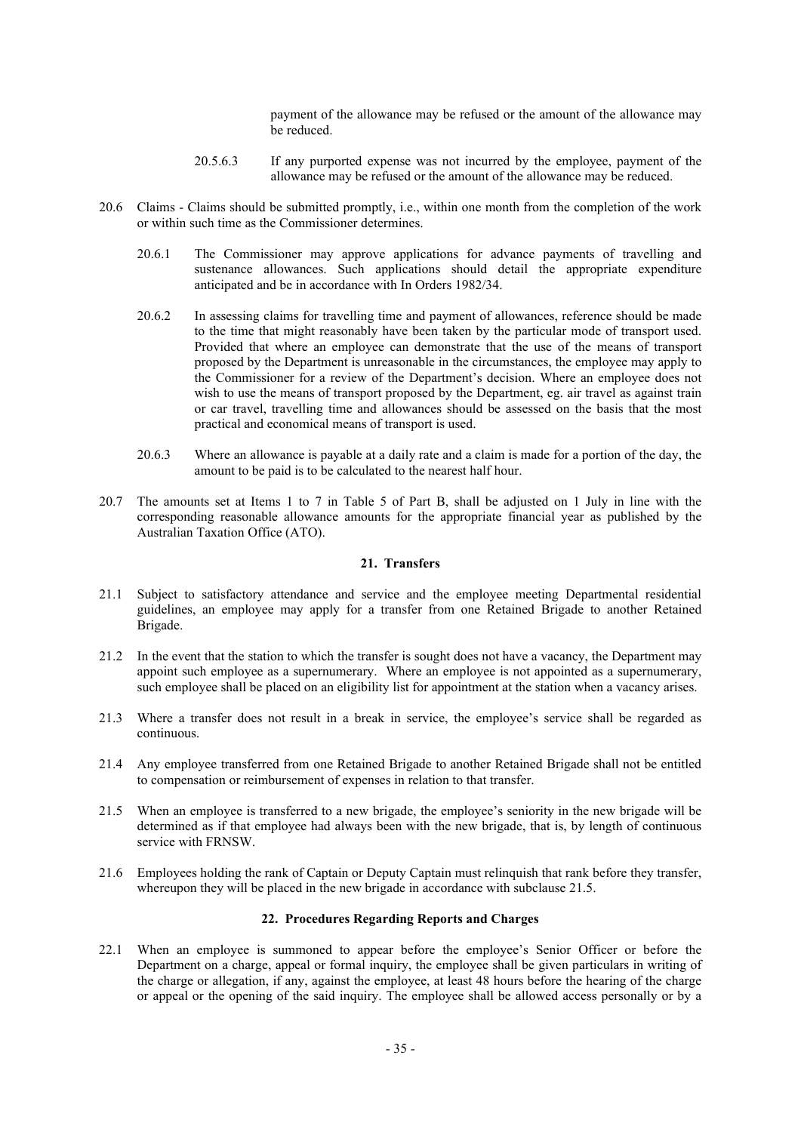payment of the allowance may be refused or the amount of the allowance may be reduced.

- 20.5.6.3 If any purported expense was not incurred by the employee, payment of the allowance may be refused or the amount of the allowance may be reduced.
- 20.6 Claims Claims should be submitted promptly, i.e., within one month from the completion of the work or within such time as the Commissioner determines.
	- 20.6.1 The Commissioner may approve applications for advance payments of travelling and sustenance allowances. Such applications should detail the appropriate expenditure anticipated and be in accordance with In Orders 1982/34.
	- 20.6.2 In assessing claims for travelling time and payment of allowances, reference should be made to the time that might reasonably have been taken by the particular mode of transport used. Provided that where an employee can demonstrate that the use of the means of transport proposed by the Department is unreasonable in the circumstances, the employee may apply to the Commissioner for a review of the Department's decision. Where an employee does not wish to use the means of transport proposed by the Department, eg. air travel as against train or car travel, travelling time and allowances should be assessed on the basis that the most practical and economical means of transport is used.
	- 20.6.3 Where an allowance is payable at a daily rate and a claim is made for a portion of the day, the amount to be paid is to be calculated to the nearest half hour.
- 20.7 The amounts set at Items 1 to 7 in Table 5 of Part B, shall be adjusted on 1 July in line with the corresponding reasonable allowance amounts for the appropriate financial year as published by the Australian Taxation Office (ATO).

# **21. Transfers**

- 21.1 Subject to satisfactory attendance and service and the employee meeting Departmental residential guidelines, an employee may apply for a transfer from one Retained Brigade to another Retained Brigade.
- 21.2 In the event that the station to which the transfer is sought does not have a vacancy, the Department may appoint such employee as a supernumerary. Where an employee is not appointed as a supernumerary, such employee shall be placed on an eligibility list for appointment at the station when a vacancy arises.
- 21.3 Where a transfer does not result in a break in service, the employee's service shall be regarded as continuous.
- 21.4 Any employee transferred from one Retained Brigade to another Retained Brigade shall not be entitled to compensation or reimbursement of expenses in relation to that transfer.
- 21.5 When an employee is transferred to a new brigade, the employee's seniority in the new brigade will be determined as if that employee had always been with the new brigade, that is, by length of continuous service with FRNSW.
- 21.6 Employees holding the rank of Captain or Deputy Captain must relinquish that rank before they transfer, whereupon they will be placed in the new brigade in accordance with subclause 21.5.

# **22. Procedures Regarding Reports and Charges**

22.1 When an employee is summoned to appear before the employee's Senior Officer or before the Department on a charge, appeal or formal inquiry, the employee shall be given particulars in writing of the charge or allegation, if any, against the employee, at least 48 hours before the hearing of the charge or appeal or the opening of the said inquiry. The employee shall be allowed access personally or by a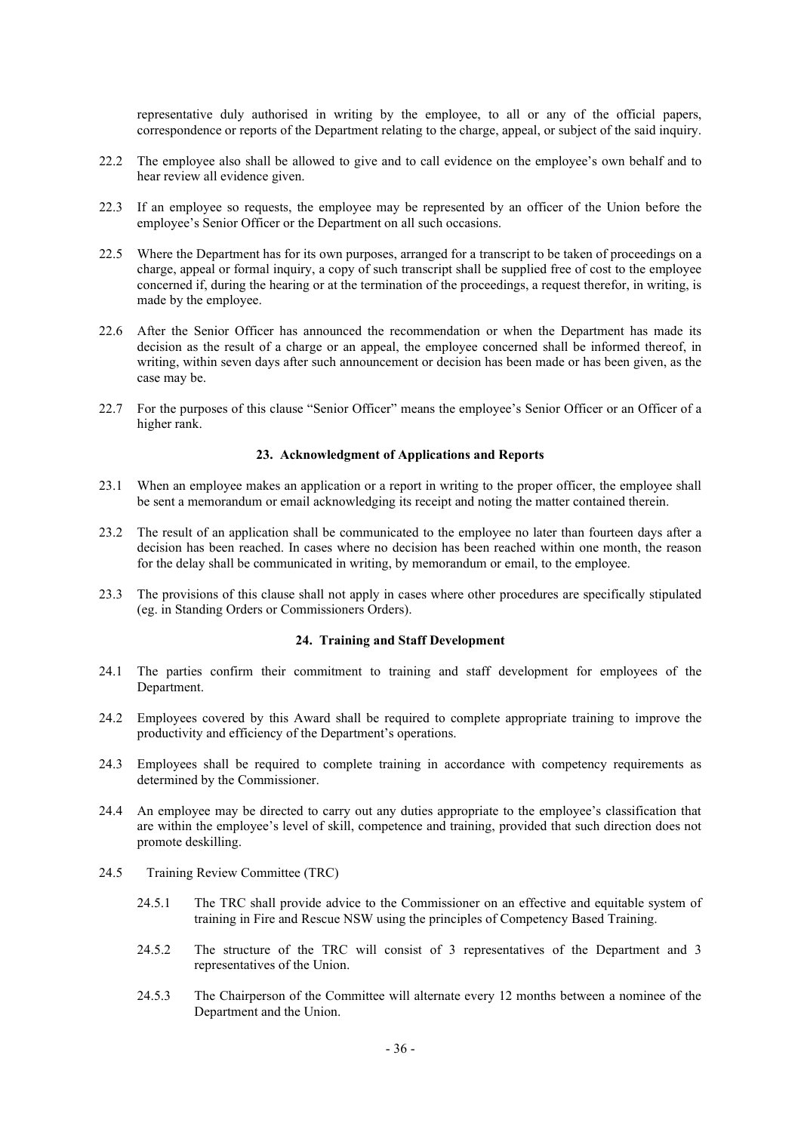representative duly authorised in writing by the employee, to all or any of the official papers, correspondence or reports of the Department relating to the charge, appeal, or subject of the said inquiry.

- 22.2 The employee also shall be allowed to give and to call evidence on the employee's own behalf and to hear review all evidence given.
- 22.3 If an employee so requests, the employee may be represented by an officer of the Union before the employee's Senior Officer or the Department on all such occasions.
- 22.5 Where the Department has for its own purposes, arranged for a transcript to be taken of proceedings on a charge, appeal or formal inquiry, a copy of such transcript shall be supplied free of cost to the employee concerned if, during the hearing or at the termination of the proceedings, a request therefor, in writing, is made by the employee.
- 22.6 After the Senior Officer has announced the recommendation or when the Department has made its decision as the result of a charge or an appeal, the employee concerned shall be informed thereof, in writing, within seven days after such announcement or decision has been made or has been given, as the case may be.
- 22.7 For the purposes of this clause "Senior Officer" means the employee's Senior Officer or an Officer of a higher rank.

# **23. Acknowledgment of Applications and Reports**

- 23.1 When an employee makes an application or a report in writing to the proper officer, the employee shall be sent a memorandum or email acknowledging its receipt and noting the matter contained therein.
- 23.2 The result of an application shall be communicated to the employee no later than fourteen days after a decision has been reached. In cases where no decision has been reached within one month, the reason for the delay shall be communicated in writing, by memorandum or email, to the employee.
- 23.3 The provisions of this clause shall not apply in cases where other procedures are specifically stipulated (eg. in Standing Orders or Commissioners Orders).

# **24. Training and Staff Development**

- 24.1 The parties confirm their commitment to training and staff development for employees of the Department.
- 24.2 Employees covered by this Award shall be required to complete appropriate training to improve the productivity and efficiency of the Department's operations.
- 24.3 Employees shall be required to complete training in accordance with competency requirements as determined by the Commissioner.
- 24.4 An employee may be directed to carry out any duties appropriate to the employee's classification that are within the employee's level of skill, competence and training, provided that such direction does not promote deskilling.
- 24.5 Training Review Committee (TRC)
	- 24.5.1 The TRC shall provide advice to the Commissioner on an effective and equitable system of training in Fire and Rescue NSW using the principles of Competency Based Training.
	- 24.5.2 The structure of the TRC will consist of 3 representatives of the Department and 3 representatives of the Union.
	- 24.5.3 The Chairperson of the Committee will alternate every 12 months between a nominee of the Department and the Union.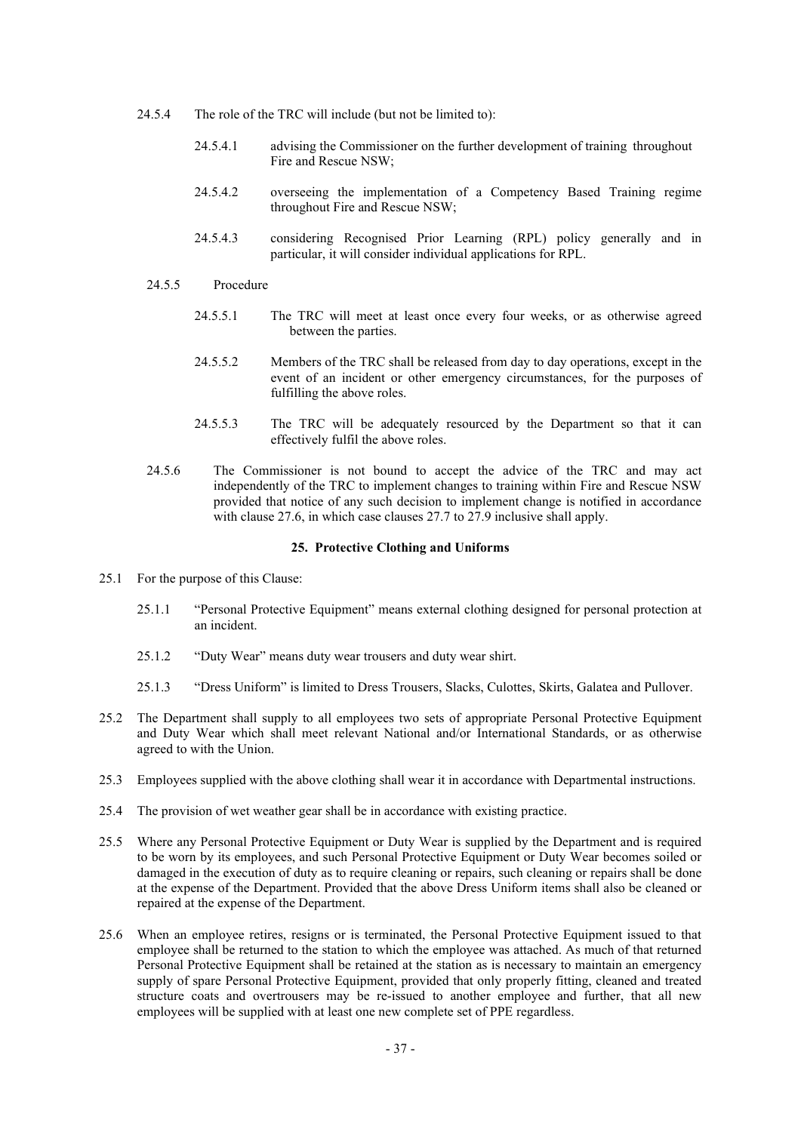- 24.5.4 The role of the TRC will include (but not be limited to):
	- 24.5.4.1 advising the Commissioner on the further development of training throughout Fire and Rescue NSW;
	- 24.5.4.2 overseeing the implementation of a Competency Based Training regime throughout Fire and Rescue NSW;
	- 24.5.4.3 considering Recognised Prior Learning (RPL) policy generally and in particular, it will consider individual applications for RPL.
- 24.5.5 Procedure
	- 24.5.5.1 The TRC will meet at least once every four weeks, or as otherwise agreed between the parties.
	- 24.5.5.2 Members of the TRC shall be released from day to day operations, except in the event of an incident or other emergency circumstances, for the purposes of fulfilling the above roles.
	- 24.5.5.3 The TRC will be adequately resourced by the Department so that it can effectively fulfil the above roles.
- 24.5.6 The Commissioner is not bound to accept the advice of the TRC and may act independently of the TRC to implement changes to training within Fire and Rescue NSW provided that notice of any such decision to implement change is notified in accordance with clause 27.6, in which case clauses 27.7 to 27.9 inclusive shall apply.

# **25. Protective Clothing and Uniforms**

- 25.1 For the purpose of this Clause:
	- 25.1.1 "Personal Protective Equipment" means external clothing designed for personal protection at an incident.
	- 25.1.2 "Duty Wear" means duty wear trousers and duty wear shirt.
	- 25.1.3 "Dress Uniform" is limited to Dress Trousers, Slacks, Culottes, Skirts, Galatea and Pullover.
- 25.2 The Department shall supply to all employees two sets of appropriate Personal Protective Equipment and Duty Wear which shall meet relevant National and/or International Standards, or as otherwise agreed to with the Union.
- 25.3 Employees supplied with the above clothing shall wear it in accordance with Departmental instructions.
- 25.4 The provision of wet weather gear shall be in accordance with existing practice.
- 25.5 Where any Personal Protective Equipment or Duty Wear is supplied by the Department and is required to be worn by its employees, and such Personal Protective Equipment or Duty Wear becomes soiled or damaged in the execution of duty as to require cleaning or repairs, such cleaning or repairs shall be done at the expense of the Department. Provided that the above Dress Uniform items shall also be cleaned or repaired at the expense of the Department.
- 25.6 When an employee retires, resigns or is terminated, the Personal Protective Equipment issued to that employee shall be returned to the station to which the employee was attached. As much of that returned Personal Protective Equipment shall be retained at the station as is necessary to maintain an emergency supply of spare Personal Protective Equipment, provided that only properly fitting, cleaned and treated structure coats and overtrousers may be re-issued to another employee and further, that all new employees will be supplied with at least one new complete set of PPE regardless.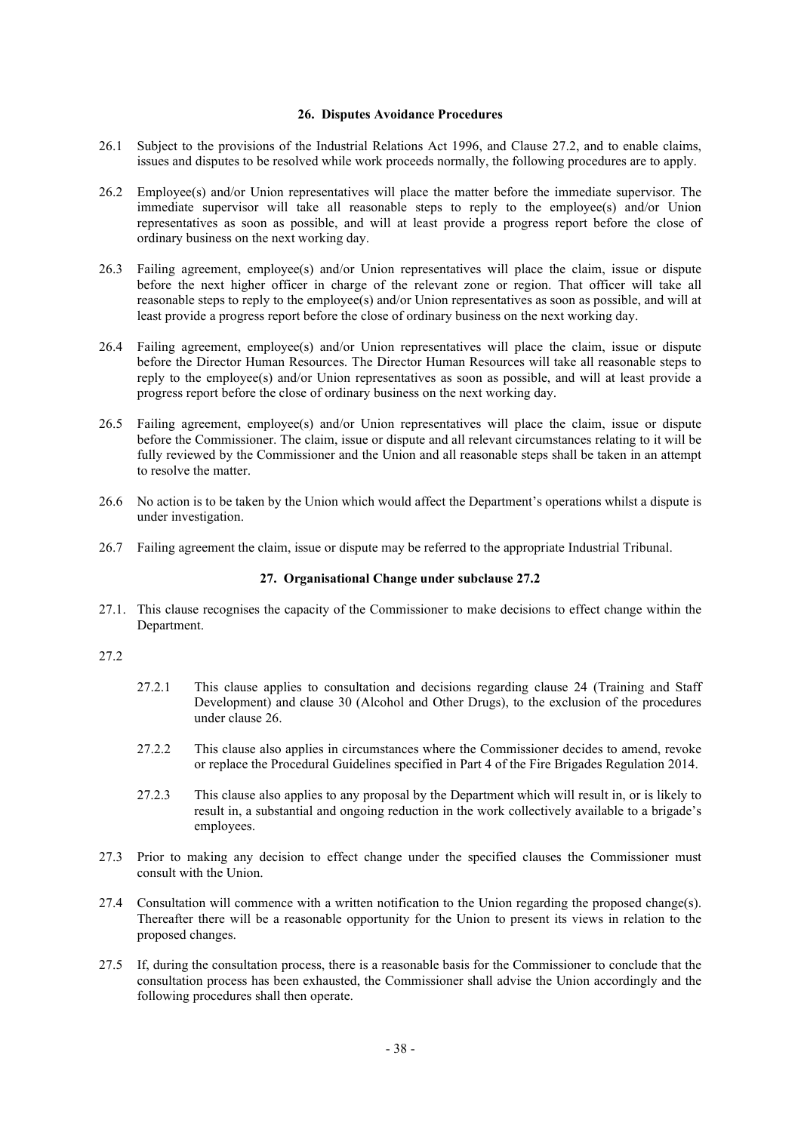# **26. Disputes Avoidance Procedures**

- 26.1 Subject to the provisions of the Industrial Relations Act 1996, and Clause 27.2, and to enable claims, issues and disputes to be resolved while work proceeds normally, the following procedures are to apply.
- 26.2 Employee(s) and/or Union representatives will place the matter before the immediate supervisor. The immediate supervisor will take all reasonable steps to reply to the employee(s) and/or Union representatives as soon as possible, and will at least provide a progress report before the close of ordinary business on the next working day.
- 26.3 Failing agreement, employee(s) and/or Union representatives will place the claim, issue or dispute before the next higher officer in charge of the relevant zone or region. That officer will take all reasonable steps to reply to the employee(s) and/or Union representatives as soon as possible, and will at least provide a progress report before the close of ordinary business on the next working day.
- 26.4 Failing agreement, employee(s) and/or Union representatives will place the claim, issue or dispute before the Director Human Resources. The Director Human Resources will take all reasonable steps to reply to the employee(s) and/or Union representatives as soon as possible, and will at least provide a progress report before the close of ordinary business on the next working day.
- 26.5 Failing agreement, employee(s) and/or Union representatives will place the claim, issue or dispute before the Commissioner. The claim, issue or dispute and all relevant circumstances relating to it will be fully reviewed by the Commissioner and the Union and all reasonable steps shall be taken in an attempt to resolve the matter.
- 26.6 No action is to be taken by the Union which would affect the Department's operations whilst a dispute is under investigation.
- 26.7 Failing agreement the claim, issue or dispute may be referred to the appropriate Industrial Tribunal.

# **27. Organisational Change under subclause 27.2**

27.1. This clause recognises the capacity of the Commissioner to make decisions to effect change within the Department.

# 27.2

- 27.2.1 This clause applies to consultation and decisions regarding clause 24 (Training and Staff Development) and clause 30 (Alcohol and Other Drugs), to the exclusion of the procedures under clause 26.
- 27.2.2 This clause also applies in circumstances where the Commissioner decides to amend, revoke or replace the Procedural Guidelines specified in Part 4 of the Fire Brigades Regulation 2014.
- 27.2.3 This clause also applies to any proposal by the Department which will result in, or is likely to result in, a substantial and ongoing reduction in the work collectively available to a brigade's employees.
- 27.3 Prior to making any decision to effect change under the specified clauses the Commissioner must consult with the Union.
- 27.4 Consultation will commence with a written notification to the Union regarding the proposed change(s). Thereafter there will be a reasonable opportunity for the Union to present its views in relation to the proposed changes.
- 27.5 If, during the consultation process, there is a reasonable basis for the Commissioner to conclude that the consultation process has been exhausted, the Commissioner shall advise the Union accordingly and the following procedures shall then operate.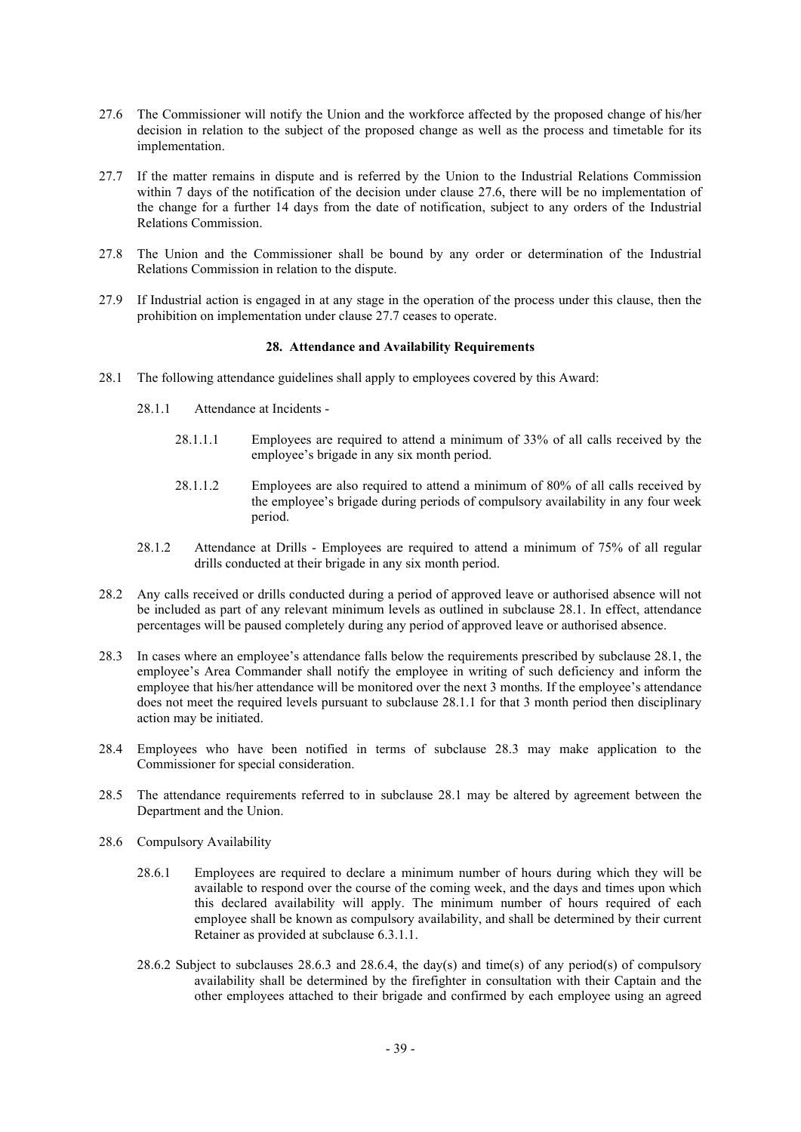- 27.6 The Commissioner will notify the Union and the workforce affected by the proposed change of his/her decision in relation to the subject of the proposed change as well as the process and timetable for its implementation.
- 27.7 If the matter remains in dispute and is referred by the Union to the Industrial Relations Commission within 7 days of the notification of the decision under clause 27.6, there will be no implementation of the change for a further 14 days from the date of notification, subject to any orders of the Industrial Relations Commission.
- 27.8 The Union and the Commissioner shall be bound by any order or determination of the Industrial Relations Commission in relation to the dispute.
- 27.9 If Industrial action is engaged in at any stage in the operation of the process under this clause, then the prohibition on implementation under clause 27.7 ceases to operate.

## **28. Attendance and Availability Requirements**

- 28.1 The following attendance guidelines shall apply to employees covered by this Award:
	- 28.1.1 Attendance at Incidents
		- 28.1.1.1 Employees are required to attend a minimum of 33% of all calls received by the employee's brigade in any six month period.
		- 28.1.1.2 Employees are also required to attend a minimum of 80% of all calls received by the employee's brigade during periods of compulsory availability in any four week period.
	- 28.1.2 Attendance at Drills Employees are required to attend a minimum of 75% of all regular drills conducted at their brigade in any six month period.
- 28.2 Any calls received or drills conducted during a period of approved leave or authorised absence will not be included as part of any relevant minimum levels as outlined in subclause 28.1. In effect, attendance percentages will be paused completely during any period of approved leave or authorised absence.
- 28.3 In cases where an employee's attendance falls below the requirements prescribed by subclause 28.1, the employee's Area Commander shall notify the employee in writing of such deficiency and inform the employee that his/her attendance will be monitored over the next 3 months. If the employee's attendance does not meet the required levels pursuant to subclause 28.1.1 for that 3 month period then disciplinary action may be initiated.
- 28.4 Employees who have been notified in terms of subclause 28.3 may make application to the Commissioner for special consideration.
- 28.5 The attendance requirements referred to in subclause 28.1 may be altered by agreement between the Department and the Union.
- 28.6 Compulsory Availability
	- 28.6.1 Employees are required to declare a minimum number of hours during which they will be available to respond over the course of the coming week, and the days and times upon which this declared availability will apply. The minimum number of hours required of each employee shall be known as compulsory availability, and shall be determined by their current Retainer as provided at subclause 6.3.1.1.
	- 28.6.2 Subject to subclauses 28.6.3 and 28.6.4, the day(s) and time(s) of any period(s) of compulsory availability shall be determined by the firefighter in consultation with their Captain and the other employees attached to their brigade and confirmed by each employee using an agreed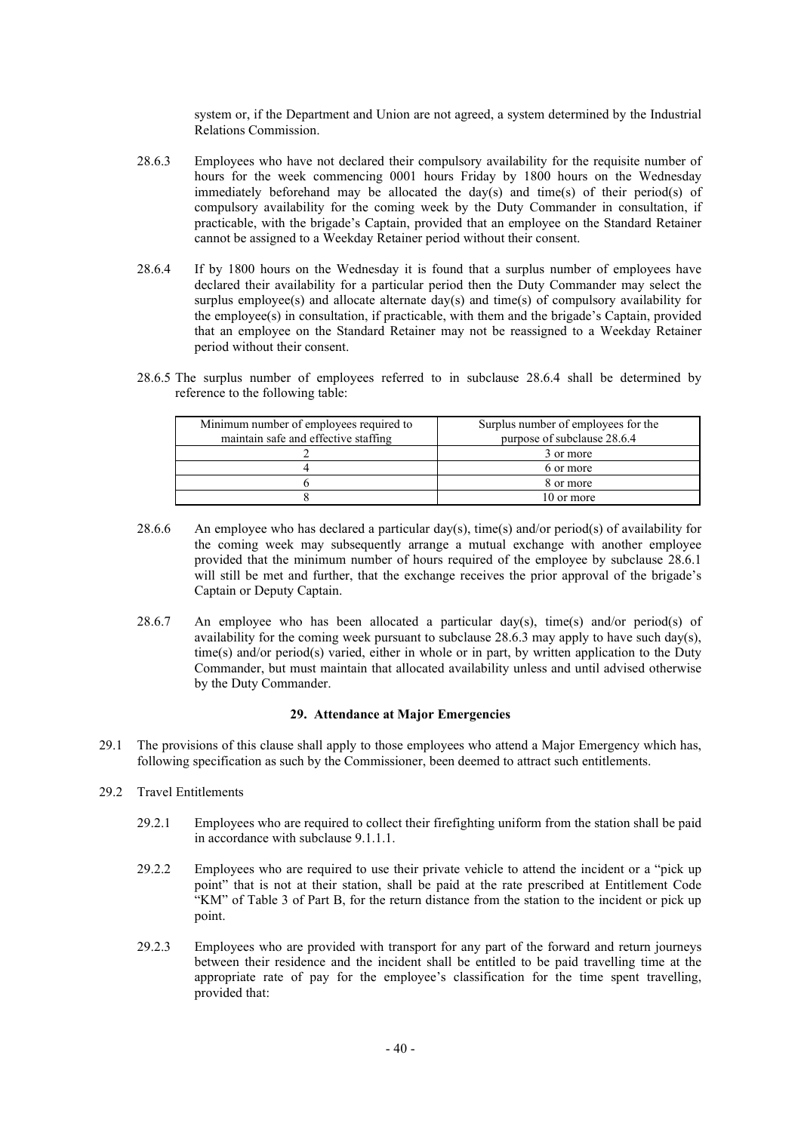system or, if the Department and Union are not agreed, a system determined by the Industrial Relations Commission.

- 28.6.3 Employees who have not declared their compulsory availability for the requisite number of hours for the week commencing 0001 hours Friday by 1800 hours on the Wednesday immediately beforehand may be allocated the day(s) and time(s) of their period(s) of compulsory availability for the coming week by the Duty Commander in consultation, if practicable, with the brigade's Captain, provided that an employee on the Standard Retainer cannot be assigned to a Weekday Retainer period without their consent.
- 28.6.4 If by 1800 hours on the Wednesday it is found that a surplus number of employees have declared their availability for a particular period then the Duty Commander may select the surplus employee(s) and allocate alternate  $day(s)$  and time(s) of compulsory availability for the employee(s) in consultation, if practicable, with them and the brigade's Captain, provided that an employee on the Standard Retainer may not be reassigned to a Weekday Retainer period without their consent.
- 28.6.5 The surplus number of employees referred to in subclause 28.6.4 shall be determined by reference to the following table:

| Minimum number of employees required to<br>maintain safe and effective staffing | Surplus number of employees for the<br>purpose of subclause 28.6.4 |
|---------------------------------------------------------------------------------|--------------------------------------------------------------------|
|                                                                                 | 3 or more                                                          |
|                                                                                 | 6 or more                                                          |
|                                                                                 | 8 or more                                                          |
|                                                                                 | 10 or more                                                         |

- 28.6.6 An employee who has declared a particular day(s), time(s) and/or period(s) of availability for the coming week may subsequently arrange a mutual exchange with another employee provided that the minimum number of hours required of the employee by subclause 28.6.1 will still be met and further, that the exchange receives the prior approval of the brigade's Captain or Deputy Captain.
- 28.6.7 An employee who has been allocated a particular day(s), time(s) and/or period(s) of availability for the coming week pursuant to subclause  $28.6.3$  may apply to have such day(s), time(s) and/or period(s) varied, either in whole or in part, by written application to the Duty Commander, but must maintain that allocated availability unless and until advised otherwise by the Duty Commander.

# **29. Attendance at Major Emergencies**

- 29.1 The provisions of this clause shall apply to those employees who attend a Major Emergency which has, following specification as such by the Commissioner, been deemed to attract such entitlements.
- 29.2 Travel Entitlements
	- 29.2.1 Employees who are required to collect their firefighting uniform from the station shall be paid in accordance with subclause 9.1.1.1.
	- 29.2.2 Employees who are required to use their private vehicle to attend the incident or a "pick up point" that is not at their station, shall be paid at the rate prescribed at Entitlement Code "KM" of Table 3 of Part B, for the return distance from the station to the incident or pick up point.
	- 29.2.3 Employees who are provided with transport for any part of the forward and return journeys between their residence and the incident shall be entitled to be paid travelling time at the appropriate rate of pay for the employee's classification for the time spent travelling, provided that: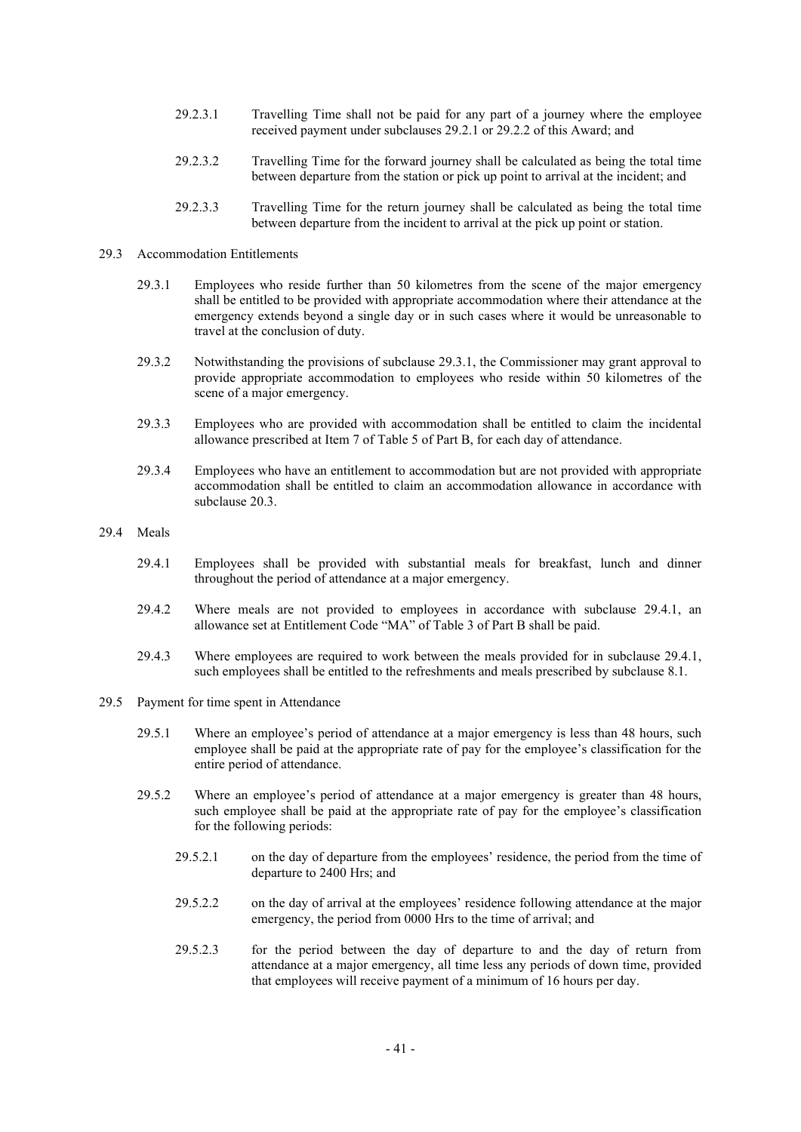- 29.2.3.1 Travelling Time shall not be paid for any part of a journey where the employee received payment under subclauses 29.2.1 or 29.2.2 of this Award; and
- 29.2.3.2 Travelling Time for the forward journey shall be calculated as being the total time between departure from the station or pick up point to arrival at the incident; and
- 29.2.3.3 Travelling Time for the return journey shall be calculated as being the total time between departure from the incident to arrival at the pick up point or station.

# 29.3 Accommodation Entitlements

- 29.3.1 Employees who reside further than 50 kilometres from the scene of the major emergency shall be entitled to be provided with appropriate accommodation where their attendance at the emergency extends beyond a single day or in such cases where it would be unreasonable to travel at the conclusion of duty.
- 29.3.2 Notwithstanding the provisions of subclause 29.3.1, the Commissioner may grant approval to provide appropriate accommodation to employees who reside within 50 kilometres of the scene of a major emergency.
- 29.3.3 Employees who are provided with accommodation shall be entitled to claim the incidental allowance prescribed at Item 7 of Table 5 of Part B, for each day of attendance.
- 29.3.4 Employees who have an entitlement to accommodation but are not provided with appropriate accommodation shall be entitled to claim an accommodation allowance in accordance with subclause 20.3.
- 29.4 Meals
	- 29.4.1 Employees shall be provided with substantial meals for breakfast, lunch and dinner throughout the period of attendance at a major emergency.
	- 29.4.2 Where meals are not provided to employees in accordance with subclause 29.4.1, an allowance set at Entitlement Code "MA" of Table 3 of Part B shall be paid.
	- 29.4.3 Where employees are required to work between the meals provided for in subclause 29.4.1, such employees shall be entitled to the refreshments and meals prescribed by subclause 8.1.
- 29.5 Payment for time spent in Attendance
	- 29.5.1 Where an employee's period of attendance at a major emergency is less than 48 hours, such employee shall be paid at the appropriate rate of pay for the employee's classification for the entire period of attendance.
	- 29.5.2 Where an employee's period of attendance at a major emergency is greater than 48 hours, such employee shall be paid at the appropriate rate of pay for the employee's classification for the following periods:
		- 29.5.2.1 on the day of departure from the employees' residence, the period from the time of departure to 2400 Hrs; and
		- 29.5.2.2 on the day of arrival at the employees' residence following attendance at the major emergency, the period from 0000 Hrs to the time of arrival; and
		- 29.5.2.3 for the period between the day of departure to and the day of return from attendance at a major emergency, all time less any periods of down time, provided that employees will receive payment of a minimum of 16 hours per day.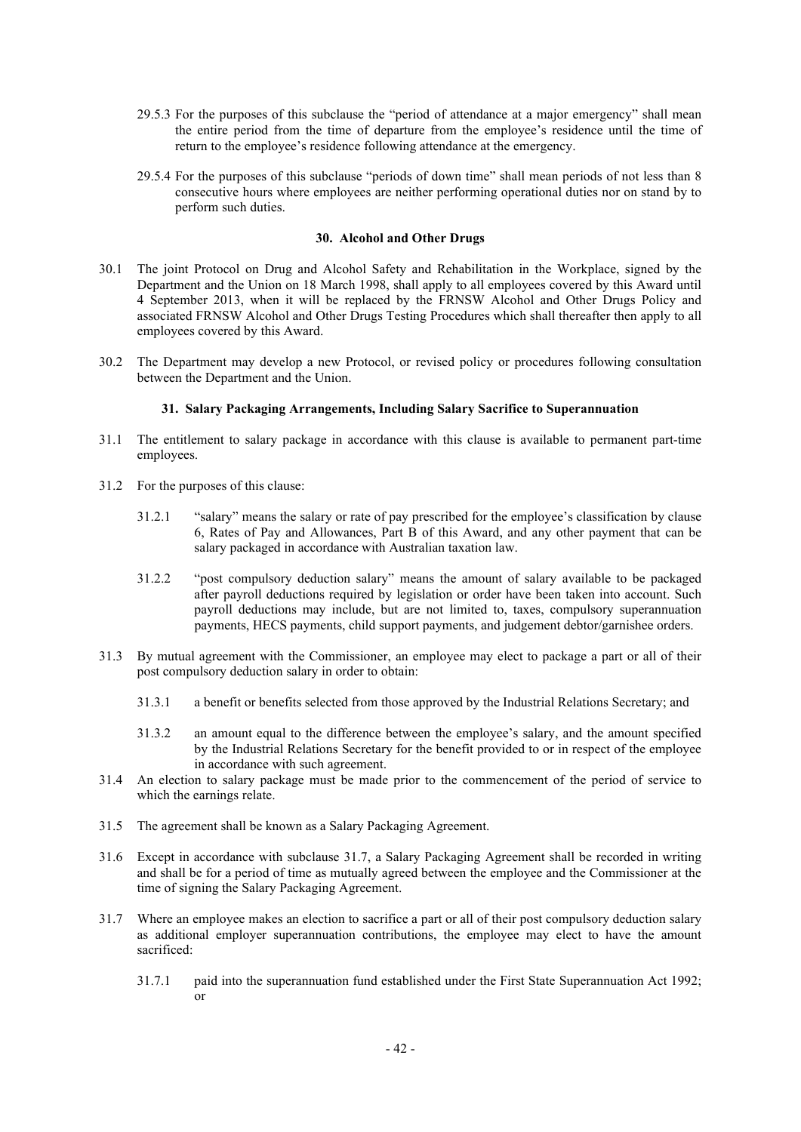- 29.5.3 For the purposes of this subclause the "period of attendance at a major emergency" shall mean the entire period from the time of departure from the employee's residence until the time of return to the employee's residence following attendance at the emergency.
- 29.5.4 For the purposes of this subclause "periods of down time" shall mean periods of not less than 8 consecutive hours where employees are neither performing operational duties nor on stand by to perform such duties.

# **30. Alcohol and Other Drugs**

- 30.1 The joint Protocol on Drug and Alcohol Safety and Rehabilitation in the Workplace, signed by the Department and the Union on 18 March 1998, shall apply to all employees covered by this Award until 4 September 2013, when it will be replaced by the FRNSW Alcohol and Other Drugs Policy and associated FRNSW Alcohol and Other Drugs Testing Procedures which shall thereafter then apply to all employees covered by this Award.
- 30.2 The Department may develop a new Protocol, or revised policy or procedures following consultation between the Department and the Union.

## **31. Salary Packaging Arrangements, Including Salary Sacrifice to Superannuation**

- 31.1 The entitlement to salary package in accordance with this clause is available to permanent part-time employees.
- 31.2 For the purposes of this clause:
	- 31.2.1 "salary" means the salary or rate of pay prescribed for the employee's classification by clause 6, Rates of Pay and Allowances, Part B of this Award, and any other payment that can be salary packaged in accordance with Australian taxation law.
	- 31.2.2 "post compulsory deduction salary" means the amount of salary available to be packaged after payroll deductions required by legislation or order have been taken into account. Such payroll deductions may include, but are not limited to, taxes, compulsory superannuation payments, HECS payments, child support payments, and judgement debtor/garnishee orders.
- 31.3 By mutual agreement with the Commissioner, an employee may elect to package a part or all of their post compulsory deduction salary in order to obtain:
	- 31.3.1 a benefit or benefits selected from those approved by the Industrial Relations Secretary; and
	- 31.3.2 an amount equal to the difference between the employee's salary, and the amount specified by the Industrial Relations Secretary for the benefit provided to or in respect of the employee in accordance with such agreement.
- 31.4 An election to salary package must be made prior to the commencement of the period of service to which the earnings relate.
- 31.5 The agreement shall be known as a Salary Packaging Agreement.
- 31.6 Except in accordance with subclause 31.7, a Salary Packaging Agreement shall be recorded in writing and shall be for a period of time as mutually agreed between the employee and the Commissioner at the time of signing the Salary Packaging Agreement.
- 31.7 Where an employee makes an election to sacrifice a part or all of their post compulsory deduction salary as additional employer superannuation contributions, the employee may elect to have the amount sacrificed:
	- 31.7.1 paid into the superannuation fund established under the First State Superannuation Act 1992; or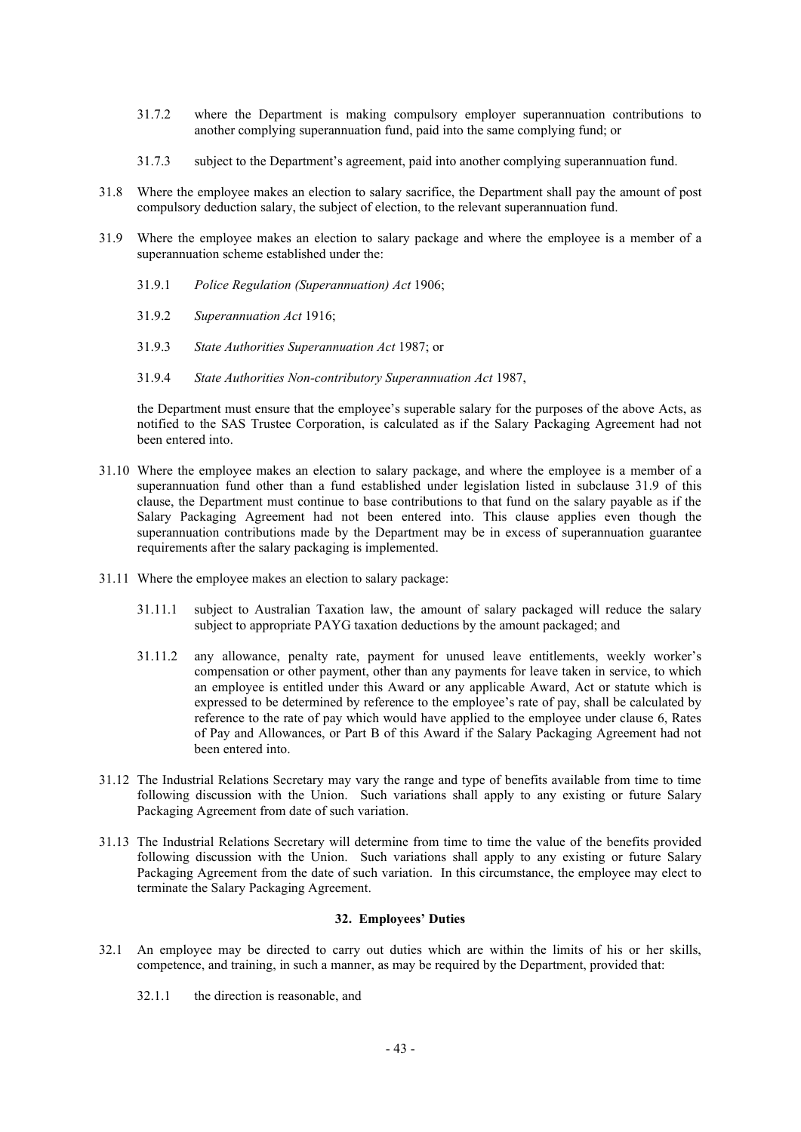- 31.7.2 where the Department is making compulsory employer superannuation contributions to another complying superannuation fund, paid into the same complying fund; or
- 31.7.3 subject to the Department's agreement, paid into another complying superannuation fund.
- 31.8 Where the employee makes an election to salary sacrifice, the Department shall pay the amount of post compulsory deduction salary, the subject of election, to the relevant superannuation fund.
- 31.9 Where the employee makes an election to salary package and where the employee is a member of a superannuation scheme established under the:
	- 31.9.1 *Police Regulation (Superannuation) Act* 1906;
	- 31.9.2 *Superannuation Act* 1916;
	- 31.9.3 *State Authorities Superannuation Act* 1987; or
	- 31.9.4 *State Authorities Non-contributory Superannuation Act* 1987,

the Department must ensure that the employee's superable salary for the purposes of the above Acts, as notified to the SAS Trustee Corporation, is calculated as if the Salary Packaging Agreement had not been entered into.

- 31.10 Where the employee makes an election to salary package, and where the employee is a member of a superannuation fund other than a fund established under legislation listed in subclause 31.9 of this clause, the Department must continue to base contributions to that fund on the salary payable as if the Salary Packaging Agreement had not been entered into. This clause applies even though the superannuation contributions made by the Department may be in excess of superannuation guarantee requirements after the salary packaging is implemented.
- 31.11 Where the employee makes an election to salary package:
	- 31.11.1 subject to Australian Taxation law, the amount of salary packaged will reduce the salary subject to appropriate PAYG taxation deductions by the amount packaged; and
	- 31.11.2 any allowance, penalty rate, payment for unused leave entitlements, weekly worker's compensation or other payment, other than any payments for leave taken in service, to which an employee is entitled under this Award or any applicable Award, Act or statute which is expressed to be determined by reference to the employee's rate of pay, shall be calculated by reference to the rate of pay which would have applied to the employee under clause 6, Rates of Pay and Allowances, or Part B of this Award if the Salary Packaging Agreement had not been entered into.
- 31.12 The Industrial Relations Secretary may vary the range and type of benefits available from time to time following discussion with the Union. Such variations shall apply to any existing or future Salary Packaging Agreement from date of such variation.
- 31.13 The Industrial Relations Secretary will determine from time to time the value of the benefits provided following discussion with the Union. Such variations shall apply to any existing or future Salary Packaging Agreement from the date of such variation. In this circumstance, the employee may elect to terminate the Salary Packaging Agreement.

# **32. Employees' Duties**

- 32.1 An employee may be directed to carry out duties which are within the limits of his or her skills, competence, and training, in such a manner, as may be required by the Department, provided that:
	- 32.1.1 the direction is reasonable, and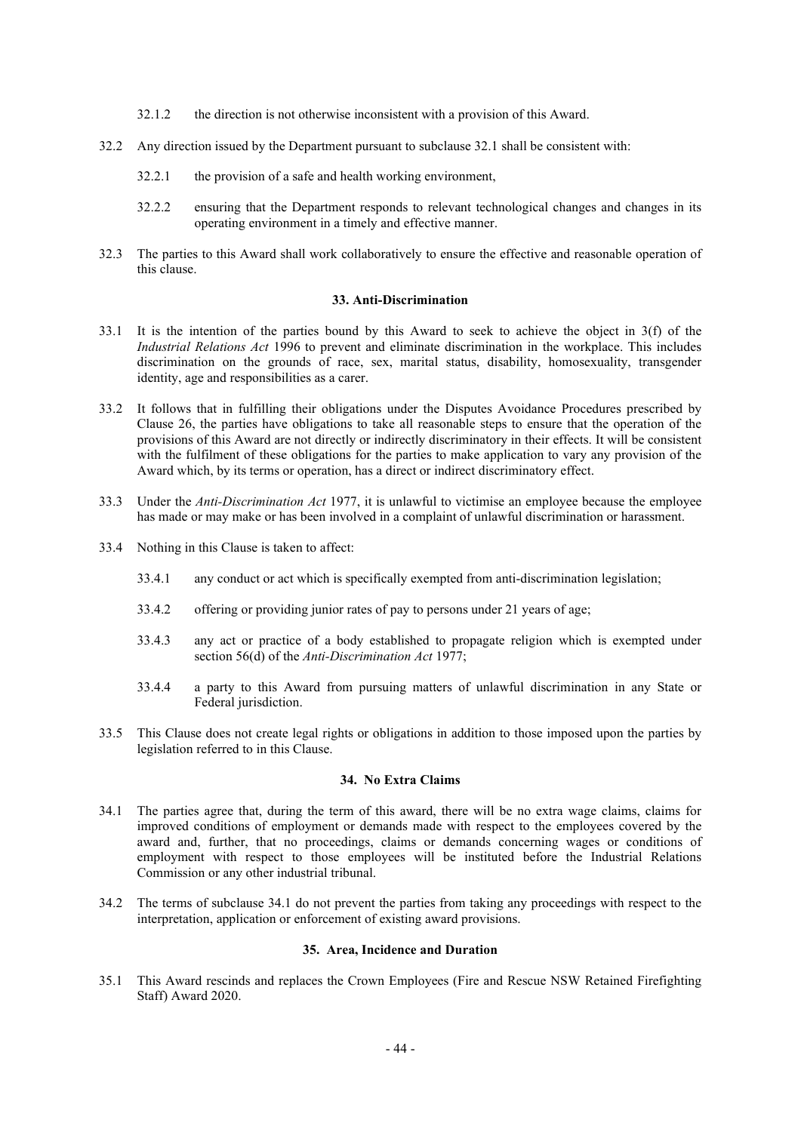- 32.1.2 the direction is not otherwise inconsistent with a provision of this Award.
- 32.2 Any direction issued by the Department pursuant to subclause 32.1 shall be consistent with:
	- 32.2.1 the provision of a safe and health working environment,
	- 32.2.2 ensuring that the Department responds to relevant technological changes and changes in its operating environment in a timely and effective manner.
- 32.3 The parties to this Award shall work collaboratively to ensure the effective and reasonable operation of this clause.

#### **33. Anti-Discrimination**

- 33.1 It is the intention of the parties bound by this Award to seek to achieve the object in 3(f) of the *Industrial Relations Act* 1996 to prevent and eliminate discrimination in the workplace. This includes discrimination on the grounds of race, sex, marital status, disability, homosexuality, transgender identity, age and responsibilities as a carer.
- 33.2 It follows that in fulfilling their obligations under the Disputes Avoidance Procedures prescribed by Clause 26, the parties have obligations to take all reasonable steps to ensure that the operation of the provisions of this Award are not directly or indirectly discriminatory in their effects. It will be consistent with the fulfilment of these obligations for the parties to make application to vary any provision of the Award which, by its terms or operation, has a direct or indirect discriminatory effect.
- 33.3 Under the *Anti-Discrimination Act* 1977, it is unlawful to victimise an employee because the employee has made or may make or has been involved in a complaint of unlawful discrimination or harassment.
- 33.4 Nothing in this Clause is taken to affect:
	- 33.4.1 any conduct or act which is specifically exempted from anti-discrimination legislation;
	- 33.4.2 offering or providing junior rates of pay to persons under 21 years of age;
	- 33.4.3 any act or practice of a body established to propagate religion which is exempted under section 56(d) of the *Anti-Discrimination Act* 1977;
	- 33.4.4 a party to this Award from pursuing matters of unlawful discrimination in any State or Federal jurisdiction.
- 33.5 This Clause does not create legal rights or obligations in addition to those imposed upon the parties by legislation referred to in this Clause.

# **34. No Extra Claims**

- 34.1 The parties agree that, during the term of this award, there will be no extra wage claims, claims for improved conditions of employment or demands made with respect to the employees covered by the award and, further, that no proceedings, claims or demands concerning wages or conditions of employment with respect to those employees will be instituted before the Industrial Relations Commission or any other industrial tribunal.
- 34.2 The terms of subclause 34.1 do not prevent the parties from taking any proceedings with respect to the interpretation, application or enforcement of existing award provisions.

#### **35. Area, Incidence and Duration**

35.1 This Award rescinds and replaces the Crown Employees (Fire and Rescue NSW Retained Firefighting Staff) Award 2020.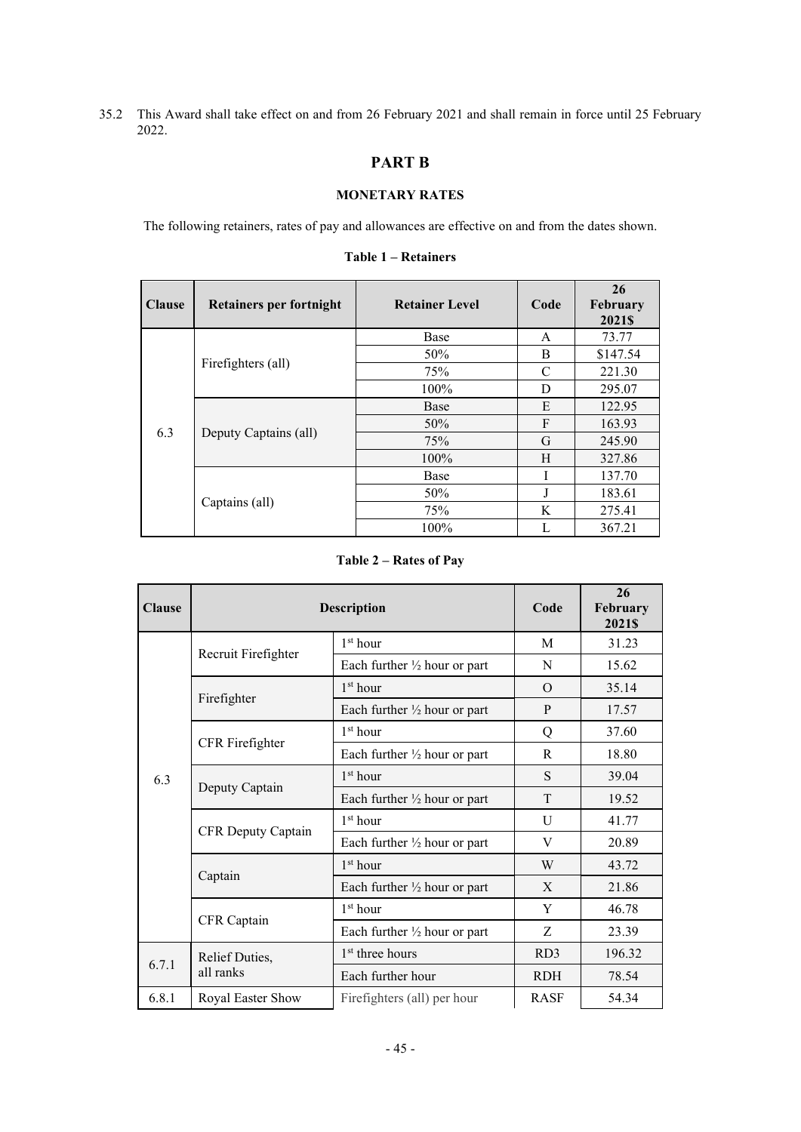35.2 This Award shall take effect on and from 26 February 2021 and shall remain in force until 25 February 2022.

# **PART B**

# **MONETARY RATES**

The following retainers, rates of pay and allowances are effective on and from the dates shown.

| <b>Clause</b> | <b>Retainers per fortnight</b> | <b>Retainer Level</b> | Code | 26<br>February<br>2021\$ |
|---------------|--------------------------------|-----------------------|------|--------------------------|
|               |                                | Base                  | A    | 73.77                    |
|               | Firefighters (all)             | 50%                   | B    | \$147.54                 |
|               |                                | 75%                   | C    | 221.30                   |
|               |                                | 100%                  | D    | 295.07                   |
|               | Deputy Captains (all)          | Base                  | E    | 122.95                   |
|               |                                | 50%                   | F    | 163.93                   |
| 6.3           |                                | 75%                   | G    | 245.90                   |
|               |                                | 100%                  | H    | 327.86                   |
|               |                                | <b>Base</b>           |      | 137.70                   |
|               |                                | 50%                   | J    | 183.61                   |
|               | Captains (all)                 | 75%                   | K    | 275.41                   |
|               |                                | 100%                  |      | 367.21                   |

# **Table 1 – Retainers**

**Table 2 – Rates of Pay**

| <b>Clause</b> | <b>Description</b>  | Code                                    | 26<br>February<br>2021\$ |        |
|---------------|---------------------|-----------------------------------------|--------------------------|--------|
|               | Recruit Firefighter | 1 <sup>st</sup> hour                    | M                        | 31.23  |
|               |                     | Each further $\frac{1}{2}$ hour or part | N                        | 15.62  |
|               |                     | 1 <sup>st</sup> hour                    | $\Omega$                 | 35.14  |
|               | Firefighter         | Each further $\frac{1}{2}$ hour or part | P                        | 17.57  |
|               |                     | 1 <sup>st</sup> hour                    | Q                        | 37.60  |
|               | CFR Firefighter     | Each further $\frac{1}{2}$ hour or part | R                        | 18.80  |
| 6.3           | Deputy Captain      | 1 <sup>st</sup> hour                    | S                        | 39.04  |
|               |                     | Each further $\frac{1}{2}$ hour or part | T                        | 19.52  |
|               | CFR Deputy Captain  | 1 <sup>st</sup> hour                    | U                        | 41.77  |
|               |                     | Each further $\frac{1}{2}$ hour or part | V                        | 20.89  |
|               | Captain             | 1 <sup>st</sup> hour                    | W                        | 43.72  |
|               |                     | Each further $\frac{1}{2}$ hour or part | X                        | 21.86  |
|               |                     | 1 <sup>st</sup> hour                    | Y                        | 46.78  |
|               | CFR Captain         | Each further $\frac{1}{2}$ hour or part | Z                        | 23.39  |
| 6.7.1         | Relief Duties,      | 1 <sup>st</sup> three hours             | RD <sub>3</sub>          | 196.32 |
|               | all ranks           | Each further hour                       | <b>RDH</b>               | 78.54  |
| 6.8.1         | Royal Easter Show   | Firefighters (all) per hour             | <b>RASF</b>              | 54.34  |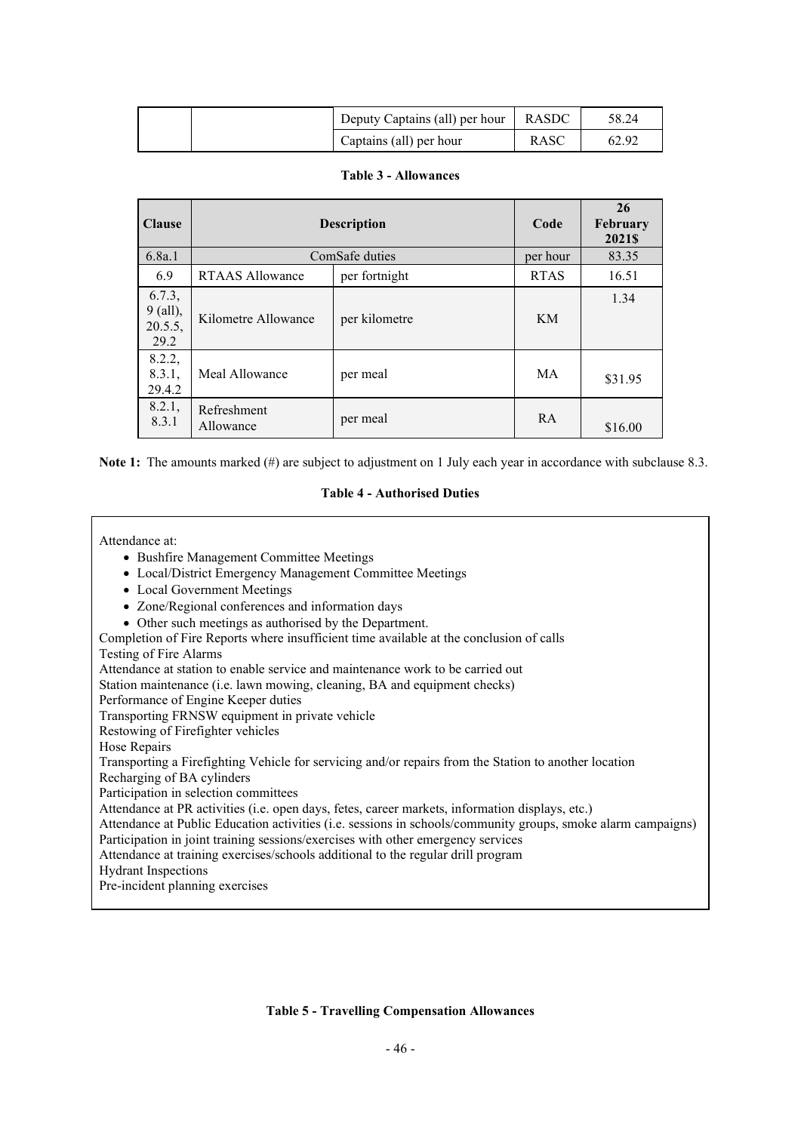|  | Deputy Captains (all) per hour | <b>RASDC</b> | 58.24 |
|--|--------------------------------|--------------|-------|
|  | Captains (all) per hour        | RASC         | 62.92 |

|  | <b>Table 3 - Allowances</b> |
|--|-----------------------------|
|--|-----------------------------|

| <b>Clause</b>                         | <b>Description</b>                      |                | Code        | 26<br>February<br>2021\$ |
|---------------------------------------|-----------------------------------------|----------------|-------------|--------------------------|
| 6.8a.1                                |                                         | ComSafe duties | per hour    | 83.35                    |
| 6.9                                   | <b>RTAAS Allowance</b><br>per fortnight |                | <b>RTAS</b> | 16.51                    |
| 6.7.3,<br>9 (all),<br>20.5.5,<br>29.2 | Kilometre Allowance                     | per kilometre  | KM          | 1.34                     |
| 8.2.2,<br>8.3.1,<br>29.4.2            | Meal Allowance                          | per meal       | MA          | \$31.95                  |
| 8.2.1,<br>8.3.1                       | Refreshment<br>Allowance                | per meal       | <b>RA</b>   | \$16.00                  |

Note 1: The amounts marked (#) are subject to adjustment on 1 July each year in accordance with subclause 8.3.

# **Table 4 - Authorised Duties**

Attendance at:

- Bushfire Management Committee Meetings
- Local/District Emergency Management Committee Meetings
- Local Government Meetings
- Zone/Regional conferences and information days
- Other such meetings as authorised by the Department.
- Completion of Fire Reports where insufficient time available at the conclusion of calls

Testing of Fire Alarms

Attendance at station to enable service and maintenance work to be carried out

Station maintenance (i.e. lawn mowing, cleaning, BA and equipment checks)

Performance of Engine Keeper duties

Transporting FRNSW equipment in private vehicle

Restowing of Firefighter vehicles

Hose Repairs

Transporting a Firefighting Vehicle for servicing and/or repairs from the Station to another location

Recharging of BA cylinders

Participation in selection committees

Attendance at PR activities (i.e. open days, fetes, career markets, information displays, etc.)

Attendance at Public Education activities (i.e. sessions in schools/community groups, smoke alarm campaigns)

Participation in joint training sessions/exercises with other emergency services

Attendance at training exercises/schools additional to the regular drill program

Hydrant Inspections

Pre-incident planning exercises

# **Table 5 - Travelling Compensation Allowances**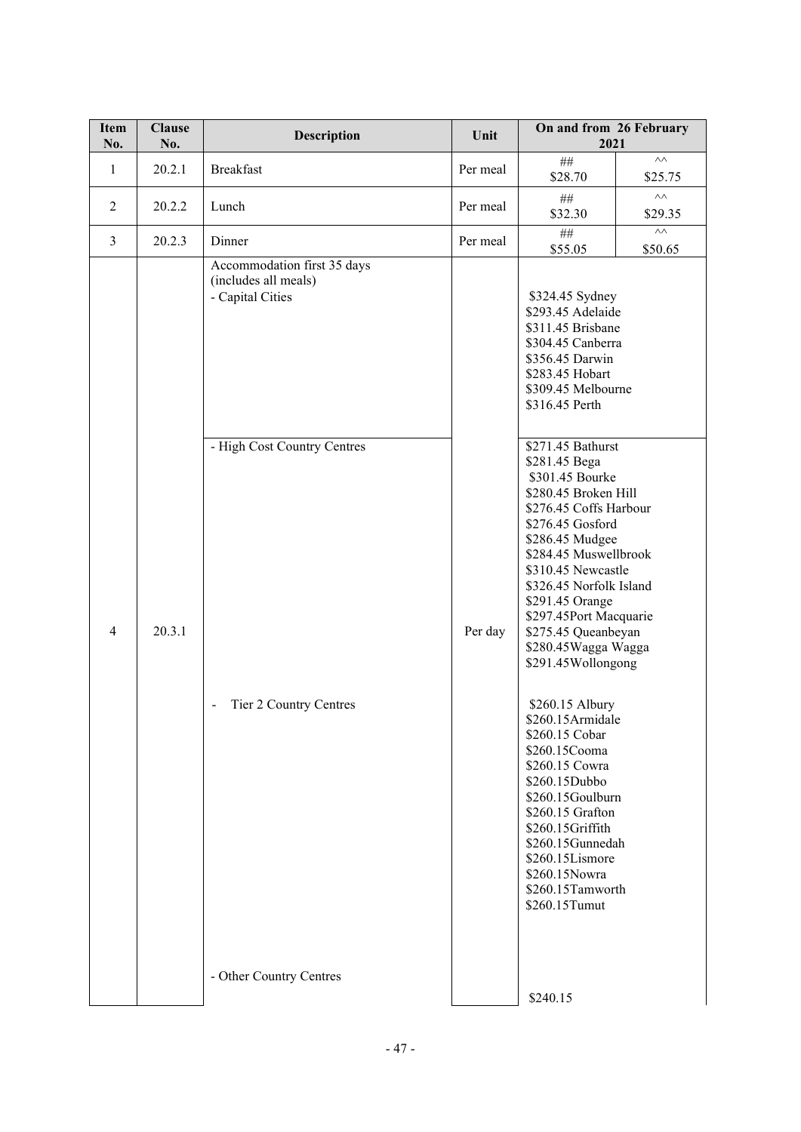| <b>Item</b><br>No. | <b>Clause</b><br>No. | Description                                                             | Unit     | On and from 26 February<br>2021                                                                                                                                                                                                                                                                                                                                                                                                                                                                                                                                                                |                           |
|--------------------|----------------------|-------------------------------------------------------------------------|----------|------------------------------------------------------------------------------------------------------------------------------------------------------------------------------------------------------------------------------------------------------------------------------------------------------------------------------------------------------------------------------------------------------------------------------------------------------------------------------------------------------------------------------------------------------------------------------------------------|---------------------------|
| 1                  | 20.2.1               | <b>Breakfast</b>                                                        | Per meal | $\#\#$<br>\$28.70                                                                                                                                                                                                                                                                                                                                                                                                                                                                                                                                                                              | $\wedge\wedge$<br>\$25.75 |
| 2                  | 20.2.2               | Lunch                                                                   | Per meal | $\# \#$<br>\$32.30                                                                                                                                                                                                                                                                                                                                                                                                                                                                                                                                                                             | $\wedge\wedge$<br>\$29.35 |
| $\overline{3}$     | 20.2.3               | Dinner                                                                  | Per meal | $\#\#$<br>\$55.05                                                                                                                                                                                                                                                                                                                                                                                                                                                                                                                                                                              | $\wedge\wedge$<br>\$50.65 |
|                    |                      | Accommodation first 35 days<br>(includes all meals)<br>- Capital Cities |          | \$324.45 Sydney<br>\$293.45 Adelaide<br>\$311.45 Brisbane<br>\$304.45 Canberra<br>\$356.45 Darwin<br>\$283.45 Hobart<br>\$309.45 Melbourne<br>\$316.45 Perth                                                                                                                                                                                                                                                                                                                                                                                                                                   |                           |
| $\overline{4}$     | 20.3.1               | - High Cost Country Centres<br>Tier 2 Country Centres<br>$\blacksquare$ | Per day  | \$271.45 Bathurst<br>\$281.45 Bega<br>\$301.45 Bourke<br>\$280.45 Broken Hill<br>\$276.45 Coffs Harbour<br>\$276.45 Gosford<br>\$286.45 Mudgee<br>\$284.45 Muswellbrook<br>\$310.45 Newcastle<br>\$326.45 Norfolk Island<br>\$291.45 Orange<br>\$297.45Port Macquarie<br>\$275.45 Queanbeyan<br>\$280.45Wagga Wagga<br>\$291.45Wollongong<br>\$260.15 Albury<br>\$260.15Armidale<br>\$260.15 Cobar<br>\$260.15Cooma<br>\$260.15 Cowra<br>\$260.15Dubbo<br>\$260.15Goulburn<br>\$260.15 Grafton<br>\$260.15Griffith<br>\$260.15Gunnedah<br>\$260.15Lismore<br>\$260.15Nowra<br>\$260.15Tamworth |                           |
|                    |                      | - Other Country Centres                                                 |          | \$240.15                                                                                                                                                                                                                                                                                                                                                                                                                                                                                                                                                                                       |                           |